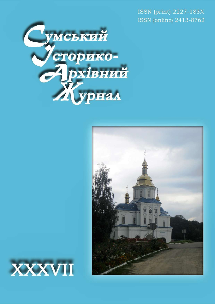ISSN (print) 2227-183X ISSN (online) 2413-8762





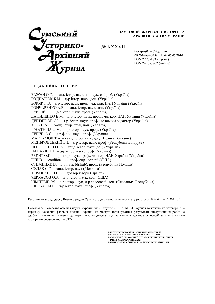

НАУКОВИЙ ЖУРНАЛ З ІСТОРІЇ ТА АРХІВОЗНАВСТВА УКРАЇНИ

№ XXХVІІ

Реєстраційне Свідоцтво КВ №16686-5258 ПР від 05.05.2010 ISSN 2227-183X (print) ISSN 2413-8762 (online)

# РЕДАКЦІЙНА КОЛЕГІЯ:

БАЖАН О.Г. – канд. істор. наук, ст. наук. співроб. (Україна) БОДНАРЮК Б.М. – д-р істор. наук, доц. (Україна) БОРЯК Г.В. – д-р істор. наук, проф., чл.-кор. НАН України (Україна) ГОНЧАРЕНКО А.В. – канд. істор. наук, доц. (Україна) ГУРЖІЙ О.І. – д-р істор. наук, проф. (Україна) ДАНИЛЕНКО В.М. – д-р істор. наук, проф., чл.-кор. НАН України (Україна) ДЕГТЯРЬОВ С.І. – д-р. істор. наук, проф., головний редактор (Україна) ЗЯКУН А.І. – канд. істор. наук, доц. (Україна) ІГНАТУША О.М. – д-р істор. наук, проф. (Україна) ЛЕБІДЬ А.Є. – д-р філос. наук, проф. (Україна) МАГСУМОВ Т.А. – канд. істор. наук, доц. (Велика Британія) МЕНЬКОВСЬКИЙ В.І. – д-р істор. наук, проф. (Республіка Білорусь) НЕСТЕРЕНКО В.А. – канд. істор. наук, доц. (Україна) ПАПАКІН Г.В. – д-р істор. наук, проф. (Україна) РЕЄНТ О.П. – д-р істор. наук, проф., чл.-кор. НАН України (Україна) РІШ В. – асоційований професор з історії (США) СТЕМПНЯК В. – д-р наук (dr.hab), проф. (Республіка Польща) СУЛЯК С.Г. – канд. істор. наук (Молдова) ТЕР-ОГАНОВ Н.К. – доктор історії (Ізраїль) ЧЕРКАСОВ О.А. – д-р істор. наук, доц. (США) ШМИГЕЛЬ М. – д-р істор. наук, д-р філософії, доц. (Словацька Республіка) ЩЕРБАК М.Г. – д-р істор. наук, проф. (Україна)

Рекомендовано до друку Вченою радою Сумського державного університету (протокол №6 від 16.12.2021 р.)

Наказом Міністерства освіти і науки України від 28 грудня 2019 р. №1643 журнал включено до категорії «Б» переліку наукових фахових видань України, де можуть публікуватися результати дисертаційних робіт на здобуття наукових ступенів доктора наук, кандидата наук та ступеня доктора філософії за спеціальністю «Історичні спеціальності – 032»

© ІНСТИТУТ ІСТОРІЇ УКРАЇНИ НАН УКРАЇНИ, 2021

© СУМСЬКИЙ ДЕРЖАВНИЙ УНІВЕРСИТЕТ, 2021<br>© СУМСЬКИЙ ДЕРЖАВНИЙ ПЕДАГОГІЧНИЙ УНІВЕРСИТЕТ

ІМЕНІ А.С.МАКАРЕНКА, 2021 © НАЦІОНАЛЬНА СПІЛКА КРАЄЗНАВЦІВ УКРАЇНИ, 2021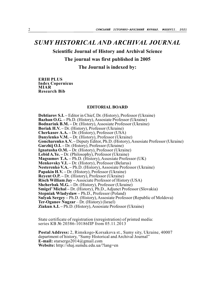# SUMY HISTORICAL AND ARCHIVAL JOURNAL

Scientific Journal of History and Archival Science

The journal was first published in 2005

The Journal is indexed by:

ERIH PLUS Index Copernicus MIAR Research Bib

# EDITORIAL BOARD

Dehtiarov S.I. – Editor in Chief, Dr. (History), Professor (Ukraine) Bazhan O.G. – Ph.D. (History), Assosiate Professor (Ukraine) Bodnariuk B.M. – Dr. (History), Assosiate Professor (Ukraine) Boriak H.V. – Dr. (History), Professor (Ukraine) Cherkasov A.A. – Dr. (History), Professor (USA) Danylenko V.M. – Dr. (History), Professor (Ukraine) Goncharenko A.V. – Deputy Editor, Ph.D. (History), Assosiate Professor (Ukraine) Gurzhij O.I. – Dr. (History), Professor (Ukraine) Ignatusha O.M. – Dr. (History), Professor (Ukraine) Lebid A.Ye. – Dr. (Philosophy), Professor (Ukraine) Magsumov T.A. – Ph.D. (History), Assosiate Professor (UK) Menkovsky V.I. – Dr. (History), Professor (Belarus) Nesterenko V.A. – Ph.D. (History), Assosiate Professor (Ukraine) Papakin H.V. – Dr. (History), Professor (Ukraine) Reyent O.P. – Dr. (History), Professor (Ukraine) Risch William Jay – Associate Professor of History (USA) Shcherbak M.G. – Dr. (History), Professor (Ukraine) Smigel' Michal – Dr. (History), Ph.D., Adjunct Professor (Slovakia) Stepniak Wladyslaw – Ph.D., Professor (Poland) Sulyak Sergey – Ph.D. (History), Assosiate Professor (Republic of Moldova) Ter-Oganov Nugzar – Dr. (History) (Israel) Ziakun A.I. – Ph.D. (History), Assosiate Professor (Ukraine)

State certificate of registration (reregistration) of printed media: series КВ № 20386-10186ПР from 05.11.2013

Postal Address: 2, Rimskogo-Korsakova st., Sumy sity, Ukraine, 40007 department of history, "Sumy Historical and Archival Journal" E-mail: starsergo2014@gmail.com Website: http://shaj.sumdu.edu.ua/?lang=en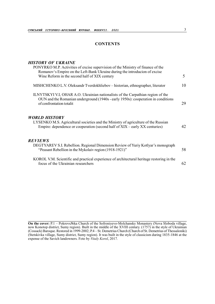# **CONTENTS**

# HISTORY OF UKRAINE

| PONYRKO M.P. Activities of excise supervision of the Ministry of finance of the<br>Romanov's Empire on the Left-Bank Ukraine during the introducion of excise<br>Wine Reform in the second half of XIX century | 5  |
|----------------------------------------------------------------------------------------------------------------------------------------------------------------------------------------------------------------|----|
| MISHCHENKO L.V. Oleksandr Tverdokhliebov – historian, ethnographer, literator                                                                                                                                  | 10 |
| ILNYTSKYI V.I, OHAR A.O. Ukrainian nationalists of the Carpathian region of the<br>OUN and the Romanian underground (1940s - early 1950s): cooperation in conditions<br>of confrontation totalit               | 29 |
| <b>WORLD HISTORY</b><br>LYSENKO M.S. Agricultural societies and the Ministry of agriculture of the Russian<br>Empire: dependence or cooperation (second half of XIX – early XX centuries)                      | 42 |
| <b>REVIEWS</b><br>DEGTYAREV S.I. Rebellion. Regional Dimension Review of Yuriy Kotlyar's monograph<br>"Peasant Rebellion in the Mykolaiv region (1918-1921)"                                                   | 58 |
| KOROL V.M. Scientific and practical experience of architectural heritage restoring in the<br>focus of the Ukrainian researchers                                                                                | 62 |

On the cover: P.1 – Pokrovs№ka Church of the Sofroniyevo-Molchansky Monastery (Nova Sloboda village, now Konotop district, Sumy region). Built in the middle of the XVIII century. (1757) in the style of Ukrainian (Cossack) Baroque. Restored in 1999-2002; P.4 – St. Demetrius Church (Church of St. Demetrius of Thessaloniki) (Stetskivka village, Sumy district, Sumy region). It was built in the style of classicism during 1835-1846 at the expense of the Savich landowners. Foto by Vitaly Korol, 2017.

\_\_\_\_\_\_\_\_\_\_\_\_\_\_\_\_\_\_\_\_\_\_\_\_\_\_\_\_\_\_\_\_\_\_\_\_\_\_\_\_\_\_\_\_\_\_\_\_\_\_\_\_\_\_\_\_\_\_\_\_\_\_\_\_\_\_\_\_\_\_\_\_\_\_\_\_\_\_\_\_\_\_\_\_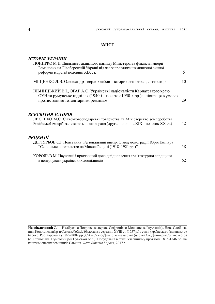# ЗМІСТ

# ІСТОРІЯ УКРАЇНИ

| IVIVI <i>II</i> I JALAIIIII<br>ПОНИРКО М.П. Діяльність акцизного нагляду Міністерства фінансів імперії<br>Романових на Лівобережній Україні під час запровадження акцизної винної<br>реформи в другій половині XIX ст. | 5. |
|------------------------------------------------------------------------------------------------------------------------------------------------------------------------------------------------------------------------|----|
| МШЕНКО Л.В. Олександр Твердохлебов – історик, етнограф, літератор                                                                                                                                                      | 10 |
| ІЛЬНИЦЬКИЙ В.І., ОГАР А.О. Українські націоналісти Карпатського краю<br>ОУН та румунське підпілля (1940-і – початок 1950-х рр.): співпраця в умовах<br>протистояння тоталітарним режимам                               | 29 |
| ВСЕСВІТНЯ ІСТОРІЯ<br>ЛИСЕНКО М.С. Сільськогосподарські товариства та Міністерство землеробства<br>Російської імперії: залежність чи співпраця (друга половина XIX – початок XX ст.)                                    | 42 |
| <b>РЕЦЕНЗІЇ</b><br>ДЕГТЯРЬОВ С.І. Повстання. Регіональний вимір. Огляд монографії Юрія Котляра<br>"Селянське повстанство на Миколаївщині (1918-1921 рр.)"                                                              | 58 |
| КОРОЛЬ В.М. Науковий і практичний досвід відновлення архітектурної спадщини<br>в центрі уваги українських дослідників                                                                                                  | 62 |

На обкладинці: С.1 – Надбрамна Покровська церква Софронієво-Молчанської пустині (с. Нова Слобода, нині Конотопський р-н Сумської обл.). Збудована в середині ХVIII ст. (1757 р.) в стилі українського (козацького) бароко. Реставрована у 1999-2002 рр.; С.4 – Свято-Дмитрівська церква (церква Св. Димитрія Солунського) (с. Стецьківка, Сумський р-н Сумської обл.). Побудована в стилі класицизму протягом 1835-1846 рр. на кошти місцевих поміщиків Савичів. Фото Віталія Короля, 2017 р..

 $\_$  . The contribution of the contribution of the contribution of the contribution of the contribution of the contribution of  $\mathcal{L}_\text{max}$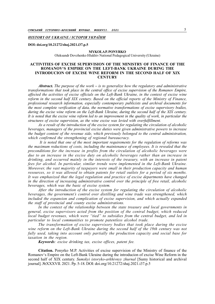### HISTORY OF UKRAINE / ІСТОРІЯ УКРАЇНИ

DOI: doi.org/10.21272/shaj.2021.i37.p.5

#### MYKOLA P. PONYRKO

Oleksandr Dovzhenko Hlukhiv National Pedagogical University (Ukraine)

### ACTIVITIES OF EXCISE SUPERVISION OF THE MINISTRY OF FINANCE OF THE ROMANOV'S EMPIRE ON THE LEFT-BANK UKRAINE DURING THE INTRODUCION OF EXCISE WINE REFORM IN THE SECOND HALF OF XIX **CENTURY**

**Abstract.** The purpose of the work  $-$  is to generalize how the regulatory and administrative transformations that took place in the central office of excise supervision of the Romanov Empire, affected the activities of excise officials on the Left-Bank Ukraine, in the context of excise wine reform in the second half XIX century. Based on the official reports of the Ministry of Finance, professional research information, especially contemporary publicists and archival documents for the most complete verification of data, the normative transformations of excise supervisory bodies, during the excise wine reform on the Left-Bank Ukraine, during the second half of the XIX century. It is noted that the excise wine reform led to an improvement in the quality of work, in particular the structures of excise supervision, as the wine excise was levied with overfulfillment.

As a result of the introduction of the excise system for regulating the circulation of alcoholic beverages, managers of the provincial excise duties were given administrative powers to increase the budget content of the revenue side, which previously belonged to the central administration, which confirmed the strengthening of regional bureaucracy.

 It is noted that one of the most important requirements for the regulation of reforms was the maximum reductions of costs, including the maintenance of employees. It is revealed that the preconditions for the increase in profits from the circulation of alcoholic beverages were due to an increase in the excise duty on alcoholic beverages rather than an increase in drinking, and occurred mainly in the interests of the treasury, with an increase in patent fees for alcohol. In particular, similar trends were implemented in the Left-Bank Ukraine. Moreover, the vast majority of taxpayers were small in their production capacity and human resources, so it was allowed to obtain patents for retail outlets for a period of six months. It was emphasized that the legal regulation and practice of excise departments have changed in the direction of increasing administrative control over the principle of free retail, alcoholic beverages, which was the basic of excise system.

After the introduction of the excise system for regulating the circulation of alcoholic beverages, the government's control over distilling and wine trade was strengthened, which included the expansion and complication of excise supervision, and which actually expanded the staff of provincial and county excise administrations.

In the context of the relationship between the state treasury and local governments in general, excise supervisors acted from the position of the central budget, which reduced local budget revenues, which were "tied" to subsidies from the central budget, and led in particular to local communities to promote patentless alcohol trade.

The transformation of excise supervisory bodies that took place during the excise wine reform on the Left-Bank Ukraine during the second half of the 19th century was not fully used, taking into account only partially the production capacity and social base for taxation in the region.

Keywords: excise drinking tax, excise offices, patent fee.

Citation. Ponyrko M.P. Activities of excise supervision of the Ministry of finance of the Romanov's Empire on the Left-Bank Ukraine during the introducion of excise Wine Reform in the second half of XIX century. Sumskyi istoryko-arkhivnyy zhurnal [Sumy historical and archival] journal]. №XXXVІI. 2021. Pp. 5-18. DOI: doi.org/10.21272/shaj.2021.i37.p.5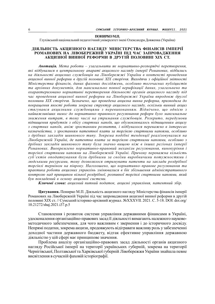#### ПОНИРКО М.П.

Глухівський національний педагогічний університет імені Олександра Довженка (Україна)

### ДІЯЛЬНІСТЬ АКЦИЗНОГО НАГЛЯДУ МІНІСТЕРСТВА ФІНАНСІВ ІМПЕРІЇ РОМАНОВИХ НА ЛІВОБЕРЕЖНІЙ УКРАЇНІ ПІД ЧАС ЗАПРОВАДЖЕННЯ АКЦИЗНОЇ ВИННОЇ РЕФОРМИ В ДРУГІЙ ПОЛОВИНІ ХІХ СТ.

Анотація. Мета роботи – узагальнити як нормативно-розпорядчі перетворення, які відбувалися в центральному апараті акцизного нагляду імперії Романових, відбились на діяльності акцизних службовців на Лівобережжі України в контексті проведення акцизної винної реформи в другій половині ХІХ сторіччя. Виходячи з офіційної звітності Міністерства фінансів, даних фахових досліджень, особливо тогочасних публіцистів та архівних документів, для максимально повної верифікації даних, узагальнено та охарактеризовано нормативні перетворення діяльності органів акцизного нагляду під час проведення акцизної винної реформи на Лівобережжі України впродовж другої половини ХІХ сторіччя. Зазначено, що проведена акцизна винна реформа, призводила до покращення якості роботи зокрема структур акцизного нагляду, оскільки винний акциз стягувався акцизними службовцями з перевиконанням. Відмічено, що однією з найважливіших вимог до нормативно–правового регулювання реформ було максимальне зниження витрат, в тому числі на утримання службовців. Розкрито, передумови підвищення прибутків з обігу спиртних напоїв, що обумовлювалось підвищенням акцизу з спиртних напоїв, аніж зростанням розпиття, і відбувалося переважно в інтересах казначейства, з зростанням патентної плати за торгівлю спиртними напоями, особливо з дрібних закладів шинкового типу. Зокрема подібні тенденції реалізовувалися на Лівобережній Україні, де патентна плата за торгівлю спиртними напоями, особливо з дрібних закладів шинкового типу була значно вищою ніж в інших регіонах імперії Романових. Виокремлено нормативно-правовий механізм регулювання, винокуріння і торгівлі спиртними напоями на Лівобережній Україні. Причому переважна кількість суб'єктів оподаткування були дрібними за своїми виробничими потужностями і людськими ресурсами, тому дозволялося отримувати патенти на заклади роздрібної торгівлі терміном на півроку. Наголошено, що нормативно–правове регулювання та практика роботи акцизних управлінь змінювалися в бік збільшення адміністративного контролю над принципом вільної роздрібної, розпивної торгівлі спиртними напоями, який був покладений в основу акцизної системи.

Ключові слова: акцизний питний податок, акцизні управління, патентний збір.

Цитування. Понирко М.П. Діяльність акцизного нагляду Міністерства фінансів імперії Романових на Лівобережній Україні під час запровадження акцизної винної реформи в другій половині ХІХ ст. // Сумський історико-архівний журнал. №XXXVІI. 2021. С. 5-18. DOI: doi.org/ 10.21272/shaj.2021.i37.p.5

Становлення і розвиток системи управління державними фінансами в Україні, удосконалення організаційно-правових засад її діяльності вимагають належного науковометодичного забезпечення, для чого важливим є звернення і до історичного досвіду. Непрямі податки, зокрема акцизи, продовжують відігравати важливу роль у забезпеченні доходної частини державного бюджету, відтак ефективне управління державною діяльністю у цій сфері має принципове значення.

Проблема аналізу організаційно-правових засад діяльності органів акцизного нагляду Російської імперії на території українських губерній, зокрема на території Чернігівської, Полтавської та Харківської губерній Лівобережжя України знайшла певне висвітлення в сучасній фаховій історіографії.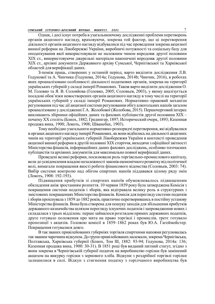Однак, і досі існує потреба в узагальнюючому дослідженні проблеми перетворень органів акцизного нагляду, враховуючи, зокрема той фактор, що ці перетворення діяльності органів акцизного нагляду відбувалися під час проведення зокрема акцизної винної реформи на Лівобережжі України, виробничі потужності та соціальну базу для оподаткування якої використовували не належним чином впродовж другої половини ХІХ ст., використовуючи джерельні матеріали накопичені впродовж другої половини ХІХ ст., архівні документи Державного архіву Сумської, Чернігівської та Харківської областей для верифікації даних.

З-поміж праць, створених у останній період, варто виділити дослідження Л.В. Годунової та А. Чинчика (Годунова, 2014a; Годунова, 2014b; Чинчик, 2016), в роботах яких проаналізовано особливості діяльності податкових органів, зокрема на території українських губерній у складі імперії Романових. Також варто виділити дослідження О. М. Головко та Я. В. Соловйова (Головко, 2005; Соловьев, 2003), у якому аналізується посадові обов'язки новостворених органів акцизного нагляду в тому числі на території українських губерній у складі імперії Романових. Нормативно–правовий механізм регулювання під час дії акцизної системи регулювання обігу алкогольних напоїв загалом проаналізовано у дослідженні Г.А. Жолобової (Жолобова, 2015). Першочерговий інтерес викликають збірники офіційних даних та фахових публіцистів другої половини ХІХ – початку ХХ століть (Блиох, 1882; Гредингер, 1897; Исторический очерк, 1893; Казенная продажа вина, 1900; Локоть, 1908; Шванебах, 1903).

Тому необхідно узагальнити нормативно-розпорядчі перетворення, які відбувалися в органах акцизного нагляду імперії Романових, як вони відбились на діяльності акцизних чинів на території українських губерній Лівобережжя України в контексті проведення акцизної винної реформи в другій половині ХІХ сторіччя, виходячи з офіційної звітності Міністерства фінансів, інформаційних даних фахових досліджень, особливо тогочасних публіцистів та архівних документів для максимально повної верифікації даних.

Проведені великі реформи, посилювали роль торгівельно-промислового капіталу, вели до усвідомлення владою незалежності законів економічного розвитку від політичної волі, вимагали покращення якості роботи фінансового відомства (Соловьев, 2003: 74). Вибір системи контролю над обігом спиртних напоїв піддавався цілому ряду змін (Локоть, 1908: 192-193).

Підвищення прибутків зі спиртних напоїв обумовлювалось підвищенням обкладення аніж зростанням розпиття. 10 червня 1859 року була затверджена Комісія з покращення системи податків і зборів, яка відігравала велику роль в структурних і змістовних покращеннях Міністерства фінансів. Комісія для перегляду системи податків і зборів проіснувала з 1859 до 1882 років, практично перетворившись в постійну установу Міністерства фінансів. Вона була створена для пошуку заходів для збільшення прибутків державного казначейства шляхом перегляду існуючих податків і запровадження нових і складалася з трьох відділень: перше займалося розглядом прямих державних податків, друге готувало положення про мита на право торгівлі і промислів, третє готувало пропозиції з акцизів. Головою комісії в 1859–1862 роках був Ю.А. Гагеймейстер. Покращення готувалися довго.

В так званих привілейованих губерніях торгівля спиртними напоями регулювалась так званим чарочним відкупом. До групи привілейованих належали, зокрема Чернігівська, Полтавська, Харківська губернії (Блиох, Том ІІІ, 1882: 93-94; Годунова, 2014a: 136; Казенная продажа вина, 1900: 30-31). В 1851 році був виданий питний статут, згідно з яким зокрема в Чернігівській губернії податок на виробництво горілки був замінений акцизом на викурку горілки з зернового хліба. Відкупи з роздрібної торгівлі горілки залишилися в силі. Відкуп з стягнення податку з горілчаного виробництва був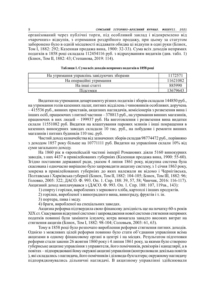організований через публічні торги, під особливий заклад і відокремлено від «чарочних» відкупів, з отримання роздрібного продажу, при цьому за статутом заборонено було в одній місцевості віддавати обидва ці відкупи в одні руки (Блиох, Том І, 1882: 292; Казенная продажа вина, 1900: 32-33). Сума всіх доходів непрямих податків в 1858 році складала 112454116 руб. з відрахуванням видатків (див. табл. 1) (Блиох, Том ІІ, 1882: 43; Степанова, 2019: 114).

| На утримання управлінь завідуючих зоорами | 17257   |
|-------------------------------------------|---------|
| На операційні утримання                   | 1621082 |
| На інші статті                            | 885990  |
| 111 леумки                                | 3679643 |

Таблиця 1. Сума всіх доходів непрямих податків в 1858 році

Видатки на утримання департаменту різних податків і зборів складали 144850 руб., на утримання голів казенних палат, питних відділень і чиновників особливих доручень – 415536 руб., винних приставів, акцизних наглядачів, комісіонерів з розвезення вина і інших осіб, працюючих з питної частини – 378813 руб., на утримання винних магазинів, працюючих в них людей – 199937 руб. На виготовлення і розвезення вина видатки склали 11551082 руб. Видатки на влаштування парових млинів і інші покращення в казенних винокурних заводах складали 10 тис. руб., на побудови і ремонти винних магазинів і питних будинків 110 тис. руб.

Чистий доход казначейства від зазначених зборів складав 98774472 руб., порівняно з доходом 1857 року більше на 10771111 руб. Видатки на управління склали 10% від суми загального доходу.

На 1860 рік в європейській частині імперії Романових діяли 5160 винокурних заводів, з них 4437 в привілейованих губерніях (Казенная продажа вина, 1900: 55-60). Згідно постанови державної ради, указом 4 липня 1861 року, відкупна система була скасована і одночасно вирішено було запровадити акцизну систему, з 1 січня 1863 року, зокрема в привілейованих губерніях до яких належали як відомо і Чернігівська, Полтавська і Харківська губернії (Блиох, Том ІІ, 1882: 104-105; Блиох, Том ІІІ, 1882: 96; Головко, 2005: 322; ДАСО. Ф. 993. Оп. 1. Спр. 188: 39, 57, 58; Чинчик, 2016: 116-117). Акцизний доход виплачувався з (ДАСО. Ф. 993. Оп. 1. Спр. 188: 107, 119зв., 143):

1) спирту і горілки, вироблених з зернового хліба, картоплі і інших продуктів.

2) горілки, виробленої з виноградного вина, винограду, фруктів і т. ін.

3) портера, пива і меду.

4) браги, виробленої на спеціальних заводах.

Акцизна реформа підтвердила свою фінансову дохідність ще на початку 60-х років ХІХ ст. Скасування відкупної системи і запровадження нової системи стягнення непрямих податків повинні були замінити існуючу, котра вимагала занадто високих витрат на стягнення акцизів (Блиох, Том І, 1882: 98-104; Соловьев, 2003: 61, 63).

Тому в 1858 році було розпочато вироблення реформи стягнення питних доходів. Однією з можливих цілей реформи повинно було стати об'єднання управління всіма акцизами в одному фінансовому органі в центрі і на місцях. Результатом підготовки реформи стали закони 26 жовтня 1860 року і 4 липня 1861 року, за якими було створено губернське акцизне управління з управителя, його помічників, ревізорів і канцелярії, а в повітах – підпорядковані йому окружні акцизні управління (контролювали декілька повітів ), які складались з наглядача, його помічників і діловода-бухгалтера; окружному наглядачу підпорядковувались дільничні наглядачі. В акцизному управлінні здійснювали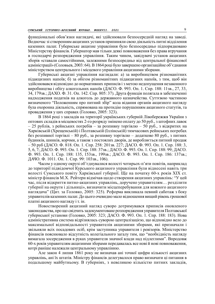функціональні обов'язки наглядачі, які здійснювали безпосередній нагляд на заводі. Водночас зі створенням акцизних установ припиняли свою діяльність питні відділення казенних палат. Губернське акцизне управління було безпосередньо підпорядковано Міністерству фінансів. Губернатор мав тільки деякі повноваження без права втручання в господарчі розпорядження управління. Таким чином, завідувачі установ акцизних зборів «ставали самостійними, залежними безпосередньо від центральної фінансової адміністрації» (Соловьев, 2003: 64). В 1864 році було завершено організаційне об'єднання міністерством центрального і місцевого управління акцизними зборами.

Губернські акцизні управління наглядали: а) за виробництвом різноманітних підакцизних напоїв; б) за обігом різноманітних підакцизних напоїв, з тим, щоб він здійснювався відповідно до нормативних приписів і з метою недопущення незаконного виробництва і обігу алкогольних напоїв (ДАСО. Ф. 993. Оп. 1. Спр. 188: 11зв., 27, 33, 34, 179зв.; ДАХО. Ф. 31. Оп. 142. Спр. 805: 37). Друга функція полягала в забезпеченні надходження податків на алкоголь до державного казначейства. Суттєвою частиною визначеного "Положенням про питний збір" кола відання органів акцизного нагляду була охоронна діяльність, спрямована на протидію порушенням акцизного статутів, та провадження у цих справах (Головко, 2005: 323).

В 1864 році з закладів на території українських губерній Лівобережжя України з оптових складів в місцевостях 2-го розряду змінено оплату до 50 руб., з штофних лавок – 25 рублів, з рейнських погребів – за розпивну торгівлю – 50 руб., з відкритих на Харківській (Хрещенській) і Полтавській (Іллінській) тимчасових рейнських погребах без розпивної торгівлі – 80 руб., за розпивну торгівлю – додатково 80 руб., з питних будинків, шинків, корчми, а також з постоялих дворів, де виробляється питний продаж – 50 руб (ДАСО. Ф. 818. Оп. 1. Спр. 258: 201зв. 227; ДАСО. Ф. 993. Оп. 1. Спр. 188: 3, 5, 6, 7; ДАСО. Ф. 993. Оп. 1. Спр. 188: 37зв.; ДАСО. Ф. 993. Оп. 1. Спр. 188: 99; ДАСО. Ф. 993. Оп. 1. Спр. 188: 135, 153зв., 199зв.; ДАСО. Ф. 993. Оп. 1. Спр. 186: 137зв.; ДАЧО. Ф. 1011. Оп. 1. Спр. 99: 103зв., 106).

Часом у одному окрузі об'єднувалися волості чотирьох-п'яти повітів, наприклад до території підвідомчої Курського акцизного управління були віднесені навіть три волості Сумського повіту Харківської губернії. Ще на початку 60-х років ХІХ ст. міністр фінансів М.Х. Рейтерн відмічав щодо створення акцизних управлінь: "У цей час, після відкриття питно-акцизних управлінь, доручено управителям… розділити губернії на округи і дільниці», визначити місцеперебування для кожного акцизного наглядача" (Цит. за Головко, 2005: 325). Реформа викликала певний саботаж з боку управителів казенних палат. До цього очевидно мало відношення вищий рівень грошової платні акцизного нагляду і т. ін.

Новостворений акцизний нагляд суворо дотримувався приписів оновленого законодавства, про що свідчить задокументоване розпорядження управителя Полтавської губернської установи (Головко, 2005: 323; ДАСО. Ф. 993. Оп. 1. Спр. 188: 183). Нова адміністративна система відрізнялась суворою централізацією, що відповідно вело до максимальної відповідальності управителів акцизними зборами, які призначали і звільняли всіх посадових осіб, крім заступника управителя і ревізорів. Міністерство фінансів пояснювало відсутність колегіального загалу тим, що "необхідність нагляду вимагала зосередження в руках управителя значної влади над підлеглими". Впродовж 60-х років управителям акцизними зборами передавалась все нові й нові повноваження, котрі раніше належали центральному управлінню.

Але закон 4 липня 1861 року не визначав ані точної цифри кількості акцизних управлінь, ані їх штатів. Міністру фінансів делегувалося право визначати ці питання в подальшому майбутньому. В губерніях, з невеликою кількістю питних закладів,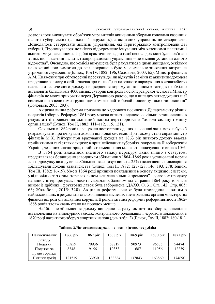дозволялося виконувати обов'язки управителів акцизними зборами головами казенних палат і губернських (а інколи й окружних), а акцизних управлінь не створювати. Дозволялось створювати акцизні управління, які територіально контролювали дві губернії. Пропонувалося повністю відокремлене існування між казенними палатами і акцизними управліннями. Подібні практичні випадки такої непослідовності були пов'язані з тим, що "і казенні палати, і запрограмовані управління – це місцеві установи одного відомства". Очевидно, що комісія вимушена була рахуватися з цими явищами, оскільки найважливішою вимогою до всіх покращень було максимальне зниження витрат на утримання службовців (Блиох, Том ІV, 1882: 196; Соловьев, 2003: 65). Міністр фінансів А.М. Княжевич при обговоренні проекту відміни відкупів і заміни їх акцизним доходом представив записку, в якій зазначав про те, що "для належного нарахування в казначейство настільки величезного доходу і відвернення корчмування вином з заводів необхідно встановити більш ніж в 4000 місцях суворий контроль з осіб перевіреної чесності. Міністр фінансів не може приховати перед Державною радою, що в випадку затвердження цієї системи він з великими труднощами зможе найти бодай половину таких чиновників" (Соловьев, 2003: 293).

Акцизна винна реформа призвела до кадрового посилення Департаменту різних податків і зборів. Реформу 1861 року можна визнати вдалою, оскільки встановлений в результаті її проведення акцизний нагляд перетворився в "доволі сильну і міцну організацію" (Блиох, Том II, 1882: 111–112, 115, 121).

Оскільки в 1862 році не існувало достовірних даних, на основі яких можна було б розраховувати про очікувані доходи від нової системи. При такому стані справ міністр фінансів М.Х. Рейтерн при врахуванні доходів на 1863 рік питного доходу вважав прийнятними такі ставки акцизу: в привілейованих губерніях, зокрема на Лівобережній Україні, де акциз значно зріс, прийнято зменшення кількості оплачуваного вина в 10%.

В 1864 році внаслідок значного запасу перекуру, який згідно з статутом, представлявся безакцизно заводчикам збільшили з 1864–1865 років установлені норми для підрахунку виходу вина. Збільшення акцизу з вина на 25% і полегшення пивоваріння збільшували доходи казначейства (Блиох, Том II, 1882: 127-128, 146, 193, 278; Блиох, Том ІІІ, 1882: 16-19). Уже в 1864 році принцип покладений в основу акцизної системи, у відповідності з яким "торгівля вином складала вільний промисел" з дозволом продажу на винос інтерпретувався досить своєрідно. Законом від 2 травня 1864 року торгівля вином із дрібних і фруктових лавок була заборонена (ДАХО. Ф. 31. Оп. 142. Спр. 805: 63; Жолобова, 2015: 320). Акцизна реформа все ж була проведена, і одним з найважливіших її результатів стало очищення місцевих і центральних органів міністерства фінансів від розгулу відкупної корупції. В результаті цієї реформи і реформ звітності 1862- 1868 років зловживань стало на порядок менше.

Найбільше збільшення доходу випадало за рахунок питних зборів, внаслідок встановлення на винокурних заводах контрольного обладнання і чергового збільшення в 1870 році патентного збору з спиртних напоїв (див. табл. 2) (Блиох, Том ІІ, 1882: 180-181).

| Найменування   | 1866 рік | 1867 рік | 1868 рік | 1869 рік | 1870 рік | 1871 pik |
|----------------|----------|----------|----------|----------|----------|----------|
| доходу         |          |          |          |          |          |          |
| Полатки        | 65859    | 79936    | 68819    | 90973    | 96575    | 94474    |
| Податки за     | 8348     | 9156     | 10353    | 1687     | 1956     | 12239    |
| право торгівлі |          |          |          |          |          |          |
| Питний дохід   | 121519   | 133930   | 133384   | 137843   | 163860   | 174690   |

Таблиця 2. Надходження державних доходів (в тисячах рублів)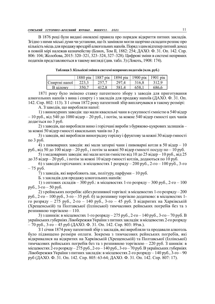В 1876 році були видані оновлені правила про порядок відкриття питних закладів. Згідно з ними міські думи чи установи, що їх заміняли могли щорічно складати розпис про кількість місць для продажу вроздріб алкогольних напоїв. Поряд з цим відтепер питний доход в повній мірі належав казначейству (Блиох, Том ІІ, 1882: 254; ДАХО. Ф. 31. Оп. 142. Спр. 806: 104; Жолобова, 2015: 320–321, 323–324, 327–328). Цифрові зміни в системі непрямих податків представляються в такому вигляді (див. табл. 3) (Локоть, 1908: 174).

|                            | 1880 рік         | 1887<br>$\overline{p}$ | $1894$ pik | 1900<br>$\overline{p}$ | 1901<br>$\overline{p}$ |
|----------------------------|------------------|------------------------|------------|------------------------|------------------------|
| $\ddotsc$<br>Спиртні напоі | າາາ າ<br>ر. رے ک | 7577<br>. . 7 به       | 297,4      | 316,8                  | 312,9                  |
| В цілому                   | 350,7            | 412 8<br>+⊥∠,∪         | 581,4      | 658,1                  | 686,6                  |

| Таблиця 3. Кількісні зміни в системі непрямих податків (млн. руб.) |  |  |
|--------------------------------------------------------------------|--|--|
|                                                                    |  |  |

1871 року було змінено ставку патентного збору з заводів для приготування алкогольних напоїв з вина і спирту і з закладів для продажу напоїв (ДАХО. Ф. 31. Оп. 142. Спр. 802: 113). З 1 січня 1872 року патентний збір виплачувався в такому розмірі:

А. З заводів, що виробляли напої:

1) з винокурних заводів: що мали квасильні чани в сукупності ємністю в 540 відер – 10 руб., від 540 до 1080 відер – 20 руб., і потім, за кожне 540 відер ємності цих чанів додається по 3 руб.

2) з заводів, що виробляли вино і горілчані вироби з буряково-цукрових залишків – за кожні 50 відер ємності квасильних чанів по 3 р.

3) з заводів, які виробляли виноградну горілку і фруктову за кожні 30 відер ємності по 3 руб.

4) з пивоварних заводів: які мали заторні чани і пивоварні котли в 50 відер – 10 руб., від 50 до 100 відер – 20 руб., і потім за кожні 50 відер ємності посуду по – 10 руб.

5) з медоварних заводів: які мали котли ємністю від 10 до 25 відер – 10 руб., від 25 до 35 відер – 20 руб., і потім за кожні 10 відер ємності котлів, додаються по 10 руб.

6) з заводів горілчаних: в місцевостях 1 розряду – 200 руб., 2-го – 100 руб., 3-го – 75 руб.

7) з заводів, які виробляють лак, політуру, парфуми – 10 руб.

Б. з закладів для продажу алкогольних напоїв:

1) з оптових складів – 300 руб.: в місцевостях 1-го розряду – 300 руб., 2-го – 100 руб., 3-го – 50 руб.

2) з рейнських погребів: а) без розпивної торгівлі: в місцевостях 1-го розряду – 200 руб., 2-го – 100 руб., 3-го – 35 руб. б) за розпивну торгівлю додатково: в місцевостях 1 го розряду – 275 руб., 2-го – 140 руб., 3-го – 45 руб. З відкритих на Харківській (Хрещенській) та Полтавської (Іллінської) тимчасових рейнських погребів без та з розпивною торгівлею – 110.

3) з шинків: в місцевостях 1-го розряду – 275 руб., 2-го – 140 руб., 3-го – 70 руб. В українських губерніях Лівобережжя України з питних закладів: в місцевостях 2-го розряду  $-70$  руб., 3-го  $-45$  руб (ДАХО. Ф. 31. Оп. 142. Спр. 803: 89зв.).

З 1 січня 1874 року патентний збір з закладів, які виробляли та продавали алкоголь було підвищено розміри оплати. Зокрема з тимчасових рейнських погребів, які відкривалися на відкритих на Харківській (Хрещенській) та Полтавської (Іллінської) тимчасових рейнських погребів без та з розпивною торгівлею – 220 руб. З шинків: в місцевостях 2-го розряду – 275 руб., 2-го – 140 руб., 3-го – 70 руб. В українських губерніях Лівобережжя України з питних закладів: в місцевостях 2-го розряду – 140 руб., 3-го – 90 руб (ДАХО. Ф. 31. Оп. 142. Спр. 805: 63-64; ДАХО. Ф. 31. Оп. 142. Спр. 807: 17).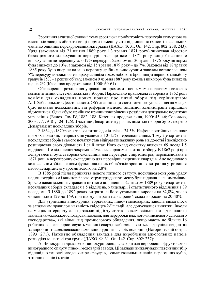Зростання акцизної ставки і тому зростаюча прибутковість перекурів стимулювала власників заводів обирати вищі норми і зменшувати відношення ємності квасильних чанів до одиниць перекурюваних матеріалів (ДАХО. Ф. 31. Оп. 142. Спр. 802: 238, 243). Уряд (законами від 21 квітня 1869 року і 3 травня 1871 року) знижував відсоток безакцизного відрахування перекурів, так що вже з 1871 року вище безакцизне відрахування не перевищувало 12% перекурів. Законом від 30 травня 1876 року ця норма була знижена до 10%, а законом від 15 травня 1879 року – до 7%. Законом від 18 травня 1885 року було вперше надано перевагу дрібним винокурним заводам встановленням 7% перекуру в безакцизне відрахування(за трьох добового бродіння) з першого мільйону градусів і 5% – з решти об'єму, законом 9 червня 1887 року кожна з цих норм була знижена ще на 2% (Казенная продажа вина, 1900: 60-61).

Обговорення розділення управління прямими і непрямими податками велося в комісії зі зміни системи податків і зборів. Паралельно працювала створена в 1862 році комісія для складення нових правил про питні збори під керівництвом А.П. Заболоцького-Десятовського. Об'єднання акцизного і митного управління на місцях було визнано неможливим, від реформи місцевої акцизної адміністрації вирішили відмовитися. Однак було прийнято принципове рішення розділити центральне податкове управління (Блиох, Том ІV, 1882: 188; Казенная продажа вина, 1900: 45–46; Соловьев, 2003: 77, 79–81, 124–126). З частини Департаменту різних податків і зборів було створено Департамент неокладних зборів.

З 1864 до 1870 роках тільки питний дохід зріс на 34,5%. На фоні постійних невиплат прямих податків, непрямі стягувалися з 10–15% перевиконанням. Тому Департамент неокладних зборів з самого початку став відігравати важливу роль в відомстві і послідовно розширював свою діяльність і свій штат. Його склад спочатку включав 69 посад і 5 відділень. 1-е відділення зокрема займалося справами з питного збору. В 1862 році при департаменті була створена експедиція для перевірки спиртометрів, перейменована в 1871 році в перевірочну експедицію для перевірки акцизних снарядів. Але водночас з колосальним збільшенням функціональних обов'язків зростання витрат на утримання цього департаменту зросли всього на 2,8%.

В 1885 році після прийняття нового питного статуту, посилився контроль уряду над винокурінням і виноторгівлею, структура департаменту була піддана значним змінам. Зросло навантаження справами питного відділення. За штатом 1889 року департамент неокладних зборів складався з 5 відділень, канцелярії і статистичного відділення з 89 посадами. З 1880 до 1892 роках витрати на його утримання виросли на 82,8%, число чиновників з 129 до 169, при цьому витрати на кадровий склад виросли на 20-40%.

Для утримання винокурних, горілчаних, пиво- і медоварних заводів вимагалося за загальним правилом наявність свідоцтв 2-ї гільдії, але допускалися винятки. Інколи на місцях інтерпретували ці заводи під 6-ту статтю, зовсім звільняючи від виплат ці заклади як «сільськогосподарські заклади, для переробки власного чи місцевого сільського господарства», які вільні від промислового обкладення, якщо мають не більше 16 робітників і не використовують машин і снарядів або звільняються від купівлі свідоцтва за виробництва землевласниками винокуріння зі своїх володінь (Исторический очерк, 1893: 271). Патентне обкладення закладів для вироблення алкогольних напоїв розподіляло на такі три групи (ДАХО. Ф. 31. Оп. 142. Спр. 802: 237):

А. Винокурні і дріжджево-винокурні заводи, заводи для вироблення фруктового і виноградного спирту, пиво- і медоварні заводи. Ці заклади виплачували патентний збір відповідно ємності заводських резервуарів, а саме: квасильних чанів, перегонних кубів, заторних чанів і котлів.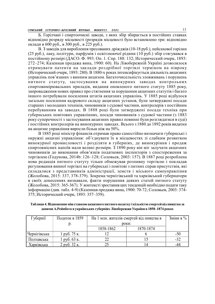Б. Горілчані і спиртоочисні заводи, з яких збір збирається в постійних ставках відповідно розряду місцевості (розрядів місцевості було встановлено три: відповідно оклади в 600 руб., в 300 руб., в 225 руб.).

В. З заводів для вироблення пресованих дріжджів (10-18 руб.), пейсахової горілки (25 руб.), лаку, політури, парфумів і освітлюючої рідини (10 руб.) збір стягувався в постійному розмірі (ДАСО. Ф. 993. Оп. 1. Спр. 188: 132; Исторический очерк, 1893: 272–274; Казенная продажа вина, 1900: 60). На Лівобережній Україні дозволялося отримувати патенти на заклади роздрібної торгівлі терміном на півроку (Исторический очерк, 1893: 280). В 1880-х роках інтенсифікується діяльність акцизних управлінь пов'язаних з винним акцизом. Багаточисельність зловживань і порушень питного статуту, застосування на винокурних заводах контрольних спиртовимірювальних приладів, видання оновленого питного статуту 1885 року, запровадження нових правил про стягнення за порушення акцизних статутів і багато іншого потребували посилення штатів акцизних управлінь. У 1885 році відбулося загальне посилення кадрового складу акцизних установ, були затверджені посади старших і молодших техніків, чиновників з судової частини, контролерів з постійним перебуванням на заводах. В 1888 році були затверджені посада техніка при губернських повітових управліннях, посади чиновників з судової частини (з 1883 року суперечності з застосування акцизних правил повинні були розглядатися в суді) і постійних контролерів на винокурних заводах. Всього з 1880 до 1892 років видатки на акцизне управління виросли більш ніж на 50%.

В 1885 році міністр фінансів отримав право самостійно визначати губернські і окружні акцизні управління: об'єднувати їх в місцевостях зі слабким розвитком винокурної промисловості і розділяти в губерніях, де винокуріння і продаж спиртовмісних напоїв мали великі розміри. З 1890 року він міг залучати акцизних чиновників до виконання обов'язків податкових інспекторів з спостереження за торгівлею (Годунова, 2014b: 126–128; Соловьев, 2003: 157). В 1887 році розроблена нова редакція питного статуту тільки обмежував розпивну торгівлю і покладав регулювання винної торгівлі на губернські і повітові з питних справ присутствія, які складалися з представників адміністрації, земств і міського самоуправління (Жолобова, 2015: 337, 378-379). Зокрема чернігівський та харківський губернатори в своїх донесеннях визнавали, факти порушення деяких статей питного статуту (Жолобова, 2015: 365-367). У контексті зростання цих тенденцій необхідно подати таку інформацію (див. табл. 4-9) (Казенная продажа вина, 1900: 70-72; Соловьев, 2003: 374- 375; Исторический очерк, 1893: 357–359).

| Губернії     | Податок в 1859 | На 1 млн. жителів смертей від пияцтва в | Зміни в % |     |
|--------------|----------------|-----------------------------------------|-----------|-----|
|              |                | роки:                                   |           |     |
|              |                | 1858-1862                               |           |     |
| Чернігівська | l руб. 75 к.   |                                         |           | -50 |
| Полтавська   | руб. 63 к.     |                                         |           | -32 |
| Харківська   | 2 руб. 32 к.   |                                         |           | -44 |

Таблиця 4. Відношення між ставкою акцизного питного податку і кількістю смертей від пияцтва за даними А.Рейнбота в українських губерніях Лівобережжя України в 1858–1874 роках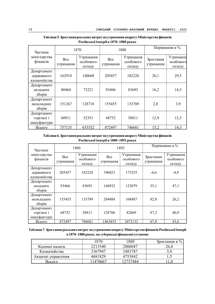| Частини                                   | 1870             |                                  | 1880             |                                  | Порівняння в %         |                                         |  |
|-------------------------------------------|------------------|----------------------------------|------------------|----------------------------------|------------------------|-----------------------------------------|--|
| міністерства<br>фінансів                  | Bce<br>утримання | Утримання<br>особового<br>складу | Bce<br>утримання | Утримання<br>особового<br>складу | Зростання<br>утримання | <b>Утримання</b><br>особового<br>складу |  |
| Департамент<br>державного<br>казначейства | 162918           | 140668                           | 205457           | 182228                           | 26,1                   | 29,5                                    |  |
| Департамент<br>окладних<br>зборів         | 80464            | 73221                            | 93466            | 83693                            | 16,2                   | 14,3                                    |  |
| Департамент<br>неокладних<br>зборів       | 151267           | 128718                           | 155455           | 133789                           | 2,8                    | 3,9                                     |  |
| Департамент<br>торгівлі і<br>мануфактури  | 60911            | 52351                            | 68752            | 58811                            | 12,9                   | 12,3                                    |  |
| Всього                                    | 757135           | 653532                           | 872497           | 746681                           | 15,2                   | 14,3                                    |  |

Таблиця 5. Зростання реальних витрат на утримання апарату Міністерства фінансів Російської імперії в 1870–1880 роках

Таблиця 6. Зростання реальних витрат на утримання апарату Міністерства фінансів Російської імперії в 1880–1892 роках

| Частини                                   | 1880             |                                  | 1892             |                                  | Порівняння в %         |                                  |
|-------------------------------------------|------------------|----------------------------------|------------------|----------------------------------|------------------------|----------------------------------|
| міністерства<br>фінансів                  | Bce<br>утримання | Утримання<br>особового<br>складу | Bce<br>утримання | Утримання<br>особового<br>складу | Зростання<br>утримання | Утримання<br>особового<br>складу |
| Департамент<br>державного<br>казначейства | 205457           | 182228                           | 196023           | 173255                           | $-4,6$                 | $-4,9$                           |
| Департамент<br>окладних<br>зборів         | 93466            | 83693                            | 144932           | 123079                           | 55,1                   | 47,1                             |
| Департамент<br>неокладних<br>36           | 155455           | 133789                           | 284088           | 168887                           | 82,8                   | 26,2                             |
| Департамент<br>торгівлі і<br>мануфактури  | 68752            | 58811                            | 128706           | 82869                            | 87,2                   | 40,9                             |
| Всього                                    | 872497           | 746681                           | 1463853          | 1072132                          | 67,8                   | 43,6                             |

Таблиця 7. Зростання реальних витрат на утримання апарату Міністерства фінансів Російської імперії в 1870–1880 роках. на губернські фінансові установи

|                    | 1870    | 1880    | Зростання в $\%$ 1 |
|--------------------|---------|---------|--------------------|
| Казенні палати     | 2213540 | 2806047 | 26,8               |
| Казначейства       | 3367947 | 3483787 | ジご                 |
| Акцизні управління | 4681829 | 4753842 | ن و له             |
| Всього             | 1470667 | 2737484 | $-1,0$             |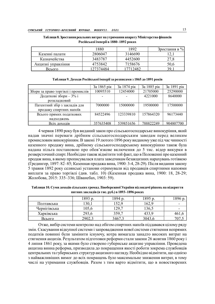|                    | 1880     | 1892    | Зростання в %       |
|--------------------|----------|---------|---------------------|
| Казенні палати     | 2806047  | 3146690 | $1 \mathcal{L}$ , 1 |
| Казначейства       | 3483787  | 4452600 | າາ ວ<br>2/0         |
| Акцизні управління | 4753842  | 7158676 | 50,6                |
| Всього             | 27374484 | 7712482 | 39,1                |

Таблиця 8. Зростання реальних витрат на утримання апарату Міністерства фінансів Російської імперії в 1880–1892 роках

|  |  | Таблиця 9. Доходи Російської імперії за розписами з 1865 до 1891 років |  |
|--|--|------------------------------------------------------------------------|--|
|--|--|------------------------------------------------------------------------|--|

|                                     | За 1865 рік | За 1874 рік | За 1885 рік | За 1891 рік |
|-------------------------------------|-------------|-------------|-------------|-------------|
| Збори за право торгівлі і промислів | 10095510    | 12454000    | 21705000    | 25290000    |
| Додаткові збори – 3% і              | ۰           |             | 4221000     | 8640000     |
| розкладковий                        |             |             |             |             |
| Патентний збір з закладів для       | 7000000     | 15000000    | 19500000    | 17500000    |
| продажу спиртних напоїв             |             |             |             |             |
| Всього прямих податкових            | 84522496    | 123339810   | 157864320   | 96173440    |
| надходжень                          |             |             |             |             |
| Всіх лохолів                        | 357635408   | 539851656   | 788822249   | 904807700   |

4 червня 1890 року був виданий закон про сільськогосподарське винокуріння, який надав значні переваги дрібним сільськогосподарським заводам перед великим промисловим винокурінням. В законі 19 лютого 1896 року виданому уже під час чинності казенного продажу вина, дрібному сільськогосподарському винокурінню також була надана пільга постановою про обов'язкове включення до 5 тис. відер викурки в розверсточний спирт. Необхідно також відмітити той факт, що в Положенні про казенний продаж вина, в якому прописувалася плата заводчикам безакцизних нарахувань готівкою (Гредингер, 1897: 82–85; Казенная продажа вина, 1900: 3-4, 28-29). Після видання закону 5 травня 1892 року селянські установи отримували від продавців спиртними напоями виплати за право торгівлі (див. табл. 10) (Казенная продажа вина, 1900: 18, 28-29; Жолобова, 2015: 335–336; Шванебах, 1903: 59).

Таблиця 10. Суми доходів сільських громад Лівобережної України від видачі рішень на відкриття питних закладів (в тис. руб.) в 1893–1896 роках

|              | 1893 p. | 1894 p. | 1895 p. | 1896 p. |
|--------------|---------|---------|---------|---------|
| Полтавська   | 30,1    | .52,9   | 162,9   | -       |
| Чернігівська | 105,6   | 29,7    | 136,5   | -       |
| Харківська   | 293,6   | 359,7   | 433,9   | 461,6   |
| Всього       | 2902,3  | 3467,3  | 3043,6  | 707, 1  |

Отже, вибір системи контролю над обігом спиртних напоїв піддавався цілому ряду змін. Скасування відкупної системи і запровадження нової системи стягнення непрямих податків повинні були замінити існуючу, котра вимагала занадто високих витрат на стягнення акцизів. Результатом підготовки реформи стали закони 26 жовтня 1860 року і 4 липня 1861 року, за якими було створено губернське акцизне управління. Проведена акцизна винна реформа, призводила до покращення якості роботи зокрема службовців центральних та губернських структур акцизного нагляду. Необхідно відмітити, що однією з найважливіших вимог до всіх покращень було максимальне зниження витрат, в тому числі на утримання службовців. Разом з тим варто відмітити, що в новостворених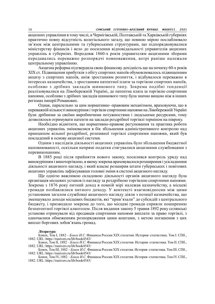акцизних управління в тому числі, в Чернігівській, Полтавській та Харківській губерніях практично повну відсутність колегіального загалу, що певною мірою послаблювало зв'язок між центральними та губернськими структурами, що підпорядковувалися міністерству фінансів і вело до посилення відповідальності управителів акцизних управлінь в губерніях. Впродовж 1860-х років управителям акцизними зборами передавались переважно розпорядчі повноваження, котрі раніше належали центральному управлінню.

Акцизна реформа підтвердила свою фінансову дохідність ще на початку 60-х років ХІХ ст. Підвищення прибутків з обігу спиртних напоїв обумовлювалось підвищенням акцизу з спиртних напоїв, аніж зростанням розпиття, і відбувалося переважно в інтересах казначейства, з зростанням патентної плати за торгівлю спиртних напоїв, особливо з дрібних закладів шинкового типу. Зокрема подібні тенденції реалізовувалися на Лівобережній Україні, де патентна плата за торгівлю спиртними напоями, особливо з дрібних закладів шинкового типу була значно вищою ніж в інших регіонах імперії Романових.

Однак, паралельно за цим нормативно–правовим механізмом, враховуючи, що в переважній кількості винокуріння і торгівля спиртними напоями на Лівобережній Україні були дрібними за своїми виробничими потужностями і людськими ресурсами, тому дозволялося отримувати патенти на заклади роздрібної торгівлі терміном на півроку.

Необхідно відмітити, що нормативно-правове регулювання та практика роботи акцизних управлінь змінювалися в бік збільшення адміністративного контролю над принципом вільної роздрібної, розпивної торгівлі спиртними напоями, який був покладений в основу акцизної системи.

Одним з наслідків діяльності акцизних управлінь було збільшення бюджетної наповнюваності, оскільки непрямі податки стягувалися акцизними службовцями з перевиконанням.

В 1885 році після прийняття нового закону, посилився контроль уряду над винокурінням і виноторгівлею, в якому зокрема враховувалося розширення і ускладнення діяльності акцизного нагляду, і який власне розширив штати губернських і повітових акцизних управлінь зафіксувавши головні зміни в системі акцизного нагляду.

Ще однією важливою складовою діяльності органів акцизного нагляду була організація місцевих установ із нагляду за роздрібною торгівлею спиртними напоями. Зокрема з 1876 року питний доход в повній мірі належав казначейству, а місцеві громади позбавлялися питного доходу. У контексті взаємовідносин між цими установами загалом службовці акцизного нагляду діяли з позиції казначейства, що зменшувало доходи місцевих бюджетів, які "прив'язали" до субсидій з центрального бюджету, і призводило зокрема до того, що місцеві громади сприяли поширенню безпатентної торгівлі алкоголем. Після видання закону 5 травня 1892 року селянські установи отримували від продавців спиртними напоями виплати за право торгівлі, з одночасним обмеженням розпорядження цими коштами, з метою погашення з цих виплат боргових зобов'язань громад.

#### Література:

Блиох, Том І, 1882 – Блиох И.С. Финансы России ХІХ столетия. История–статистика. Том І. СПб., 1882. URL: https://runivers.ru/lib/book4543/

Блиох, Том ІІ, 1882 – Блиох И.С. Финансы России ХІХ столетия. История–статистика. Том ІІ. СПб., 1882. URL: https://runivers.ru/lib/book4543/

Блиох, Том ІІІ, 1882 – Блиох И.С. Финансы России ХІХ столетия. История–статистика. Том ІІІ. СПб., 1882. URL: https://runivers.ru/lib/book4543/

Блиох, Том ІV, 1882 – Блиох И.С. Финансы России ХІХ столетия. История–статистика. Том ІV. СПб., 1882. URL: https://runivers.ru/lib/book4543/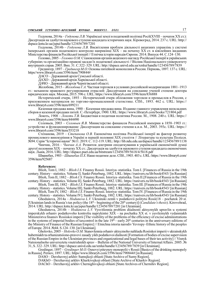Годунова, 2014a – Годунова Л.В. Українські землі в податковій політиці Росії(ХVIII – початок ХХ ст.): Дисертація на здобуття наукового ступеня кандидата історичних наук. Кіровоград, 2014. 237 c. URL: http:// dspace.kntu.kr.ua/jspui/handle/123456789/7201

Годунова, 2014b – Годунова Л.В. Висвітлення проблем діяльності акцизних управлінь у системі імперських органів податкового контролю наприкінці ХІХ – на початку ХХ ст. в ювілейних виданнях Міністерства фінансів Російської імперії // Етнічна історія народів Європи. 2014. Випуск 44. С.124–130.

Головко, 2005 – Головко О.М. Становлення органів акцизного нагляду Російської імперії в українських губерніях та організаційно-правові засади їх податкової діяльності // Вісник Національного університету внутрішніх справ. 2005. Вип. 31. С.322–329. URL: http://dspace.univd.edu.ua/xmlui/handle/123456789/7839

Гредингер, 1897 – Гредингер М.О. Основы питейной монополии в России. Перновь, 1897. 137 с. URL: https//www.library6.com/3596/item/790844#

ДАСО – Державний архів Сумської області.

ДАХО – Державний архів Харківської області.

ДАЧО – Державний архів Чернігівської області.

Жолобова, 2015 – Жолобова Г.А. Частная торговля в условиях российской модернизации 1881–1913 гг.: механизм правового регулирования отраслей: Диссертация на соискание ученой степени доктора юридических наук. Москва, 2015. 596 c. URL: https://www.library6.com/3596/item/836888

Исторический очерк, 1893 – Исторический очерк обложения торговли и промыслов в России, с приложением материалов по торгово-промышленной статистике. СПб., 1893. 462 с. URL: https:// www.library6.com/3596/item/699211

Казенная продажа вина, 1900 – Казенная продажа вина. Издание главного управления неокладних сборов и казенной продажи питей. С.-Петербург, 1900. URL: https://www.library6.com/books/721804.pdf

Локоть, 1908 – Локоть Т.В. Бюджетная и податная политика России. М., 1908. 240 с. URL: https:// www.library6.com/3596/item/444490

Соловьев, 2003 – Соловьев Я.В. Министерство финансов Российской империи в 1858–1903 гг.: устройство и функционирование: Диссертация на соискание степени к.и.н. М., 2003. 393с. URL: https:// www.library6.com/3596/item/553218

Степанова, 2019 – Степанова О.В. Економічна політика Російської імперії як фактор розвитку промислового винокуріння в Україні в першій половині XIX століття // Література та культура Полісся. №94. Серія "Історичні науки" №11. 2019. С. 112-119. URL: http://lib.ndu.edu.ua/dspace/handle/123456789/1138

Чинчик, 2016 – Чинчик А.А. Розвиток доктрини оподаткування в українській економічній думпі другої половини ХІХ – початку ХХ ст.: Дисертація на здобуття наукового ступеня кандидата економічних

наук. Львів, 2016. URL: http://dspace.puet.edu.ua/bitstream/123456789/5618/4/5618.pdf

Шванебах, 1903 – Шванебах П.Х. Наше податное дело. СПб., 1903. 403 с. URL: https://www.library6.com/ 3596/item/925687

### References:

Blioh, Tom I, 1882 – Blioh I.S. Finansy Rossii. Istoriya–statistika. Tom I. [Finances of Russia in the 19th century. History – statistics. Volume I]. Sankt-Peterburg, 1882. URL: https://runivers.ru/lib/book4543/ [in Russian] Blioh, Tom II, 1882 – Blioh I.S. Finansy Rossii. Istoriya–statistika. Tom II. [Finances of Russia in the 19th

century. History – statistics. Volume II]. Sankt-Peterburg, 1882. URL: https://runivers.ru/lib/book4543/ [in Russian] Blioh, Tom III, 1882 – Blioh I.S. Finansy Rossii. Istoriya–statistika. Tom III. [Finances of Russia in the 19th

century. History – statistics. Volume III]. Sankt-Peterburg, 1882. URL: https://runivers.ru/lib/book4543/ [in Russian] Blioh, Tom IV, 1882 – Blioh I.S. Finansy Rossii. Istoriya–statistika. Tom IV.[Finances of Russia in the 19th

century. History – statistics. Volume IV]. Sankt-Peterburg, 1882. URL: https://runivers.ru/lib/book4543/ [in Russian] Ghodunova, 2014a – Hodunova L.V. Ukrainski zemli v podatkovii politytsi Rosii(18 – pochatok 20 st.

[Ukrainian lands in Russia's tax policy (the  $18<sup>th</sup> –$  beginning of the  $20<sup>th</sup>$  century)] (Candidate's thesis). Kirovohrad, 2014. URL: http://dspace.kntu.kr.ua/jspui/handle/123456789/7201 [in Ukrainian].

Ghodunova, 2014b – Hodunova L.V. Vysvitlennia problem diialnosti aktsyznykh upravlin u systemi imperskykh orhaniv podatkovoho kontroliu naprykintsi ХІХ – na pochatku ХХ st. v yuvileinykh vydanniakh Ministerstva finansiv Rosiiskoi imperii [The visibility of the problems of the efficiency of excise administrations in the systems of imperial bodies of taxcontrol in the late  $19<sup>th</sup>$  – early  $20<sup>th</sup>$  centuries in the anniversary editions of the Ministry of Finance of the Russian Empire] // Etnichna istoria narodiv Yevropy–Ethnic history of the peoples of Europe. 2014. №44. S.124–130. [in Ukrainian].

Gholovko, 2005 – Holovko O.M. Stanovlennia orhaniv aktsyznoho nahliadu Rosiiskoi imperii v ukrainskykh huberniakh ta orhanizatsiiono-pravovi zasady yikh podatkovoi dialnosti [Formation of bodies of excise supervision of the Russian Empire in the Ukrainian provinces and organizational and legal bases of their tax activity] // Visnyk Natsionalnoho universytetu vnutrishnikh sprav – Bulletin of the National University of Internal Affairs. 2005. № 31, S. 322–329. URL: http://dspace.univd.edu.ua/xmlui/handle/123456789/7839 [in Ukrainian].

Gredinger, 1897 – Gredinger M.O. Osnovyi piteynoy monopolii v Rossii [Basics of the drinking monopoly in Russia]. Pernov, 1897. URL: https//www.library6.com/3596/item/790844# [in Russian].

DASO – Derzhavnyj arkhiv Sumsjkoji oblasti [State Archive of Sumy Region].

DAKhO – Derzhavnyj arkhiv Kharkivsjkoji oblasti [State Archive of Kharkiv Region].

DAChO – Derzhavnyj arkhiv Chernighivsjkoji oblasti [State Archives of Chernihiv Region].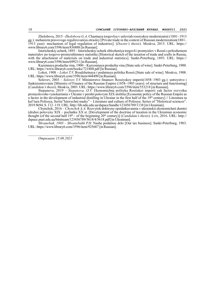Zholobova, 2015 –Zholobova G.A. Chastnaya torgovlya v usloviah rossiyskoy modernizatsii (1881–1913 gg.): mehanizm pravovogo regulirovaniya otrasley [Private trade in the context of Russian modernization(1881– 1913 year): mechanism of legal regulation of industries]. (Doctor's thesis). Moskva, 2015. URL: https:// www.library6.com/3596/item/836888 [in Russian].

Istoricheskiy ocherk, 1893 – Istoricheskiy ocherk oblozheniya torgovli i promyislov v Rossii s prilozheniem materialov po torgovo-promyishlennoy statistike.[Historical sketch of the taxation of trade and crafts in Russia, with the attachment of materials on trade and industrial statistics]. Sankt-Peterburg, 1893. URL: https:// www.library6.com/3596/item/699211 [in Russian].

Kazennaya prodazha vina, 1900 – Kazyonnaya prodazha vina.[State sale of wine]. Sankt-Peterburg, 1900. https://www.library6.com/books/721804.pdf [in Russian].

Lokot, 1908 – Lokot T.V. Byudzhetnaya i podatnaya politika Rossii.[State sale of wine]. Moskva, 1908. URL: https://www.library6.com/3596/item/444490 [in Russian].

Solovev, 2003 – Solovev Y.V. Ministerstvo finansov Rossiyskoy imperii(1858–1903 gg.): ustroystvo i funktsionirovanie [Ministry of Finance of the Russian Empire (1858–1903 years): of structure and functioning] (Candidate's thesis). Moskva, 2003. URL: https://www.library6.com/3596/item/553218 [in Russian].

Stepanova, 2019 – Stepanova, O.V. Ekonomichna polityka Rosiiskoi imperii yak factor rozvytku promyslovoho vynokurinnia v Ukraini v pershii polovyni XIX stolittia [Economic policy of the Russian Empire as a factor in the development of industrial distilling in Ukraine in the first half of the  $19<sup>th</sup>$  century] // Literatura ta kul'tura Polissya, Seriia"Istorychni nauky" – Literature and culture of Polissya. Series of "Historical sciences". 2019 №94, S. 112–119. URL: http://lib.ndu.edu.ua/dspace/handle/123456789/1138 [in Ukrainian].

Chynchyk, 2016 – Chynchyk A.A. Rozvytok doktryny opodatkuvannia v ukrainskii ekonomichnii dumtsi (druhoi polovyny ХІХ – pochatku ХХ st. [Development of the doctrine of taxation in the Ukrainian economic thought (of the second half  $19<sup>th</sup>$  – of the beginning  $20<sup>th</sup>$  century)] (*Candidate's thesis*). Lviv, 2016. URL: http:// dspace.puet.edu.ua/bitstream/123456789/5618/4/5618.pdf [in Ukrainian].

Shvanebah, 1903 – Shvanebakh P.H. Nashe podatnoe delo [Our tax business]. Sankt-Peterburg, 1903. URL: https://www.library6.com/3596/item/925687 [in Russian].

Отримано 15.08.2021

 $\frac{1}{2}$  ,  $\frac{1}{2}$  ,  $\frac{1}{2}$  ,  $\frac{1}{2}$  ,  $\frac{1}{2}$  ,  $\frac{1}{2}$  ,  $\frac{1}{2}$  ,  $\frac{1}{2}$  ,  $\frac{1}{2}$  ,  $\frac{1}{2}$  ,  $\frac{1}{2}$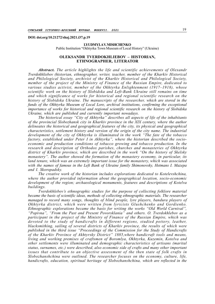DOI: doi.org/10.21272/shaj.2021.i37.p.19

#### LYUDMYLA V. MISHCHENKO

Public Institution "Okhtyrka Town Museum of Local History" (Ukraine)

### OLEKSANDR TVERDOKHLIEBOV – HISTORIAN, ETHNOGRAPHER, LITERATOR

Abstract. The article highlights the life and scientific achievements of Olexandr Tverdokhliebov (historian, ethnographer, writer, teacher, member of the Kharkiv Historical and Philological Society, archivist of the Kharkiv Historical and Philological Society, member of the project of the Ministry of Finance of the Russian Empire, dedicated to various studies activist, member of the Okhtyrka Enlightenment (1917–1918), whose scientific work on the history of Slobidska and Left-Bank Ukraine still remains on time and which significance of works for historical and regional scientific research on the history of Slobidska Ukraine. The manuscripts of the researcher, which are stored in the funds of the Okhtyrka Museum of Local Lore, archival institutions, confirming the exceptional importance of works for historical and regional scientific research on the history of Slobidska Ukraine, which are published and currently important nowadays.

The historical essay "City of Akhtyrka" describes all aspects of life of the inhabitants of the provincial Slobozhansk city in Kharkiv province in the XIX century, where the author delineates the historical and geographical features of the city, its physical and geographical characteristics, settlement history and version of the origin of the city name. The industrial development of the city of Okhtyrka is illuminated in the work "The fate of the tobacco factory, established under Peter I in Akhtyrka", where the historian described the socioeconomic and production conditions of tobacco growing and tobacco production. In the research and description of Orthodox parishes, churches and monasteries of Okhtyrka district of Kharkiv province, which are described in the work "On the history of Skelsky monastery". The author showed the formation of the monastery economy, in particular, its land tenure, which was an extremely important issue for the monastery, which was associated with the names of famous in the Left Bank of Ukraine family Shimonovsky, Hetmans I. Mazepa and I. Skoropadsky.

The creative work of the historian includes explorations dedicated to Kotelevshchina, where the author provided information about the geographical location, socio-economic development of the region; archaeological monuments, features and descriptions of Kotelva buildings.

Tverdokhlebov's ethnographic studies for the purpose of collecting folklore material became the basis of scientific ideas, methods of collecting ethnographic materials. The researcher managed to record many songs, thoughts of blind people, lyre players, bandura players of Okhtyrka district, which were written from lyricists Glushchenko and Gordienko. Ethnographic explorations became the basis for writing the works "Old World Carnival", "Popivna", "From the Past and Present Povorsklania" and others. O. Tverdokhlebov as a participant in the project of the Ministry of Finance of the Russian Empire, which was devoted to the study of handicrafts in different regions, studied pottery, leather, blacksmithing, sailing of several districts of Kharkiv province, the results of which were published in the third issue "Proceedings of the Commission for the Study of Handicrafts of the Kharkiv Province of Akhtyrsky District" 1885,where handicraft tools and means, living and working premises of craftsmen of Boromlya, Okhtyrka, Kuzemin, Kotelva and other settlements were illuminated and demographic characteristics of artisans (marital status, surnames, etc.) were described, also economic side of crafts and many other important issues that contribute to an objective assessment of the then state of folk crafts in Slobozhanshchina were outlined. The researcher focuses on the economy, culture, life, handicrafts, education, spiritual heritage of Slobozhanshchina, which are reflected in the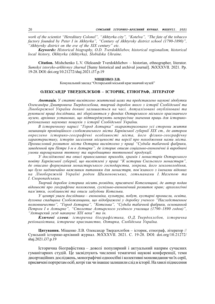work of the scientist "Hereditary Colonel", "Akhtyrka city", "Kotelva", "The fate of the tobacco factory founded by Peter I in Akhtyrka", "Century of Akhtyrsky district school (1790-1890)", "Akhtyrsky district on the eve of the XIX century" etc.

Keywords: Historical biography, O.D. Tverdokhliebov, historical regionalism, historical local history, Okhtyrka (Akhtyrka), Slobidska Ukraine.

Citation. Mishchenko L.V. Oleksandr Tverdokhliebov – historian, ethnographer, literator. Sumskyi istoryko-arkhivnyy zhurnal [Sumy historical and archival journal]. №XXXVІI. 2021. Pp. 19-28. DOI: doi.org/10.21272/shaj.2021.i37.p.19

### МІЩЕНКО Л.В.

Комунальний заклад "Охтирський міський краєзнавчий музей"

### ОЛЕКСАНДР ТВЕРДОХЛЄБОВ – ІСТОРИК, ЕТНОГРАФ, ЛІТЕРАТОР

Анотація. У статті висвітлено життєвий шлях та представлено наукові здобутки Олександра Дмитровича Твердохлєбова, творчий доробок якого з історії Слобідської та Лівобережної України донині залишається на часі. Актуалізовані опубліковані та рукописні праці дослідника, які зберігаються у фондах Охтирського міського краєзнавчого музею, архівних установах, що підтверджують непересічне значення праць для історикореґіональних наукових пошуків з історії Слобідської України.

В історичному нарисі "Город Ахтырка" охарактеризовано усі сторони життя мешканців провінційного слобожанського міста Харківської губернії ХІХ ст., де автором окреслено історико-географічні особливості міста, його фізико-географічну характеристику, історію заселення місцевості та версії про походження назви міста. Промисловий розвиток міста Охтирка висвітлено у праці "Судьба табачной фабрики, заведенной при Петре І-м в Ахтырке", де історик описав соціально-економічні й виробничі умови вирощування тютюну та виробництво тютюнової продукції.

У дослідженні та описі православних приходів, храмів і монастирів Охтирського повіту Харківської губернії, що висвітлені у праці "К истории Скельского монастыря", де описано формування монастирського господарства, зокрема, його землеволодіння, що було надзвичайно важливим питанням для монастиря, пов'язаного з іменами відомих на Лівобережній Україні родом Шимоновських, гетьманами І. Мазепою та І. Скоропадським.

Творчий доробок історика місить розвідки, присвячені Котелевщині, де автор подав відомості про географічне положення, суспільно-економічний розвиток краю; археологічні пам'ятки, особливості та описи забудови Котельви.

У центрі уваги дослідника – економіка, культура, побут, кустарні промисли, освіта, духовна спадщина Слобожанщини, що відображені у доробку ученого "Наследственное полковничество", "Город Ахтырка", "Котельва", "Судьба табачной фабрики, основанной Петром І в Ахтырке", "Столетие Ахтырского уездного училища (1790–1890 годов)", "Ахтырский уезд накануне ХІХ века" та ін.

Ключові слова: історична біографістика, О.Д. Твердохлєбов, історична реґіоналістика, історичне краєзнавство, Охтирка, Слобідська Україна.

Цитування. Міщенко Л.В. Олександр Твердохлєбов – історик, етнограф, літератор // Сумський історико-архівний журнал. №XXXVІI. 2021. С. 19-28. DOI: doi.org/10.21272/ shaj.2021.i37.p.19

Історична біографістика – доволі популярний і актуальний напрям сучасних гуманітарних студій. Це засвідчують численні тематичні наукові конференції, теми дисертаційних досліджень, монографічні одноосібні і колективні моновидання чи їх серії, присвячені портретам осіб, котрі так чи інакше залишили слід в історії. На хвилі піднесення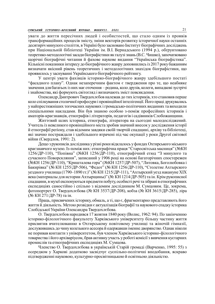уваги до життя пересічних людей і особистостей, що стало одним із проявів трансформаційних процесів змісту, зміни векторів розвитку історичної науки останніх десятиріч минулого століття, в Україні було засновано Інститут біографічних досліджень при Національній бібліотеці України ім. В.І. Вернадського (1994 р.), обґрунтовано теоретико-методологічні засади біографістики як галузі знань (В.С. Чишко), започатковано щорічні біографічні читання й фахове наукове видання "Українська біографістика". Кількісні показники інтересу до біографічного жанру доповнились із 2017 року бажанням визначати якісний рівень теоретичних і методологічних знахідок біографістики, що проявилось у заснуванні Українського біографічного рейтингу.

У центрі уваги фахівців історико-біографічного жанру здебільшого постаті "фасадного плану". Однак незаперечним фактом є твердження про те, що неабияке значення для багатьох із них має оточення – родина, коло друзів, колеги, випадкові зустрічі і знайомства, які формують світогляд і визначають зміст повсякдення.

Олександр Дмитрович Твердохлєбов належав до тих істориків, хто становив перше коло спілкування столичної професури і провінційної інтелігенції. Його праці друкувались у найпрестижніших тогочасних наукових і громадсько-політичних виданнях та виходили спеціальними накладами. Він був знаною особою з-поміж професійних істориків і аматорів-краєзнавців, етнографів і літераторів, педагогів і садівників Слобожанщини.

Життєвий шлях історика, етнографа, літератора на сьогодні малодосліджений. Учитель із невеликого провінційного міста зробив значний внесок у дослідження історії й етнографії реґіону, став відомим завдяки своїй творчій спадщині, архіву та бібліотеці, які значно постраждали і здебільшого втрачені під час окупації у роки Другої світової війни (Свердлов, 1991: 2).

Дещо з рукописів дослідника у різні роки відклалось у фондах Охтирського міського краєзнавчого музею. Із-поміж них: етнографічна праця "Старосвітська масниця" (№КН 1256/ДР-110), "Попівна" (№КН 1256/ДР-110), етнографічний етюд "З минулого та сучасного Поворскляння", записаний у 1906 році на основі багаторічних спостережен (№КН 1256/ДР-110), "Кришталева гора" (№КН 1257/ДР-507), "Литовка, Боголюбовка і Бакирівка" (№ КН 1255/ДР-506), "Федот" (№ КН 1256/ДР-110), "Столетие Ахтырского уездного училища (1790–1890 гг.)" (№ КН 1215/ДР-111), "Ахтырский уезд накануне ХІХ века (материалы для истории Ахтырщины)" (№ КН 1214/ДР-505) та ін. Крім рукописної спадщини, в музеї експонуються предмети побуту, особисті речі та зібрані в етнографічних експедиціях самостійно і спільно з відомим дослідником М. Сумцовим. Це, зокрема, фотопортрет О. Твердохлєбова (№ КН 3537/ДР-208), кобза (№ КН 3615/ДР-285), ліра (№ КН 271/ДР-78) та ін.

Праць, присвячених історику, обмаль, а ті, що є, фрагментарно представляють його життя й діяльність. Метою розвідки є актуалізація біографії та наукового спадку історика Слобідської України Олександра Твердохлєбова.

О. Твердохлєбов народився 17 жовтня 1840 року (Волис, 1962: 94). По закінченню історико-філологічного факультету Харківського університету більшу частину життя присвятив вчителюванню в Охтирському повітовому училищі та жіночій гімназії, дослужившись до чину колезького асесора й одержавши іменне дворянство. Однак ніколи не поривав контакти з університетом, був членом Харківського історико-філологічного товариства і його архіваріусом, брав активну участь у роботі комісії з вивчення кустарних промислів та етнографічних експедиціях М. Сумцова.

Членство О. Твердохлєбова в українській Старій громаді (Варченко, 1995: 55) з осередком у Харкові додатково засвідчує суспільно-політичні вподобання, яскраво підтвердженні науковою, культурно-просвітницькою й освітньою діяльністю.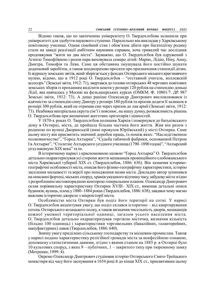Відомо також, що по закінченню університету О. Твердохлєбова залишили при університеті для здобуття наукового ступеню. Паралельно він викладав у Харківському повітовому училищі. Однак сімейний стан і обов'язок дбати про багатодітну родину стали на заваді реалізації амбітним науковим справам, хоча тривалий час дослідник продовжував "жити на два міста". Зауважмо, що О. Твердохлєбов був одружений з Агнією Тимофіївною і разом пара виховувала семеро дітей: Марію, Лідію, Ніну, Анну, Дмитра, Тимофія та Лева. Саме ця обставина змушувала його постійно шукати додатковий заробіток, а також неодноразово просити про призначення стипендії дітям. Із журналу земських звітів, який зберігається у фондах Охтирського міського краєзнавчого музею, відомо, що в 1912 році О. Твердохлєбов – "отставной учитель, коллежскій ассесоръ" (Земські звіти, 1912: 71), звертався до голови охтирських 48 чергових повітових земських зборів із проханням виділити кошти у розмірі 120 рублів на стипендію доньці Лідії, яка навчалась у Москві на фельдшерських курсах (ОМКМ. Ф. 10801/7. ДР. 987 Земські звіти, 1912: 73). А дещо раніше Олександр Дмитрович висловлювався із вдячністю за стипендію сину Дмитру у розмірі 180 рублів та просив додати її залишок в розмірі 300 рублів, який не отримав син через призов до лав армії (Земські звіти, 1912: 73). Неабияка матеріальна скрута сім'ї і пояснює, на нашу думку, розважливість рішень О. Твердохлєбова при визначенні життєвих орієнтирів і цінностей.

У 1870-х роках О. Твердохлєбов полишив Харків і повернувся до батьківського дому в Охтирці, міста, де пройшла більша частина його життя. Жив він разом з родиною по вулиці Дворянській (нині провулок Юріївський) у місті Охтирка. Саме цьому місту він присвятить значний доробок праць, із-поміж яких: "Наследственное полковничество", "Город Ахтырка", "Судьба табачной фабрики, основанной Петром І в Ахтырке", "Столетие Ахтырского уездного училища (1790–1890 годов)", "Ахтырский уезд накануне ХІХ века" та ін.

В історичному нарисі з красномовною назвою "Город Ахтырка" О. Твердохлєбов детально охарактеризував усі сторони життя мешканців провінційного слобожанського міста Харківської губернії ХІХ ст. (Твердохлебов, 1886: 636). Він зазначив історикогеографічні особливості міста, описав його фізико-географічну характеристики, історію заселення місцевості та версії про походження назви міста. Докладно автор зупинився на описанні фортеці, міських споруд, храмів указаного відтинку часу, забудову міста згідно з розробленим містовпорядною конторою генеральним планом. Олександр Дмитрович склав порівняльну характеристику Охтирки XVIII– XIX ст., виконав детальні описи будинків, вулиць, площ у 1880–1884 роках (Твердохлебов, 1886: 638), завдяки чому маємо важливе історичне джерело з мікроісторії міста.

Особливістю міста Охтирки був поділ його території на сотні. У нарисі О. Твердохлєбов акцентував увагу, що поділ склався історично – від квартирування сотень Охтирського козацького полку, а також визначив чисельність дворів, мешканців кожної умовної територіальної одиниці, загалом усього населення міста. О. Твердохлєбов детально охарактеризував торгівлю містечка, визначив кількість (більше 100 одиниць) і характеристики торговельних (бакалійних, галантерейних, мануфактурних) лавок (Твердохлебов, 1886: 640).

Значну увагу приділено сільському господарству та місцевим промислам. Також у нарисі подано характеристику релігійної громади міста за конфесійною ознакою, доповнену статистичними даними, згідно з якими станом на 1885 р. в Охтирці було 10 культових споруд, з яких 9 – публічних, 1 – закритого типу при тюремному замку (Мотренко, 1999: 4).

Окремо Олександр Дмитрович студіював історію Охтирського Свято-Троїцького монастиря від часу його заснування в 1654 році й до кінця ХІХ ст., присвятивши цьому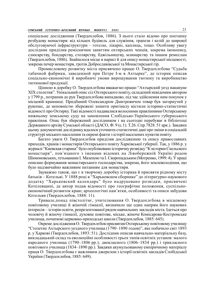спеціальне дослідження (Твердохлебов, 1886). З нього стало відомо про поетапну розбудову монастиря: від кількох будівель для служіння, трапези і келій до широкої обслуговуючої інфраструктури – готелю, лікарні, каплиць, тощо. Особливу увагу дослідник приділив ремісничим заняттям охтирських ченців, зокрема іконопису, слюсарству, бондарству, столярству, бджільництву, млинарству та іншим ремеслам (Твердохлебов, 1886). Знайшлося місце в нарисі й для опису монастирської місцевості, зокрема печер монастиря, гротів Доброславівської та Монастирської гір.

Промисловому розвитку міста присвячено працю О. Твердохлєбова "Судьба табачной фабрики, заведенной при Петре І-м в Ахтырке", де історик описав соціально-економічні й виробничі умови вирощування тютюну та виробництво тютюнової продукції.

Цінною в доробку О. Твердохлєбова вважаємо працю "Ахтырский уезд накануне ХІХ столетия". Унікальний опис сіл Охтирського повіту, складений невідомим автором у 1799 р., потрапив до рук Твердохлєбова випадково, під час здійснення ним покупок у місцевій крамниці. Придбаний Олександром Дмитровичем товар був загорнутий у рукопис, де неповністю збережені зошити оригіналу містили історико-статистичні відомості про Охтирку. Такі відомості надавалися волосними правліннями Охтирському нижньому земському суду на замовлення Слобідсько-Українського губернського правління. Опис був збережений дослідником і на сьогодні перебуває в бібліотеці Державного архіву Сумської області (ДАСО, Ф. 9 (с.1). Т.26. Спр.7828. 51 арк.). Завдяки цьому документові досліднику вдалося уточнити статистичні дані про зміни в соціальній структурі міського населення та окремі факти з історії населених пунктів повіту.

Багато уваги О. Твердохлєбов приділяв дослідженню та опису православних приходів, храмів і монастирів Охтирського повіту Харківської губернії. Так, у 1886 р. у журналі "Киевская старина" було опубліковано історичну розвідку "К истории Скельского монастыря", пов'язаного з іменами відомих на Лівобережній Україні родом Шимоновських, гетьманами І. Мазепою та І. Скоропадським (Мотренко, 1999: 4). У праці описано формування монастирського господарства, зокрема, його землеволодіння, що було надзвичайно важливим питанням для монастиря.

Зауважмо також, що є в творчому доробку історика й присвяти рідному місту батьків – Котельві. У 1888 році в "Харьковском сборнике" до літературно-наукового додатку "Харьковский календарь" було надруковано розвідки, присвячені Котелевщині, де автор подав відомості про географічне положення, суспільноекономічний розвиток краю; археологічні пам'ятки, особливості та описи забудови Котельви (Твердохлебов, 1888: 11).

Тривале,понад півстолітнє, учителювання О. Твердохлєбова в місцевому повітовому училищі й жіночій гімназії, визначило ще один напрям його наукових інтересів – історія освіти, репрезентованої рядом навчальних закладів міста. Ідеться про чоловічу й жіночу гімназії, духовне повітове, міське, жіноче Комісарова-Костромське училища, початкові церковно-приходські школи (Твердохлебов, 1885: 645).

Окреме дослідження О. Твердохлєбов присвятив Охтирському повітовому училищу "Столетие Ахтырского уездного училища (1790–1890 годов)", яке побачило світ 1893 р. у Харкові (Твердохлебов, 1893: 51). Дослідник описав навчально-матеріальну базу, викладацький склад та еволюційні особливості трьох типів освітніх установ: малого народного училища (1790–1806 рр.); двокласного (1806–1834 рр.) і трикласного повітового училища (1834–1890 рр.). Завдяки акумульованому емпіричному матеріалу праця О. Твердохлєбова є важливим джерелом з історії освітніх закладів Слобідської України (Твердохлебов, 1885: 649).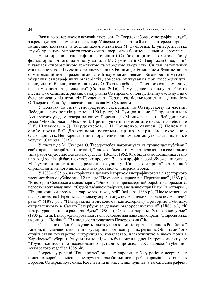Важливою сторінкою в науковій творчості О. Твердохлєбова є етнографічні студії, зокрема кустарні промисли і фольклор. Університетські стіни й спільні інтереси сприяли зміцненню контактів із дослідником-початківцем М. Сумцовим. Їх університетська дружба триватиме упродовж усього життя і звершиться багатьма спільними проєктами.

Неодноразові етнографічні експедиції Слобожанщиною із метою збору фольклористичного матеріалу єднали М. Сумцова й О. Твердохлєбова, який цікавився етнографічною тематикою та народною творчістю. Спільні захоплення стали основою спілкування та листування між ними, а їх вислідом були не лише обмін емоційними враженнями, але й науковими ідеями, обговорення методик збирання етнографічних матеріалів, зокрема опитування при посередництві періодики та більш дієвого, на думку О. Твердохлєбова, – "личного ознакомления, по возможности тщательного" (Скирда, 2016). Йому вдалося зафіксувати багато пісень, дум сліпців, лірників, бандуристів Охтирського повіту. Значну частину з них було записано від лірників Глущенка та Гордієнка. Фольклористична діяльність О. Твердохлєбова була високо поцінована М. Сумцовим.

У додатку до звіту етнографічної експедиції по Охтирському та частині Лебединського повітів (серпень 1901 року) М. Сумцов писав: "Я проехал вдоль Ахтырского уезда с севера на юг, от Боромли до Млинков и часть Лебединского уезда (Михайловка и Межирич). При покупке предметов мне оказали содействие К.И. Шиманов, А.Д. Твердохлебов, С.Н. Грищенко, священ. Д. Попов и в особенности В.С. Долженкова, которыми приношу при сем искреннюю благодарность. Непосредственное обращение к лицам, кои могут оказати полезные услуги" (Скирда, 2016).

У листах до М. Сумцова О. Твердохлєбов наголошував на труднощах публікації своїх праць з історії та етнографії, "так как обычно термозит появление в свет такого типа работ скудостью денежных средств" (Волис, 1962: 95). Бідування дослідника стало на заваді реалізації багатьох творчих проектів. Знаючи про фінансові обмеження колеги, М. Сумцов клопотав перед редакцією журналу "Киевская старина" з тим, щоб оприлюднити на його шпальтах низку розвідок О. Твердохлєбова.

У 1883–1905 рр. на сторінках відомого історико-етнографічного та літературного часопису було опубліковано 12 праць: "Покровская церков в г. Переяславле" (1883 р.), "К истории Скельского монастыря", "Эпизоды из предсмертной борьбы Запорожья за целость своих владений", "Судьба табачной фабрики, заведенной при Петре І в Ахтырке", "Традиционный промысел харьковских коцарей" (всі – за 1886 р.), "Наследственное полковничество (Переписка по поводу борьбы двух полковничьих родов за полковничий ранг)" (1887 р.), "Инструкция войсковому канцеляристу Григорию Губчицу, отправленному в Санкт-Петербург за делами малороссийскими" (1888 р.), "К литературной истории рассказа "Вусы" (1890 р.), "Осколки старины в Зеньковском уезде" (1905 р.) та ін. Етнографічні розвідки стали основою для написання праць "Старосвітська масниця", "Попівна", "З минулого та сучасного Поворскляння" ін.

О. Твердохлєбов брав участь також у проєкті міністерства фінансів Російської імперії, присвяченого вивченню кустарних промислів різних реґіонів. Об'єктами його студій стали гончарство, шкурництво, ковальство, плахотництво кількох повітів Харківської губернії. Результати досліджень були оприлюднені у третьому випуску "Трудов комиссии по исследованию кустарних промыслов Харьковской губернии Ахтырского уезда" за 1885 рік.

Зокрема у розділі "Гончарство" описано сировинну базу реґіону, асортимент глиняних виробів, ремісничі інструменти і засоби, житлові й робочі приміщення гончарів Боромлі, Охтирки, Куземина, Котельви та ін. населених пунктів, а також демографічні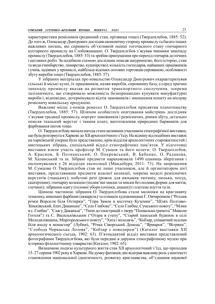характеристики ремісників (родинний стан, прізвища тощо) (Твердохлебов, 1885: 52). До того ж, Олександр Дмитрович дослідив економічну сторону промислу та багато інших важливих питань, які сприяють об'єктивній оцінці тогочасного стану гончарного кустарного промислу на Слобожанщині. О. Твердохлєбов з'ясував чинники занепаду промислу (Твердохлебов, 1885: 53) та зробив припущення про перехід гончарів до пічних і цегляних робіт. За подібною схемою дослідник описав шкурництво, його історію, стан та види (чинбарство, лимарство, кушнірство); кількість господарів, найманих працівників і учнів, задіяних у промислі, найбільш відомих оптових торговців сировиною, особливості збуту виробів тощo (Твердохлебов, 1885: 57).

У зібраних матеріалах про ковальство Олександр Дмитрович охарактеризував сільські й міські кузні, їх працівників, назви виробів, сировинну базу, а серед причин занепаду промислу вказав на розвиток транспортного сполучення, зокрема залізничного, що створювало можливість безперешкодно купувати мануфактурні вироби і, відповідно, детермінувало відтік замовників і зменшення попиту на місцеву ремісничу ковальську продукцію.

Важливе місце з-поміж ремесел О. Твердохлєбов присвятив плахотництву (Твердохлебов, 1885: 57). Шляхом особистого опитування майстринь дослідник з'ясував традиції промислу, портрет замовників і ремісничих, ринки збуту, детально описав ткацький верстат і ткання плахт, виготовлення природних барвників для фарбування ниток тощо.

О. Твердохлєбову випала нагода стати активним учасником етнографічної виставки, що була розгорнута в Харкові до XII археологічного з'їзду. На відміну від подібних виставок на харківській уперше було представлено, крім відділів археологічних старожитностей і мистецьких зібрань, спеціальний відділ етнографічних пам'яток. У підготовці виставки взяли участь професор М. Сумцов та його колеги: О. Твердохлєбов, А. Краснов, Б. Познанський, О. Покровський, В. Бабенко, О. Радакова, М. Халанський та ін. Зібрані предмети нараховували 1490 одиниць зберігання і експонувалися у 26 відділах експозиції (Мандебура, 2011: 73). На запрошення М. Сумцова О. Твердохлєбов став не лише учасником, але й організатором цієї виставки, представивши предмети власної колекції, зокрема моделі ремісничих верстатів (ткацьких); побутові речі (рожок для нюхання тютюну, люлька, посуд, скатертини); гончарну колекцію (полив'яні миски та миски без поливи,форми для квітів, глечики); зібрання одягу (головні убори (очіпки, шапки)) і плетене взуття та ін.

Цінною частиною зібрання О. Твердохлєбова стали малюнки на краєзнавчу тематику, виконані фарбами (акварель) та олівцем художниками Г. Овчаренком ("Розлив річки Ворскли біля Охтирки", "Гора Замок в містечку Куземин", "Шлях Полтаво-Зіньківський, близ Диканьки", "Село Глибоке", "Село Глибне, Сумського повіту", "Млин в с. Глибне", "Саж у Диканьці", "Типи до ілюстрацій з твору "Похвальна грамота" Миколи Гоголя") та С. Васильківським ("Отара в степу", "Старий панський будинок в селі Молодилівщина, Миргородського повіту", "Хата і колодязь", "Кобзар, співаючий псалми біля входу в монастир" (Лубни), "Річка Сіверський Донець", "Ярмарок", "Вітряки", "Слобода Черкаська Лозова", "Кобзар з поводирем") (Каталог выставки ХII археологического съезда, 1902: 63). П'ятнадцятий відділ виставки представлений фотографіями Твердохлєбова, які були передані в дарунок етнографічному музею при історико-філологічному товаристві (Каталог, 1902: 65).

Визначною подією культурного життя став ХІІ археологічний з'їзд, що проходив 15–27 серпня 1902 року в Харкові. На думку фахівців, він відіграв важливу роль у контексті становлення національної ідентичності, розвитку краєзнавства, об'єднання наукової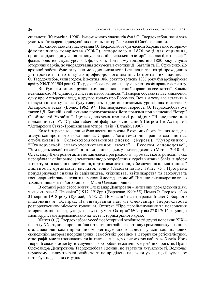спільноти (Каковкіна, 1998). Із-поміж його учасників був і О. Твердохлєбов, який узяв участь в обговоренні дискусійних питань з історії археології Слобожанщини.

Від самого моменту заснування О. Твердохлєбов був членом Харківського історикофілологічного товариства (ХІФТ), створеного в 1876 році для сприяння, організації,координування та популяризації досліджень з історії, філології, етнографії, фольклористики, культурології, філософії. При цьому товаристві з 1880 року існував історичний архів, де упорядкування документів очолили Д. Багалій та П. Єфименко. До архівної роботи було залучено молодих викладачів і стипендіатів, котрі проходили в університеті підготовку до професорського звання. Із-поміж них значився і О. Твердохлєбов, який згодом, із жовтня 1886 року по травень 1887 року, був архіваріусом архіву ХІФТ. У 1904 році О. Твердохлєбов передав значну кількість своїх праць товариству.

Він був невтомним трудівником, людиною "однієї справи на все життя". Зовсім невипадково М. Сумцову в листі до нього написав: "Намерен составить две книжечки, одну про Ахтырский уезд, а другую только про Боромлю. Вот я и хочу вас вставить в первую книжечку, когда буду говорить о достопочитаемых уроженцах и деятелях Ахтырского уезда" (Волис, 1962: 97). Поціновувачем творчості О. Твердохлєбова був також і Д. Багалій, який активно послуговувався його працями при написанні "Історії Слобідської України". Ідеться, зокрема про такі розвідки: "Наследственное полковничество", "Судьба табачной фабрики, основанной Петром І в Ахтырке", "Ахтырский Свято-Троицкий монастирь" та ін. (Багалій, 1990)

Коло інтересів дослідника було досить широким. В окремих біографічних довідках згадується про нього як садівника. Справді, його тематичні праці із садівництва, опубліковані в "Сельскохозяйственном листке" (Курськ), "Хуторянине", "Южнорусской сельскохозяйственной газете", "Русском садоводстве", "Земледельческой газете" та ін. виданнях, цьому підтвердження (Метка, 2010: 4). Олександр Дмитрович активно займався програмою із "громадської агрономії", яка передбачала співпрацю із земством щодо розроблення курсів читань і бесід, відбору літератури та наочних посібників, підготовка лекторів, забезпечення просвітницької діяльності, організації виставок тощо (Земські звіти, 1912: 75). Програма популяризувала знання із садівництва, ягідництва, квітникарства та заохочувала господарників запозичувати передовий досвід агрономії. Пізніше квітникарство стало захопленням життя його доньки – Марії Олександрівни.

В останні роки свого життя Олександр Дмитрович – активний громадський діяч, член охтирської "Просвіти" (1917–1918рр.) (Варченко,1990: 55). Помер О. Твердохлєбов 31 серпня 1918 року (Кучмай, 1968: 2). Похований на центральній алеї Соборного кладовища м. Охтирка. На вшанування пам'яті Олександра Твердохлєбова розпорядженням міського голови м. Охтирка "Про перейменування та повернення історичних назв площ, вулиць і провулків у місті Охтирка" № 24-р від 27.01.2016 р. вулицю імені Крупської перейменовано на честь історика рідного краю.

Життя О. Д. Твердохлєбова уособлює історичні особливості другої половини ХІХ – початку ХХ ст., коли провінційна інтелігенція зайняла активну громадянську позицію, стала засновником і провідником ідеї наукових товариств, учасником польових експедицій, автором неординарних, самобутніх розвідок з історичної реґіоналістики, етнографії, мистецтвознавства та ін. галузей знань, розвиток яких набирав обертів. Його творчий спадок може бути залучено до розробки тематичних музейних проєктів. Праці Олександра Дмитровича Твердохлєбова і донині не втратили актуальності. Водночас науковому спадку творчої особистості не приділено належної уваги, що й зумовлює потребу в подальших студіях.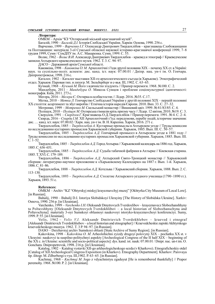#### Література:

ОМКМ – Архів "КЗ "Охтирський міський краєзнавчий музей".

Багалій, 1990 – Багалій Д.І. Історія Слобідської України. Харків: Основа, 1990. 256 с.

Варченко, 1999 – Варченко І.Г. Олександр Дмитрович Твердохлібов – краєзнавець Слобожанщини та Полтавщини: матеріали 3-ої Сумської обласної наукової історико-краєзнавчої конференції 1999, 7–8 грудня 1999, Суми / СумДПУ ім. А.С. Макаренка. Суми, 1999. С. 55.

Волис, 1962 – Волис В.И. Александр Дмитриевич Твердохлебов – краевед и этнограф // Краеведческие записки Ахтырского краеведческого музея. 1962. Т. 3. С. 94–97.

ДАСО – Державний архів Сумської області.

Каковкіна, 1998 – Каковкіна О. М. Археологічні з'їзди другої половини ХІХ – початку ХХ ст. в Україні: наук. та суспільно-політ. аспекти: дис. канд. іст. наук: 07.00.01 / Дніпр. нац. ун-т ім. О. Гончара. Дніпропетровськ, 1998. 216 с.

Каталог, 1902 – Каталог выставки ХІІ-го археологического съезда (в Харькове). Этнографический отдел. Харьков: Паровая тип. и литогр. М. Зильберберг и с-вья. ІІІ, 1902. С. 63–65.

Кучмай, 1968 – Кучмай М. Його з вдячністю згадують // Прапор перемоги. 1968. №100. С. 2.

Мандебура, 2011 – Мандебура О. Микола Сумцов і проблеми соціокультурної ідентичності: монографія. Київ, 2011. 273 с.

Мегера, 2016 – Мегера Є. Охтирка в особистостях // Лідер. 2016. №35. С.17.

Метка, 2010 – Метка Л. Гончарство Слобідської України у другій половині XIX – першій половині XX століття: асортимент та збут виробів // Етнічна історія народів Європи. 2010. Вип. 33. С. 27–32.

Мотренко, 1999 – Мотренко М. Скельський монастир // Вишневий цвіт. 1999. № 81/83/85. С. 4. Поліщук, 2010 – Поліщук М. Охтирська гімназія крізь призму часу // Лідер. 12 квітня, 2010. №19. С. 3. Свердлов, 1991 – Свердлов Г. Краєзнавець О.Д.Твердохлібов // Прапор перемоги. 1991. № 4. С. 2–4. Скирда, 2016 – Скирда І.М. ХІІ Археологічний з'їзд: передумови, перебіг подій, історичне значення: дис. … канд. іст. наук: 07.00.02 / Харк. нац. ун-т ім. В. Н. Каразіна. Харків, 2016. 271 с.

Твердохлебов, 1885 – Твердохлебов А. Кустарные промыслы в Ахтырском уезде // Труды комиссии по исследованию кустарних промыслов Харьковской губернии. Харьков, 1885. Вып. ІІІ. С. 50–57.

Твердохлебов, 1885 – Твердохлебов А.Д. Гончарный промысел в Ахтырском уезде в 1881 году // Труды комиссии по исследованию кустарних промыслов Харьковской губернии. Харьков, 1885. Вып. ІІІ. С. 1–52.

Твердохлебов, 1885 – Твердохлебов А.Д. Город Ахтырка // Харьковский календарь на 1886 год. Харьков, 1885. С. 636–651.

Твердохлебов, 1885 – Твердохлебов А.Д. Судьба табачной фабрики в Ахтырке // Киевская старина. 1885. Т. ХVІ. С. 179–189.

Твердохлебов, 1886 – Твердохлебов А.Д. Ахтырский Свято-Троицкий монастир // Харьковский сборник: литературно-научное приложение к «Харьковскому Календарю» на 1887 г. Вып. 1-й. Харьков, 1886. С. 81–86.

Твердохлебов, 1888 – Твердохлебов А.Д. Котельва // Харьковский сборник. Харьков, 1888. Вып. 2. С. 113–130.

Твердохлебов, 1893 – Твердохлебов А.Д. Столетие Ахтырского уездного училища (1790–1890 гг.). Харьков, 1893. 51 с.

#### References:

OMKM – Archiv "KZ "Ohtyrskyj miskyj krayeznavchyj muzej" [Okhtyrka City Museum of Local Lore]. [in Russian].

Bahalij, 1990 – Bahalij D.I. Istoriya Slobidskoyi Ukrayiny [The History of Slobidska Ukraine]. Xarkiv: Osnova, 1990. 256 p. [in Ukrainian].

Varchenko, 1999 – *Varchenko I.H.* Oleksandr Dmytrovych Tverdoxlibov – krayeznavecz Slobozhanshhyny ta Poltavshhyny [Oleksandr Dmytrovych Tverdokhlibov – a local historian of Slobozhanschyna and Poltavschyna]: materialy 3-oyi Sumskoyi oblasnoyi naukovoyi istoryko-krayeznavchoyi konferenciyi. Sumy, 1999. P. 55. [in Ukrainian].

Volis, 1962 – Volis V.I. Aleksandr Dmitrievich Tverdokhlebov – kraeved i etnograf [Aleksandr Dmitrievich Tverdokhliebov – a local historian and etnographer] // Kraevedcheskie zapiski Akhtyrskogo kraevedcheskogo muzeya. 1962. T. 3 P. 94–97. [in Russian].

DASO – Derzhavnyj archiv Sumskoyi oblasti [State Archive of Sumy Region]. [in Russian].

Kakovkina, 1998 – Kakovkina O. M. Arheolohichni zyizdy drugoyi polovyny XIX – pochatku XX st. v Ukrayini: naukovyi ta suspilno-politychnyi aspekty [Archeological Congress of the II half XIX – beginning of the XX c. in Ukraine: scientific and socio-political aspects]: dys. kand. ist. nauk: 07.00.01 / Dnipr. nac. un-t im. O. Gonchara. Dnipropetrovsk, 1998. 216 p. [in Ukrainian].

Katalog, 1902 – Katalog vystavki XІІ-go arkheologicheskogo sezda (v Kharkove). Etnograficheskiy otdel [Catalog of XII Archeological Congress Exposition (in Kharkov). Etnography Department]. Kharkov: Parovaya tip. ilitogr. M. Zilberbergi s-vya. ІІІ,1902. P. 63–65. [in Russian].

Kuchmaj,  $1968 - Kuchmaj M$ . Jogo z vdyachnistyu zgaduyut [He is remembered thankfully] // Prapor peremohy. 1968. №100. P. 2. [in Ukrainian].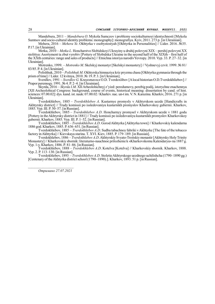Mandebura, 2011 – Mandebura O. Mykola Sumczov i problemy sociokulturnoyi identychnosti [Mykola Sumtsov and socio-cultural identity problems: monography]: monografiya. Kyiv, 2011. 273 p. [in Ukrainian].

Mehera, 2016 – Mehera Ye. Okhtyrka v osobystostyah [Okhtyrka in Personalities] // Lider. 2016. №35. P.17. [in Ukrainian].

Metka, 2010 – Metka L. Honcharstvo Slobidskoyi Ukrayiny u druhij polovyni XIX – pershij polovyni XX stolittya: Asortyment ta zbut vyrobiv [Pottery of Slobidska Ukraine in the second half of the XIXth – first half of the XXth centuries: range and sales of products] // Etnichna istoriya narodivYevropy. 2010. Vyp. 33. P. 27–32. [in Ukrainian].

Motrenko, 1999. – Motrenko M. Skelskyj monastyr [Skelskyi monastery] // Vyshnevyj czvit. 1999. № 81/ 83/85. P. 4. [in Ukrainian].

Polishhuk, 2010 – Polishhuk M. Okhtyrska himnaziya kriz pryzmu chasu [Okhtyrka gymnasia through the prism of time] // Lider. 12 kvitnya, 2010. № 19. P. 3. [in Ukrainian].

Sverdlov, 1991 – Sverdlov G. Krayeznavecz O.D. Tverdoxlibov [A local historian O.D.Tverdokhliebov] // Prapor peremogy. 1991. № 4. P. 2–4. [in Ukrainian].

Skyrda, 2016 – Skyrda I.M. XII Arheolohichnyj z'yizd: peredumovy, perebig podij, istorychne znachennya [ХІІ Archeolohical Congress: background, course of events, historical meaning: dissertation by сand. of hist. sciences: 07.00.02]: dys. kand. ist. nauk: 07.00.02 / Kharkiv. nac. un-t im. V. N. Karazina. Kharkiv, 2016. 271 p. [in Ukrainian].

Tverdokhlebov, 1885 – Tverdokhlebov A. Kustarnye promysly v Akhtyrskom uezde [Handicrafts in Akhtyrsky district] // Trudy komissii po issledovaniyu kustarnikh promyslov Kharkovskoy gubernii. Kharkov, 1885. Vyp. III. P. 50-57. [in Russian].

Tverdokhlebov, 1885 – Tverdokhlebov A.D. Honcharnyy promysel v Akhtyrskom uezde v 1881 godu [Pottery in the Akhtyrsky district in 1881] // Trudy komissii po issledovaniyu kustarnikh promyslov Kharkovskoy gubernii. Kharkov, 1885. Vyp. ІІІ. P. 1–52. [in Russian].

Tverdokhlebov, 1885 – Tverdokhlebov A.D. Gorod Akhtyrka [Akhtyrka town] // Kharkovskiy kalendarna 1886 god. Kharkov, 1885. P. 636–651. [in Russian].

Tverdokhlebov, 1885 – Tverdokhlebov A.D. Sudba tabachnoy fabriki v Akhtyrke [The fate of the tobacco factory in Akhtyrka] // Kievskaya starina. T. XVI. Kiev, 1885. P. 179-189. [in Russian].

Tverdokhlebov, 1886 – Tverdokhlebov A.D. Akhtyrskiy Svyato-Troitskiy monastir [Akhtyrsky Holy Trinity Monastery] // Kharkovskiy sbornik: literaturno-nauchnoe prilozhenie k «Kharkovskomu Kalendaryu» na 1887 g. Vyp. 1-y. Kharkov, 1886. P. 81–86. [in Russian].

Tverdokhlebov, 1888 – Tverdokhlebov A.D. Kotelva [Kotelva] // Kharkovskiy sbornik. Kharkov, 1888. Vyp. 2. P. 113–130. [in Russian].

Tverdokhlebov, 1893 - Tverdokhlebov A.D. Stoletie Akhtyrskogo uezdnogo uchilishcha (1790-1890 gg.) [Centenary of the Akhtyrka district school (1790–1890).]. Kharkov, 1893. 51 p. [in Russian].

Отримано 27.07.2021

 $\frac{1}{2}$  ,  $\frac{1}{2}$  ,  $\frac{1}{2}$  ,  $\frac{1}{2}$  ,  $\frac{1}{2}$  ,  $\frac{1}{2}$  ,  $\frac{1}{2}$  ,  $\frac{1}{2}$  ,  $\frac{1}{2}$  ,  $\frac{1}{2}$  ,  $\frac{1}{2}$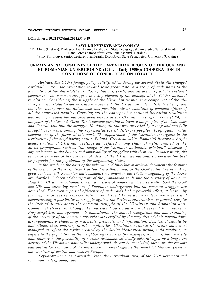### DOI: doi.org/10.21272/shaj.2021.i37.p.29

#### VASYL I. ILNYTSKYI<sup>1</sup>, ANNA O. OHAR<sup>2</sup>

<sup>1</sup> PhD hab. (History), Professor, Ivan Franko Drohobych State Pedagogical University; National Academy of Land Forces named after Petro Sahaidachnyi (Ukraine) <sup>2</sup>PhD (Philology), Senior Lecturer, Ivan Franko Drohobych State Pedagogical University (Ukraine)

### UKRAINIAN NATIONALISTS OF THE CARPATHIAN REGION OF THE OUN AND THE ROMANIAN UNDERGROUND (1940s - Early 1950s): COOPERATION IN CONDITIONS OF CONFRONTATION TOTALIT

Abstract. The OUN's foreign-policy activity, which during the Second World War changed cardinally – from the orientation toward some great state or a group of such states to the foundation of the Anti-Bolshevik Bloc of Nations) (ABN) and attraction of all the enslaved peoples into the common struggle, is a key element of the concept of the OUN's national revolution. Considering the struggle of the Ukrainian people as a component of the all-European anti-totalitarian resistance movement, the Ukrainian nationalists tried to prove that the victory over the Bolshevism was possible only on condition of common efforts of all the oppressed peoples. Carrying out the concept of a national-liberation revolution and having created the national departments of the Ukrainian Insurgent Army (UPA), in the years of the Second World War it became possible to involve the peoples of the Caucasus and Central Asia into the struggle. No doubt, all that was preceded by a long and carefully thought-over work among the representatives of different peoples. Propaganda raids became one of the forms of this work. The appearance of the Ukrainian insurgents in the territories of the neighboring states (Poland, Czechoslovakia, Romania) became a bright demonstration of Ukrainian feelings and refuted a long chain of myths created by the Soviet propaganda, such as "the image of the Ukrainian nationalist-criminal", absence of any resistance to the Soviets and impossibility of struggling with them, etc. In other words, the pictorial example of the carriers of ideas of the Ukrainian nationalism became the best propaganda for the population of the neighboring states.

In the article on the basis of the unknown and little-known archival documents the features of the activity of the Karpatskyi krai (the Carpathian area) of the OUN in the line of making good contacts with Romanian anticommunist movement in the 1940s – beginning of the 1950s are clarified. A dozen of descriptions of the propaganda raids into the territory of Romania, staged by Ukrainian nationalists with a mission of rendering objective truth about the OUN and UPA and attracting members of Romanian underground into the common struggle, are described. That even a partial efficiency of such raids had a powerful effect, at least  $-$  by forming an objective representation about the Ukrainian liberation movement and demonstrating a possibility to struggle against the Soviet totalitarianism, is proved. Despite the lack of details about the common struggle of the Ukrainian and Romanian anti-Communist structures (though the individual participation – of several Romanians in Karpatskyi krai underground – is undeniable), the mutual recognition and understanding of the necessity of the common struggle was certified by the very fact of their negotiations, arrangements, exchanges of materials, products, and information. Besides, it should be underlined, that, contrary to all complexities, Ukrainian national liberation movement managed to refute the myths created by the Soviet ideological-propaganda machine, to impart to the population of the neighboring countries (for example, Romania) the necessity and, moreover, the possibility of serious resistance, so vividly acknowledged by a long-term activity of the Ukrainian nationalist underground. As can be concluded, these are the reasons that pushed for expansion of the Resistance movement against the Soviet totalitarian system in the countries of central and eastern Europe.

Keywords: Romania, Karpatskyi krai (the Carpathian area) of the OUN, ukrainian and romanian underground, raids.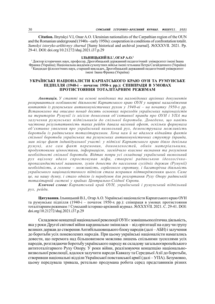Citation. Ilnytskyi V.I, Oнar A.O. Ukrainian nationalists of the Carpathian region of the OUN and the Romanian underground (1940s - early 1950s): cooperation in conditions of confrontation totalit. Sumskyi istoryko-arkhivnyy zhurnal [Sumy historical and archival journal]. №XXXVІI. 2021. Pp. 29-41. DOI: doi.org/10.21272/shaj.2021.i37.p.29

#### ІЛЬНИЦЬКИЙ В.І.<sup>1</sup>, ОГАР А.О.<sup>2</sup>

<sup>1</sup>Доктор історичних наук, професор, Дрогобицький державний педагогічний університет імені Івана Франкa (Україна); Національна академія сухопутних військ імені гетьмана Петра Сагайдачного (Україна)  $^{\text{2}}$ Кандидат філологічних наук, старший викладач, Дрогобицький державний педагогічний університет імені Івана Франкa (Україна)

### УКРАЇНСЬКІ НАЦІОНАЛІСТИ КАРПАТСЬКОГО КРАЮ ОУН ТА РУМУНСЬКЕ ПІДПІЛЛЯ (1940-і – початок 1950-х рр.): СПІВПРАЦЯ В УМОВАХ ПРОТИСТОЯННЯ ТОТАЛІТАРНИМ РЕЖИМАМ

Анотація. У статті на основі невідомих та маловідомих архівних документів розкриваються особливості діяльності Карпатського краю ОУН у напрямі налагодження контактів із румунським антикомуністичних рухом у 1940-ві – на початку 1950-х рр. Встановлено та описано понад десять основних переходів українських націоналістів на територію Румунії із місією донесення об'єктивної правди про ОУН і УПА та залучення румунських підпільників до спільної боротьби. Доведено, що навіть часткова результативність таких рейдів давала вагомий ефект, оскільки формувала об'єктивне уявлення про український визвольний рух, демонструвала можливість боротьби із радянським тоталітаризмом. Хоча нам й не вдалося віднайти фактів спільної боротьби українських та румунських антикомуністичних структур (правда, мав місце факт індивідуальної участі: у підпіллі Карпатського краю діяло декілька румун), але сам факт перемовин, домовленостей, обмін матеріальними, продуктовими цінностями, інформацією, засвідчило взаємне визнання та розуміння необхідності спільної боротьби. Відтак попри усі складнощі український визвольний рух вцілому вдало спростовував міфи, створені радянською ідеологічнопропагандистської машиною, зумів донести до населення сусідніх держав (Румунії) необхідність, а головне – можливість, серйозного спротиву, і багаторічна діяльність українського націоналістичного підпілля стала яскравим підтвердженням цього. Саме це, на нашу думку, і стало однією із передумов для розгортання Руху Опору радянській тоталітарній системі у країнах Центрально-Східної Європи.

Ключові слова: Карпатський край ОУН, український і румунський підпільний рух, рейди.

Цитування. Ільницький В.І., Огар А.О. Українські націоналісти Карпатського краю ОУН та румунське підпілля (1940-і – початок 1950-х рр.): співпраця в умовах протистояння тоталітарним режимам // Сумський історико-архівний журнал. №XXXVІI. 2021. С. 29-41. DOI: doi.org/10.21272/shaj.2021.i37.p.29

Складовою концепції національної революції ОУН є зовнішньополітична діяльність, яка у роки Другої світової війни кардинально змінилася – від орієнтації на одну чи групу великих держав до створення Антибільшовицького блоку народів (далі – АБН) і залучення до боротьби усіх поневолених народів. При цьому українські націоналісти намагались довести, що перемога над більшовизмом можлива лишень спільними зусиллями усіх народів, розглядаючи боротьбу українського народу як складову загальноєвропейського антитоталітарного Руху Опору. У роки війни, реалізовуючи концепцію національновизвольної революції, вдалося залучити народи Кавказу та Середньої Азії до боротьби, створивши національні відділи Української повстанської армії (далі – УПА). Безумовно, цьому передувала тривала, ретельно продумана робота серед представників різних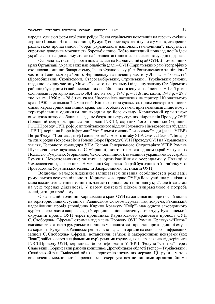народів, однією з форм якої стали рейди. Поява українських повстанців на теренах сусідніх держав (Польщі, Чехословаччини, Румунії) спростовувала цілу низку міфів, створених радянською пропагандою: "образ українського націоналіста-злочинця", відсутність спротиву, доводила можливість боротьби тощо. Тобто наглядний приклад носіїв ідей українського націоналізму ставав найкращою агітацією для населення сусідніх держав.

Основна частка цієї роботи покладалася на Карпатський край ОУН. З-поміж інших країв Організації українських націоналістів (далі – ОУН) Карпатський край (географічно охоплював нинішні Закарпатську, Івано-Франківську (без Рогатинського та північної частини Галицького районів), Чернівецьку та південну частину Львівської областей (Дрогобицький, Сколівський, Старосамбірський, Стрийський і Турківський райони, південно-західну частину Миколаївського, центральну і південну частину Самбірського районів) був одним із найчисельніших і найбільших та існував найдовше. У 1945 р. він охоплював територію площею 38,4 тис. кв.км, у 1947 р. – 31,6 тис. кв.км, 1948 р. – 29,8 тис. кв.км, 1950 р. – 28,8 тис. кв.км. Чисельність населення на території Карпатського краю 1950 р. складала 2,2 млн осіб. Він характеризувався як цілим спектром типових ознак, характерних для інших країв, так і особливостями, притаманними лише йому і територіальним одиницям, які входили до його складу. Карпатський край також виконував низку особливих завдань: базування структурних підрозділів Проводу ОУН (Головний осередок пропаганди – далі ГОСП), окремих його керівників (керівник ГОСППроводу ОУН, референт політвиховного відділу Головного військового штабу (далі – ГВШ), керівник Бюро інформації Української головної визвольної ради (далі – УГВР) Петро Федун-"Полтава", шеф Головного військового штабу УПА Олекса Гасин-"Лицар") та їхніх родин (зокрема сім'я Голови Бюро Проводу ОУН і Проводу ОУН на Українських землях, Головного командира УПА Голови Генерального Секретаріату УГВР Романа Шухевича переховувалася на Самбірщині); контакти із закордоном (край межував із Польщею, Румунією, Угорщиною, Чехословаччиною); взаємини з українцями Бессарабії, Румунії, Чехословаччини; зв'язки із організаційними осередками у Польщі й Чехословаччині, а через них – Німеччині (Карпатський край був однією з баз зв'язку між Проводом на Українських землях та Закордонними частинами ОУН).

Водночас малодослідженим залишається питання особливостей реалізації румунського вектора діяльності Карпатського краю ОУН,а його успішна реалізація мала важливе значення не лишень для життєдіяльності підпілля у краї, але й загалом на усіх теренах діяльності. У цьому контексті цілком виправданою є потреба дослідити цю проблему.

Організаційні одиниці Карпатського краю ОУН намагалися поширити свій вплив на територію інших, сусідніх з Радянським Союзом держав. Так, зокрема, Рахівський надрайонний провід (провідник Кирило Кравчук-"Жубр") мав одного закордонного кур'єра, через якого направляв до Угорщини націоналістичну літературу. Буковинський окружний провід ОУН через провідника Карпатського крайового проводу ОУН С. Слободяна-"Єфрема" отримав від члена Проводу ОУН Романа Кравчука-"Петра" вказівки зв'язатися з румунським підпіллям і надати звіт про стан прикордонної смуги на кордоні з Румунією. Радянські репресивно-каральні органи на основі розшифрованих записів С. Слободяна-"Єфрема" встановили: зв'язок із закордонними центрами (код "Іван") здійснювався спеціальними кур'єрськими групами, які направлялися від керівника ГОСППроводу ОУН, керівника Бюро інформації УГВРП. Федуна-"Севера" через Славський і Боринський райони колишньої Дрогобицької області (тепер – Турківський і Сколівський р-н Львівської обл.) на територію іноземних держав. Ці групи з метою виключення можливостей провалів має скеровуватися не чинними організаційними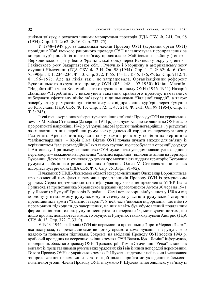лініями зв'язку, а рухатися іншими маршрутами переходів (ГДА СБУ. Ф. 2-Н. Оп. 98 (1954). Спр. 1. Т. 2: 62; Ф. 16. Спр. 732: 75).

У 1948–1949 рр. за завданням членів Проводу ОУН (керівний орган ОУН) провідник Жаб'ївського районного проводу ОУН налаштовував переправлення за кордон кур'єрів. Лінія цього зв'язку пролягала із Жаб'ївського району (тепер – Верховинського р-ну Івано-Франківської обл.) через Рахівську округу (тепер – Рахівського р-ну Закарпатської обл.), Румунію і Угорщину в американську зону окупації Німеччини (ГДА СБУ. Ф. 2-Н. Оп. 98 (1954). Спр. 1. Т. 2: 62; Ф. 6. Спр. 75390фп. Т. 1: 234–236; Ф. 13. Спр. 372. Т. 65: 14–15; Т. 66: 186; Ф. 65. Спр. 9112. Т. 8: 196–197). Але ця лінія так і не запрацювала. Організаційний референт Буковинського окружного проводу ОУН (05.1948 – 07.1950) Юліан Матвіїв- "Недобитий" і член Коломийського окружного проводу ОУН (1946–1951) Назарій Данилюк-"Перебийніс", виконуючи завдання крайового проводу, намагалися вибудувати ефективну лінію зв'язку із підпільниками "Залізної гвардії", а також завербувати утримувачів пунктів зв'язку для відправлення кур'єрів через Румунію до Югославії (ГДА СБУ. Ф. 13. Спр. 372. Т. 47: 214; Ф. 2-Н. Оп. 99 (1954). Спр. 8. Т. 3: 243).

Із свідчень керівника референтури зовнішніх зв'язків Проводу ОУН на українських землях Михайла Степаняка (25 серпня 1944 р.) довідуємося, що керівництво ОУН знало про розпочаті наприкінці 1942 р. у Румунії масові арешти "залізногвардійців", у результаті яких частина з них перейшли румунсько-радянський кордон та переховувалися у Галичині. Арешти пов'язували із чутками про втечу із Берліна керівника "залізногвардійців" – Хорія Сіма. Відтак ОУН почала шукати виходи для зв'язку із керівництвом "залізногвардійців" як з такою групою, що перебувала в опозиції до уряду І. Антонеску. При цьому керівництво ОУН дуже чітко усвідомлювало усі складнощі переговорів – зважаючи на прагнення "залізногвардійців" відновити вплив на території Буковини. Дехто навіть схилявся до думки про можливість віддати територію Буковини румунам в обмін на отримання від них озброєння. Однак М. Степаняк точно не знав відбулася зустріч чи ні (ГДА СБУ. Ф. 6. Спр. 75135фп: 91–92).

Начальник УНКДБ Львівської області генерал-лейтенант Олександр Воронін писав про виявлений ним факт перемовин представників Проводу ОУН із румунським урядом. Серед перемовників ідентифікував другого віце-президента УГВР Івана Гриньоха та представника Української держави (проголошеної Актом 30 червня 1941 р. у Львові) у Румунії Григорія Барабаша. Самі переговори відбувалися у 150 км від кордону у невідомому румунському містечку за участю з румунської сторони представників армії і "Залізної гвардії". У цей час з'явилася інформація , що нібито перемовини підходили до завершення, на них навіть був обумовлений подальший формат співпраці, однак румуни несподівано перервали їх, мотивуючи це тим, що якщо про них довідаються німці, то окупують Румунію, так як окупували Австрію (ГДА СБУ. Ф. 13. Спр. 372. Т. 33: 9).

У 1943–1944 рр. Провід ОУН вів перемовини про спільні дії проти Червоної армії, яка наступала, із представниками вищого угорського командування, і з румунською владою та польським підпіллям. Зокрема, на засіданні Проводу ОУН восени 1943 р. крайовий провідник на осередньо-східних землях ОУН Василь Кук-"Леміш" інформував, що керівник обласного проводу ОУН "Трансністрії" Тиміш Семчишин-"Річка" встановив контакт із представниками румунських урядових кіл і вів із ними попередні перемовини. Голова Проводу ОУН на українських землях Р. Шухевич підтримав цей почин і висловився за продовження перемовин для того, щоб надалі прийти до укладення військовополітичної угоди. Члени Проводу ОУН із думкою Р. Шухевича погодилися, у зв'язку із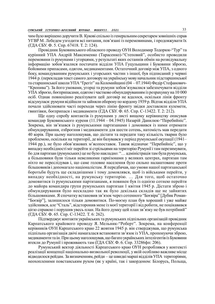чим було вирішено доручити В. Кукові спільно із генеральним секретарем зовнішніх справ УГВР М. Лебедем узгодити всі питання, пов'язані із перемовинами, і продовжувати їх (ГДА СБУ. Ф. 5. Спр. 67418. Т. 2: 124).

Провідник Буковинського обласного проводу ОУН Володимир Тодорюк-"Тур" та курінний УПА Андрій Максименко (Тарасенко)-"Степовий", особисто проводили перемовини із румунами і угорцями, у результаті яких останнів обмін на розвідувальну інформацію зобов'язалися постачати відділи УПА Гуцульщини і Буковини зброєю, бойовими припасами, одягом, медикаментами. Остаточний договір між УПА, з одного боку, командуванням румунських і угорських частин з іншої, був підписаний у червні 1944 р. (перекладав текст самого договору на українську мову начальник підстаршинської та старшинської школи УПА "Ґрегіт" на Коломийщині (04 – 07.1944) Федір Стефанович- "Кропива"). За його умовами, угорці та румуни зобов'язувалися забезпечувати відділи УПА зброєю, боєприпасами, одягом і частково обмундируванням із розрахунку на 10 000 осіб. Однак повноцінно реалізувати цей договір не вдалося, оскільки лінія фронту відсунулася: румуни відійшли та зайняли оборону по кордону 1939 р. Відтак відділи УПА почали здійснювати часті переходи через лінію фронту звідки доставляли кулемети, гвинтівки, боєприпаси і медикаменти (ГДА СБУ. Ф. 65. Спр. С-13422. Т. 2: 212).

Ще одну спробу контактів із румунами у листі вищому керівництву описував командир Буковинського куреня (11.1944 – 04.1945) Назарій Данилюк-"Перебийніс". Зокрема, він зв'язався із румунськими партизанами і домовився із ними отримати обмундирування, озброєння і медикаменти для шести сотень, натомість мав передати 40 корів. При цьому наголошував, що дістати та передати таку кількість тварин було проблемою, оскільки на території, де він базувався у період румунської окупації (1941– 1944 рр.), не було обов'язкових м'ясопоставок. Також відзначає "Перебийніс", що у випадку необхідності міг перейти зі стрільцями на територію Румунії і там перезимувати, бо для партизан (румунських) це не було накладно: "… адміністрація там була румунська, а більшовики були тільки невеликими гарнізонами у великих центрах, партизан там ніхто не переслідував і, що саме головне населення було сильно налаштоване проти більшовиків і допомагало націоналістам. Я передбачав, що умови нашої партизанської боротьби будуть ще складнішими і тому домовлявся, щоб із військами перейти, у випадку необхідності, на румунську територію. … Для того, щоб остаточно домовитися із румунськими партизанами, я повинен був із однією сотнею перейти до майора командира групи румунських партизан 1 квітня 1945 р. Дістати зброю і обмундирування було нескладно так як було декілька складів ще не зайнятих більшовиками. Я спочатку встановив зв'язок через сотенного "Боєвіра" [Дубик Роман- "Боєвір"], залишилося тільки домовитися. По-моєму план був хороший і уже майже здійснився, але "Сталь", відсторонив мене із моєї території і від роботи, не поцікавився цією справою і порушив увесь план. На його думку цей план зв'язку не був потрібний" (ГДА СБУ. Ф. 65. Спр. С-13422. Т. 6: 262).

Підтверджує контакти українських та румунських підпільних організацій провідник Карпатського крайового проводу Я. Мельник-"Роберт". Зокрема, на конференції керівників ОУН Карпатського краю 22 жовтня 1945 р. він стверджував, що румунська підпільна організація двічі намагалася встановити зв'язок із УПА, пропонуючи зброю, медикаменти та ін. При цьому наголошував, що багато українських інтелігентів із Буковини втекли до Румунії і проживають там (ГДА СБУ. Ф. 6. Спр. 33286фп: 206).

Румунський вектор діяльності Карпатського краю ОУН розроблявся у контексті реалізації концепції національно-визвольної революції, у якій особливо важливе місце відводилося рейдам. За визначенням, рейди – це швидкі марші відділів УПА територіями, неохопленими повстанським рухом (як у країні, так і закордоном: Білорусь, Польща,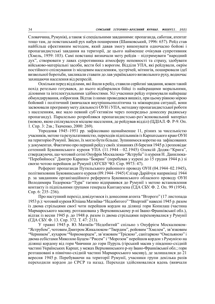Словаччина, Румунія), а також зі спеціальними завданнями: пропаганда, саботаж, атентат тощо там, де повстанський рух набув поширення (Шанковський, 1996: 657). Рейд став найбільш ефективним методом, який давав змогу виконувати одночасно бойові і пропагандистські завдання на території, де цього найменше очікував супротивник (Хмель, 1959: 103). Самі повстанці визначали мету рейдів – підтримувати "народний дух", створювати у лавах супротивника атмосферу непевності та страху, здобувати військово-матеріальні засоби, вести бої з ворогом. Відділи УПА, які рейдували, окрім постійного спілкування із місцевим населенням, зустрічей, мітингів, поширювали ідеї визвольної боротьби, закликали ставати до лав українського визвольного руху, водночас захищаючи населення від репресій.

Оскільки перед відділами, які йшли в рейд, ставили серйозні завдання, кожен такий похід ретельно готувався, до нього відбиралися бійці із найкращими моральними, діловими та інтелектуальними здібностями. Усі учасники рейду отримували найкраще обмундирування, озброєння. Відтак із ними проводився вишкіл, при цьому рівною мірою бойовий і політичний (вивчалася внутрішньополітична та міжнародна ситуації, вони засвоювали програмну мету діяльності ОУН і УПА, методику пропагандистської роботи з населенням, яке мало певний суб'єктивізм через попередньо донесену радянську пропаганду). Паралельно розроблявся пропагандистсько-роз'яснювальний матеріал (мовою, якою спілкувалося місцеве населення, де рейдував відділ) (ЦДІАЛ. Ф. Р-9. Оп. 1. Спр. 3: 2зв.; Ткаченко, 2000: 269).

Упродовж 1945–1951 рр. зафіксовано щонайменше 11, різних за чисельністю учасників, метою та результативністю, переходів підпільників із Карпатського краю ОУН на територію Румунії. Звісно, їх могло бути більше. Зупинимося коротко на зафіксованих у документах. Фактично про перший рейд у своїх зізнаннях (8 березня 1945 р.) розповідає сотенний Буковинського куреня УПА (11.1944 – 02.1945) Олексій Додяк-"Крига", стверджуючи, що чотовий сотні Онуфрія Москалюка-"Яструба" із куреня Н. Данилюка- "Перебийноса" Дмитро Карапка-"Боярин" (перебував у курені до 15 грудня 1944 р.) зі своєю чотою перейшов до Румунії (АУСБУ ЧО. Спр. 9973: 47).

Референт пропаганди Путильського районного проводу ОУН (04.1944–02.1945), політвиховник Буковинського куреня (09.1944–1945) Єлізар Дарійчук наприкінці 1944 р. за завданням організаційного референта Буковинського обласного проводу ОУН Володимира Тодорюка-"Тура" таємно відправився до Румунії з метою встановлення контакту із підпільними групами генерала Кантакузена (ГДА СБУ. Ф. 2. Оп. 99 (1954). Спр. 6: 235–236).

Про наступний перехід довідуємося із донесення агента "Второго" (17 листопада 1953 р.): чотовий куреня Юліана Матвіїва-"Недобитого" "Впертий" навесні 1945 р. разом із двома стрільцями своєї чоти перейшов кордон на ділянці гори Копилаш (частина Мармароського масиву, розташована у Верховинському р-ні Івано-Франківської обл.), відтак із весни 1945 р. до 1948 р. разом із двома стрільцями переховувалися у Румунії (ГДА СБУ. Ф. 13. Спр. 372. Т. 47: 213).

У травні 1945 р. Ю. Матвіїв-"Недобитий" спільно з Онуфрієм Москалюком- "Яструбом", чотовим Дмитром Жикалюком-"Твердим", ройовим "Хмелем", зв'язковим "Черником", кухаром "Чорноморцем", зв'язковим "Тріскою", санітаркою "Омельяною" і двома есбістами Миколою Буцем-"Рисем" і "Морозом" перейшов кордон з Румунією на ділянці кордону від гори Чивчини до гори Пуруль (гірський масив у південно-східній частині Українських Карпат, у межах Верховинського р-ну Івано-Франківської обл.; гори розташовані в північно-східній частині Мармароського масиву), де залишалися до 21 вересня 1945 р. Перебуваючи на території Румунії, учасники групи декілька разів переходили кордон до СРСР та назад. Переходи здійснювалися вдень (вивчали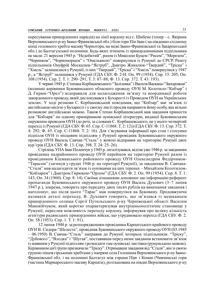пересування прикордонних нарядів) на лінії кордону від с. Шибене (тепер – с. Явірник Верховинського р-ну Івано-Франківської обл.) біля гори Піп Іван ( на південно-східному кінці головного хребта масиву Чорногора, на межі Івано-Франківської та Закарпатської обл.) до Балтагулської полонини. Будь-яких зіткнень із прикордонниками підпільники не мали. 21 вересня 1945 р. "Недобитий", разом із Миколою Буцем-"Рисем", "Морозом", "Черником", "Чорноморцем" і "Омельяною" повернулися із Румунії до СРСР. Решту підпільників Онуфрій Москалюк-"Яструб", Дмитро Жикалюк-"Твердий", "Тріска" і "Хмель" залишилися у Румунії, із них "Твердий", "Тріска" і "Хмель" повернулися у 1947 р., а "Яструб" залишився у Румунії (ГДА СБУ. Ф. 2-Н. Оп. 99 (1954). Спр. 15: 205; Оп. 108 (1954). Спр. 2. Т. 1: 290–291; Т. 3: 87–88; Ф. 13. Спр. 372. Т. 43: 193).

У червні 1945 р. Степана Корбашевського-"Залізняка" і Василя Васкана-"Запорожця" (колишні керівники Буковинського обласного проводу ОУН М. Колотило-"Кобзар" і Д. Гирюк-"Орел") відправили для налагодження зв'язку та координації роботи закордонного проводу, який дислокувався у Бухаресті із Проводом ОУН на Українських землях. У ході розмови С. Корбашевський повідомив, що "Кобзар" має зв'язок із англійською місією у Бухаресті і у своєму листі просив направити йому особу, яка вільно розмовляє англійською мовою. Також Степан Корбашевський мав завдання принести для "Кобзаря" по одному примірникові оунівської літератури, виданої Буковинським окружним проводом ОУН (до речі, за словами С. Корбашевського, це у нього четвертий перехід із Румунії (ГДА СБУ. Ф. 65. Спр. С-11868. Т. 2: 12)) (ГДА СБУ. Ф. 13. Спр. 372. Т. 4: 292; Ф. 65. Спр. С-11868. Т. 2: 16). Для з'ясування інформації про стан і стосунки підпілля ОУН із місцевим підпіллям у Румунії провідник Буковинського окружного проводу ОУН Василь Савчак-"Сталь" у жовтні відправив на територію Румунії двох кур'єрів (ГДА СБУ. Ф. 13. Спр. 398. Т. 24: 25–26).

Стрілець УПА Іван Поленчук у 1945 р. легалізувався, відтак уже 1946 р. за завданням провідника надрайонного проводу ОУН перейшов на територію Румунії разом із провідником Кіцманського районного проводу ОУН Олександром Федірчиком- "Тарасом" (загинув у грудні 1946 р. на території Румунії), за завданням В. Савчака- "Сталя" мав налагодити зв'язок із оунівцями на цих теренах – Михайлом Колотилом- "Кобзарем" і Дмитром Гирюком-"Орлом" (ГДА СБУ. Ф. 2. Оп. 99 (1954). Спр. 8. Т. 1: 143; Оп. 34 (1960). Спр. 8: 14). Своїми зізнаннями доповнює цю інформацію референт пропаганди Буковинського окружного проводу ОУН Василь Духович (3–7 липня 1947 р.), зокрема, говорить про передачу двох тисяч рублів на виконання завдання і наголошує, що після цього "Тарас" мав повернутися на Буковину. Продовжуючи називати деталі переходу, В. Духович говорить, що зв'язався із мешканцем прикордонного селища Сергії Путильського р-ну Чернівецької області Василем Маковійчуком, який коротко охарактеризував внутрішньополітичне становище у Румунії, окреслив можливість переходу кордону, інформував про велику кількість агентури радянських прикордонних військ, що утруднювало перехід (ГДА СБУ. Ф. 2. Оп. 58 (1953). Спр. 1. Т. 1: 91).

12 липня 1948 р. за розпорядженням провідника Карпатського крайового проводу ОУН В. Сидора-"Шелеста", провідник Буковинського окружного проводу ОУН (03.1945 – 06.1950) В. Савчак-"Сталь" направив до Румунії чотирьох підпільників: "Тріску", "Дубового", "Влодка" і "Шугая", поставивши перед ними завдання встановити зв'язок із наявним у Румунії підпіллям і розкидати там оунівські листівки (румунською мовою). Керівником цієї групи призначили "Тріску". Отримавши завдання від "Сталя", він зі своєю групою пішов гірськими хребтами у напрямі села Голошина Верховинського р-ну Івано-Франківської обл. і на полонині Балтагул між горами Пірє і Коман (Чивчинські гори (частина Мармароського масиву Карпати), розташована на півдні Верховинського р-ну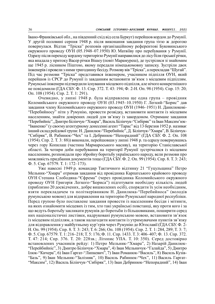Івано-Франківської обл., на південний схід від села Буркут) перейшов кордон до Румунії. У другій половині серпня 1948 р. після виконання завдання група тією ж дорогою повернулася. Відтак "Тріска" розповів організаційному референтові Буковинського окружного проводу ОУН (05.1948–07.1950) Ю. Матвіїву про перебування у Румунії. Одразу після переходу кордону територією Румунії направилися до лісу біля гірської річки, яка впадала у притоку Васер річки Вішеу (повіт Марамуреш), де зустрілися зі знайомим ще 1945 р. лісником Піштою, якому передали німецькомовну записку. Зустріли двох інженерів і провели з ними тригодинну бесіду. Розмову вів "Тріска", а перекладав "Шугай". Під час розмови "Тріска" представився інженером, учасником підпілля ОУН, який перейшов із СРСР до Румунії із завданням встановити зв'язок з місцевим підпіллям. Румунські інженери підтвердили існування місцевого підпілля, але нічого конкретнішого не повідомили (ГДА СБУ. Ф. 13. Спр. 372. Т. 43: 194; Ф. 2-Н. Оп. 98 (1954). Спр. 15: 20; Оп. 108 (1954). Спр. 2. Т. 1: 291).

Очевидно, у липні 1948 р. була відправлена ще одна група – провідник Коломийського окружного проводу ОУН (03.1945–10.1950) Г. Легкий-"Борис" дав завдання члену Коломийського окружного проводу ОУН (1946–1951) Н. Данилюкові- "Перебийносу" піти у Румунію, провести розвідку, встановити контакти із місцевим населенням, знайти довірених людей для зв'язку із закордоном. Отримане завдання "Перебийніс", Дмитро Білінчук-"Хмара", Василь Білінчук-"Сибіряк" та Іван Максим'юк- "Іваненко" (у своєму агентурному донесенні агент "Тарас" від 13 березня 1952 р. називає інший склад рейдової групи: Н. Данилюк-"Перебийніс", Д. Білінчук-"Хмара", В. Білінчук- "Сибіряк", В. Рабинюк-"Чех" та І. Дебринюк-"Непорадний" (ГДА СБУ. Ф. 2. Оп. 108 (1954). Спр. 2. Т. 3: 88)) виконали, перейшовши у липні 1948 р. та одразу повернувшись через гору Копилаш (частина Мармароського масиву), на територію Станіславської області. За чотири доби перебування на території Румунії зустрічалися із місцевим населенням, розповідали про збройну боротьбу українського народу, вели розмови про можливість придбання документів тощо (ГДА СБУ. Ф. 2. Оп. 99 (1954). Спр. 8. Т. 3: 243; Ф. 5. Спр. 67579. Т. 1: 172–173).

Уже навесні 1949 р. командир Тактичного відтинку 21 "Гуцульщина" Петро Мельник-"Хмара" отримав завдання від провідника Карпатського крайового проводу ОУН Степана Слободяна-"Єфрема" (через провідника Коломийського окружного проводу ОУН Григорія Легкого-"Бориса") підготувати необхідну кількість людей (приблизно 20 досвідчених, добре вишколених осіб), спорядити їх усім необхідним, взяти перекладачем та політкерівником Н. Данилюка-"Перебийноса" (володів румунською мовою) для відправлення на територію Румунської народної республіки. Перед групою було поставлене завдання провести із населенням бесіди і мітинги, на яких ознайомити місцевих із тим, хто такі українські повстанці, яку проти кого і за що ведуть боротьбу закликати румунів до боротьби із більшовиками, поширити серед них націоналістичні листівки, надруковані румунською мовою, встановити зв'язок із місцевим підпіллям, а також налагодити контакти із утримувачами пунктів зв'язку для відправлення у майбутньому кур'єрів через Румунію до Югославії (ГДА СБУ. Ф. 2- Н. Оп. 99 (1954). Спр. 8. Т. 3: 243; Т. 6: 266; Оп. 108 (1954). Спр. 2. Т. 1: 284, 289; Т. 3: 7; Ф. 5. Спр. 67579. Т. 1: 216–218; Т. 5: 176; Ф. 11. Спр. 1433. Т. 3: 406–407; Ф. 13. Спр. 372. Т. 47: 214; Спр. 376. Т. 20: 228зв.; Літопис УПА. Т. 10: 350). Серед достовірно встановлених учасників рейду: 1) Петро Мельник-"Хмара", 2) Назарій Данилюк- "Перейбийніс", 3) Дмитро Білінчук-"Хмара", 4) Іван Мельничук-"Галайда", 5) Дмитро Ілюк-"Кичера", 6) Іван Гаргат-"Липкевич", 7) Іван Романюк-"Василь", 8) Василь Кузів- "Базь", 9) Іван Мельник-"Залізняк", 10) Василь Рабинюк-"Чех", 11) Василь Гаргат- "Максим", 12) Василь Білінчук-"Сибіряк", 13) Іван Дебринюк-"Непорадний", 14) Іван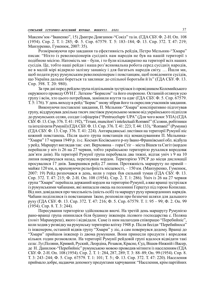Максим'юк-"Іваненко", 15) Дмитро Довганюк-"Сокіл" та ін. (ГДА СБУ. Ф. 2-Н. Оп. 108 (1954). Спр. 2. Т. 1: 285; Ф. 5. Спр. 67579. Т. 5: 183–184; Ф. 13. Спр. 372. Т. 47: 219; Манзуренко, Гуменюк, 2007: 35).

Розмірковуючи про завдання та ефективність рейдів, Петро Мельник-"Хмара" писав: "Ніхто із революціонерів сусідніх нам народів не був на нашій території з подібною місією. Натомість ми – були, і то були кількакратно на території всіх наших сусідів. Це, тобто наші рейди і наша роз'яснювальна робота серед сусідніх народів, не в малій мірі відкрило залізну занавісу і для багатьох народів світу. … Йшли ми, щоб подати руку румунським революціонерам і повстанцям, щоб повідомити сусідів, що Україна дальше бореться та закликає до спільної боротьби й їх" (ГДА СБУ. Ф. 13. Спр. 398. Т. 20: 980).

За три дні перед рейдом група підпільників зустрілася із провідником Коломийського окружного проводу ОУН Г. Легким-"Борисом" та його охороною. Останній оглянув усю групу і всім, хто цього потребував, замінили взуття та одяг (ГДА СБУ. Ф. 5. Спр. 67579. Т. 5: 176). У день виходу в рейд "Борис" знову зібрав його та окреслив учасників завдання.

Виконуючи поставлені завдання, П. Мельник-"Хмара" конспіративно підготував групу, віддрукував декілька тисяч листівок румунською мовою від українського підпілля до румунських селян, солдат і офіцерів ("Pentruceluptг UPA" (Для чого воює УПА) (ГДА СБУ. Ф. 13. Спр. 376. Т. 41: 192), "Tгrani, muncitori'i intelectuali Romвni!" (Селяни, робітники та інтелігенти Румунії) (ГДА СБУ. Ф. 13. Спр. 376. Т. 41: 223; Т. 44: 133), "Romвni!" (Румуни) (ГДА СБУ. Ф. 13. Спр. 376. Т. 41: 224). Антирадянські листівки на території Румунії ніс кожний повстанець. Після цього група повстанців під командуванням П. Мельника- "Хмари" 17 червня 1949 р. із с. Космач Косівського р-ну Івано-Франківської обл. відбула у рейд. Маршрут виглядав так: смт. Верховина – гора Стіг – міста Вішев та Сигіт (кордон перейшли у ніч із 26 на 27 червня, тобто українською територією рухалися впродовж дев'яти днів). На території Румунії група перебувала два тижні, відтак уніч з 9 на 10 липня повернулася назад, перетнувши кордон. Територією УРСР до місця дислокації просувалися 17 днів. Завершився рейд 27 липня. Протяжність маршруту по прямій – майже 120 км, а, враховуючи рельєфність місцевості, – 150 км. (Манзуренко, Гуменюк, 2007: 19) Рейд розпочався в день, коли у горах був сильний туман (ГДА СБУ. Ф. 13. Спр. 372. Т. 47: 215; Ф. 2-Н. Оп. 108 (1954). Спр. 2. Т. 1: 286). Уніч із 26 на 27 червня група "Хмари" перейшла держаний кордон на територію Румунії, а вже вранці зустрілася із румунськими чабанами, які випасали овець на полонині Герштул під горою Копилаш. Від них довідалися про чисельність (шість осіб) та маршрут руху прикордонних нарядів. Чабани поділилися із повстанцями їжею, розповіли про безпечні шляхи для дальшого руху (ГДА СБУ. Ф. 13. Спр. 372. Т. 47: 216; Ф. 5. Спр. 67579. Т. 1: 95 – 99; Ф. 2. Оп. 99 (1954). Спр. 8. Т. 3: 244).

Пересування територією здійснювали вночі. На третій день маршруту Румунією рано-вранці група опинилася біля будинку інженера лісового господарства с. Поляна (повіт Марамуреш), якого і відвідали. Саме із ним налагодив співпрацю "Перебийніс", коли ходив у розвідку на румунську територію влітку 1948 р. Після бесіди "Перебийноса" із інженером, останній відвів групу "Хмари" у ліс, а сам повернувся додому. Вранці до "Хмари" прийшов інженер із двома румунами. Вони принесли продукти і впродовж кількох годин розмовляли. На території Румунії рейдовій групі вдалося відвідати такі села: Луг,Поляни, Кривий, Руский, Леордіна, Розавля, Красне, Єуд, Вішев-Нижній і Васер, де Н. Данилюк-"Перебийніс" румунською мовою проводив мітинги із населенням (ГДА СБУ. Ф. 2-Н. Оп. 108 (1954). Спр. 2. Т. 1: 284, 287, 289; Т. 3: 88–89; Оп. 99 (1954). Спр. 8. Т. 3: 243–244; Ф. 5. Спр. 67579. Т. 1: 101; Т. 5:; Ф. 13. Спр. 372. Т. 47: 220). Населення приймало добре, надаючи допомогу продуктами харчування: "Населення, крім партійних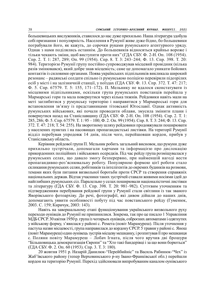большевицьких вислужників, ставилося до нас дуже прихильно. Наша література здобула собі признання і популярність. Населення в Румунії живе дуже бідно, бо большевики пограбували його, як кажуть, до сорочки руками румунського агентурного уряду. Однак з нами поділялись останнім. До большевиків відносяться крайньо вороже і тільки чекають зміни, щоб виступити проти них" (ГДА СБУ. Ф. 2-Н. Оп. 108 (1954). Спр. 2. Т. 1: 287, 289; Оп. 99 (1954). Спр. 8. Т. 3: 243–244; Ф. 13. Спр. 398. Т. 20: 984). Територією Румунії групу постійно супроводжував місцевий провідник (кілька разів змінювався), який добре знав місцевість; саме це допомагало уникати бойових контактів із силовими органами. Поява українських підпільників викликала широкий резонанс – радянські солдати спільно із румунською поліцією перевіряли підозрілих осіб у місті і на залізничній станції, у поїздах (ГДА СБУ. Ф. 13. Спр. 372. Т. 47: 217; Ф. 5. Спр. 67579. Т. 5: 155, 171–172). П. Мельнику не вдалося сконстатувати із місцевими підпільниками, оскільки група румунських повстанців перейшла у Мармарські гори та мала повернутися через кілька тижнів. Рейдовики навіть мали на меті заглибитися у румунську територію і направитися у Мармароські гори для встановлення зв'язку із представниками тітовської Югославії. Однак активність румунських військових, які почали проводити облави, змусила змінити плани і повернутися назад на Станіславщину (ГДА СБУ. Ф. 2-Н. Оп. 108 (1954). Спр. 2. Т. 1: 285, 286; Ф. 5. Спр. 67579. Т. 1: 95 – 100; Ф. 2. Оп. 99 (1954). Спр. 8. Т. 3: 244; Ф. 13. Спр. 372. Т. 47: 218; Т. 54: 255). На зворотному шляху рейдовики продовжували поширювати у населених пунктах і на пасовищах пропагандистські листівки. На території Румунії відділ перебував упродовж 14 днів, після чого, перейшовши кордон, прибув у Станіславську область.

Керівник рейдової групи П. Мельник робить загальний висновок, що румуни дуже прихильно зустрічали, допомагали харчами та інформацією про дислокацію прикордонних поліційних і військових осередків. Під час рейду група розміщувалася у румунських селах, що давало змогу безперервно, при найменшій нагоді вести пропагандивно-роз'яснювальну роботу. Популярною формою цієї роботи стало скликання румунських селян, робітників та інтелігентів до окремих будинків на розмови, темами яких були питання визвольної боротьби проти СРСР та створення справжніх національних держав. Відтак учасники таких зустрічей ставали живими носіями ідей до найглибших румунських сіл. Паралельно у селах поширювали націоналістичні листівки та літературу (ГДА СБУ. Ф. 13. Спр. 398. Т. 20: 981–982). Суттєвим уточненням та підтвердженням перебування рейдової групи у Румунії стали світлини із так званого Яворівського фотоархіву. До речі, фотографії, які дивом дійшли до наших днів, допомагають уявити особливості побуту під час повстанського рейду (Гуменюк, 2003. С. 159; Киричук, 2003: 143).

Навіть на завершальному етапі функціонування українського визвольного руху переходи оунівців до Румунії не припинилися. Зокрема, так про це писало 1 Управління МДБ СРСР. 30 квітня 1950 р. група із чотирьох оунівців, озброєних автоматами і одягнутих у військову форму, з'явилася у районі с. Ремета (повіт Марамуреш). Після уточнення у пастуха назви місцевості, група направилася до кордону СРСР. 5 травня у районі с. Янош (повіт Марамуреш) один оунівець зустрів місцеву мешканку, і розпитував її про мешканця с. Поляни повіту Марамуреш – Лобач Ігната, після чого вручив дві брошури "Більшовицька демократизація Європи" та "Хто такі бандерівці і за що вони борються" (ГДА СБУ. Ф. 2. Оп. 60 (1953). Спр. 3. Т. 3: 180).

20 жовтня 1951 р. Назарій Данилюк-"Перейбийніс" та Василь Рабинюк-"Чех" із Жаб'ївського району (тепер Верховинського р-ну Івано-Франківської обл.) перейшли кордон на територію Румунії. Перехід здійснювали випробуваним каналом оунівського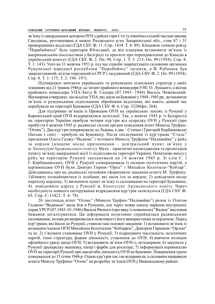зв'язку із закордонним центром ОУН у районі гори Стіг (у північно-східній частині масиву Свидівець, розташована в межах Рахівського р-ну Закарпатської обл., стик 87 і 31 прикордонних відділів) (ГДА СБУ. Ф. 11. Спр. 1434. Т. 4: 49). Кінцевою точкою рейду "Перебийноса" була територія Югославії, де він планував встановити зв'язок із американським посольством у Белграді та просити про переправлення до Канади в український комітет (ГДА СБУ. Ф. 2. Оп. 98. Спр. 1. Т. 3: 213; Оп. 99 (1954). Спр. 8. Т. 1: 143). Уніч на 31 жовтня 1951 р. під час спроби заарештувати силовими органами Румунської народної республіки "Перебийніс" загинув, а В. Рабинюк був заарештований, відтак переданий в СРСР і засуджений (ГДА СБУ. Ф. 2. Оп. 99 (1954). Спр. 8. Т. 1: 175; Т. 2: 196–197).

Підтверджує контакти українських та румунських підпільних структур у своїх зізнаннях від 21 травня 1946 р. ад'ютант крайового командира УНС О. Луцького, а відтак крайового командира УПА-Захід В. Сидора (07.1943– 1944) Василь Чижевський. Вінзокрема стверджує, що відділи УПА, які діяли на Буковині у 1944–1945 рр., встановили зв'язок із румунськими підпільними збройними відділами, які навіть деякий час перебували на території Буковини (ГДА СБУ. Ф. 6. Спр. 33286фп: 264).

Для підтримки зв'язків із Проводом ОУН на українських землях із Румунії у Карпатський край ОУН відправлялися делегації. Так, у жовтні 1945 р. із Бухареста на територію України прибули чотири кур'єри від осередку ОУН у Румунії (про прибуття 6 жовтня 1945 р. радянські силові органи повідомив агент Микола Труфин- "Огонь"). Два кур'єри попрямували до Львова, а два – Степан і Григорій Корбашевські (батько і син) – прибули на Буковину. Після спілкування із кур'єрами "Сталь" призначив Олега Гаджу-"Вадима" і чотового Миколу Труфина-"Наливайка" у рейд за кордон (кінцеве місце призначення – центральний пункт зв'язку у м. КимпулунгАрджешського повіту). Мета – практичне налагодження та організація пункту зв'язку закордонної місії із підпіллям на території України. Початково вихід у рейд на територію Румунії запланували на 14 жовтня 1945 р. Зі слів С. і Г. Корбашевських, ОУН у Румунії співпрацювала із низкою політичних партій, а керівниками ОУН були Дмитро Гирюк-"Орел" і Михайло Колотило-"Кобзар". Довідавшись про це, радянські силовики сформували завдання агенту М. Труфину: 1)ближче познайомитися із особами, які мали іти за кордон; 2) довідатися місце переходу кордону; 3) визначити пункт зв'язку із силовиками на території Буковини; 4). повідомити адресу у Румунії м. Кимпулунг Арджешського повіту. Через необхідність повного екіпірування відрядження кур'єрів затягнулося (ГДА СБУ. Ф. 65. Спр. С-13422. Т. 4: 78).

26 листопада агент "Огонь" (Микола Труфин-"Наливайко") разом із Олегом Гаджою-"Вадимом" мали йти в Румунію, але через появу наказу наркома внутрішніх справ УРСР (07.1943–01.1946) Василя Рясного (про явку із повинною) "Вадим" висловив бажання легалізуватися. Ця інформація позитивно сприйнялася радянськими силовиками, позаяк розширювалися можливості його використання за кордоном. Перед кур'єрами, які йшли до Румунії, ставили такі основні завдання: 1) встановити зв'язок із колишнім членом ОУН Михайлом Колотилом-"Кобзарем", Дмитром Гирюком-"Орлом" та ін. 2) з'ясувати становище ОУН у Румунії; 3) підрахувати чисельність політичних партій, їхню структуру, форми діяльності, ставлення до ОУН; 4) вивчити позицію офіційного уряду щодо ОУН; 5) встановити зв'язок ОУН із легіонерами; 6) закупити у Румунії друкарську машинку, папір і фарби для ротатора; 7) інформувати керівництво ОУН на території Румунії про масштаби діяльність ОУН на Буковині. Повернення групи планувалося до 15 січня 1946 р. Однак кур'єрів так і не відправили, а силовики направили агента Миколу Труфина-"Огонь" на розробку зв'язків ОУН у Вижницькому районі.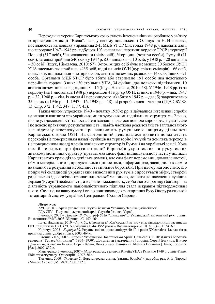Переходи на терени Карпатського краю стають інтенсивнішими,особливо у зв'язку із проведенням акції "Вісла". Так, у своєму дослідженні О. Іщук та Н. Ніколаєва, посилаючись на довідку управління 2-Н МДБ УРСР (листопад 1948 р.), наводять дані, що впродовж 1947–1948 рр. відбулося 103 нелегальні перетини кордону СРСР з території Польщі (517 осіб), Чехословаччини (вісім осіб), Угорщини (чотири особи), Румунії (11 осіб), загалом пройшли 540 осіб (у 1947 р. 83 – випадки – 510 осіб, у 1948 р. – 20 випадків – 30 осіб) (Іщук, Ніколаєва, 2010: 57). З-поміж цих осіб було не менше 30 боївок ОУН і УІІА чисельністю приблизно 435 осіб, підпільників ОУН (кур'єрів та емісарів) – 66 осіб, польських підпільників – чотири особи, агентів іноземних розвідок – 14 осіб, інших – 21 особа. Органами МДБ УРСР було вбито або затримано 191 особу, яка нелегально пере-йшла кордон. З них: 130 стрільців УПА, 34 оунівці, два польські підпільники, 10 агентів інозем-них розвідок, інших – 15 (Іщук, Ніколаєва, 2010: 58). У 1946–1948 рр. із-за кордону (на 1 листопада 1948 р.) перейшов 41 кур'єр ОУН, із них: в 1946 р. – два; 1947 р. – 32; 1948 р. – сім. Із числа 41 перекинутого: а) вбито у 1947 р. – два; б) заарештовано 35 із них (в 1946 р. – 1, 1947 – 16, 1948 р. – 18); в) розроблялося – чотири (ГДА СБУ. Ф. 13. Спр. 372. Т. 42: 347; Т. 77: 45).

Таким чином, упродовж 1940 – початку 1950-х рр. відбувалися інтенсивні спроби налагодити контакти між українськими та румунськими підпільними структурами. Звісно, що не усі домовленості та поставлені завдання вдалося повною мірою реалізувати, але і це довело практичну результативність і навіть часткова реалізованість запланованого дає підставу стверджувати про важливість румунського напряму діяльності Карпатського краю ОУН. На сьогоднішній день вдалося виявити понад десять переходів (із поверненням назад) оунівців на територію Румунії та декілька переходів (із поверненням назад) членів оунівських структур із Румунії на українські землі. Хоча нам й невідомо про факти спільної боротьби українських та румунських антикомуністичних структур (правда, мав місце факт індивідуальної участі: у підпіллі Карпатського краю діяло декілька румун), але сам факт перемовин, домовленостей, обмін матеріальними, продуктовими цінностями, інформацією, засвідчило взаємне визнання та розуміння необхідності спільної боротьби. При цьому наголосимо, що попри усі складнощі український визвольний рух зумів спростувати міфи, створені радянською ідеологічно-пропагандистської машиною, донести до населення сусідніх держав (Румунії) необхідність, а головне – можливість, серйозного спротиву, і багаторічна діяльність українського націоналістичного підпілля стала яскравим підтвердженням цього. Саме це, на нашу думку, і стало поштовхом для розгортання Руху Опору радянській тоталітарній системі у країнах Центрально-Східної Європи.

### Література:

АУСБУ ЧО – Архів управління Служби безпеки України у Чернівецькій області.

ГДА СБУ – Галузевий державний архів Служби безпеки України.

Гуменюк, 2003 – Гуменюк В. Фотограф УПА "Липкевич" // Український визвольний рух. Львів: Видавництво "Мс", 2003. Збірник 1. С. 159–164.

Іщук, Ніколаєва, 2010 – *Іщук О., Ніколаєва Н*. Кур'єрський зв'язок між закордонними частинами ОУН та підпіллям ОУН і УПА в Україні в 1944–1955 роках // Воєнна історія. 2010. № 1 (49). С. 54–69.

Киричук, 2003 – Киричук Ю. Український національний рух 40-50-х років XX століття: ідеоло-гія та практика. Львів: Добра справа, 2003. 464 с.

Літопис УПА, 2007 – Літопис Української Повстанської Армії. Нова серія. Т. 10: Життя і боротьба генерала "Тараса Чупринки" (1907–1950). Документи і матеріали / [упоряд. Сергій Богунов, Віктор Даниленко, Анатолій Кентій, Сергій Кокін, Володимир Лозицький, Микола Посівнич]. Київ; Торонто: [б.в.], 2007. 832 с.

Манзуренко, Гуменюк, 2007 – Манзуренко В., Гуменюк В. Рейд УПА в Румунію 1949 р. Львів-Рівне: Бібліотека журналу "Однострій", 2007. 56 с.

Ткаченко, 2000 – Ткаченко С. Повстанческая армия: (тактика борьбы) / [под общ. ред. А. Е. Тараса] / Минск: Харвест; М.: АСТ, 2000. 512 с.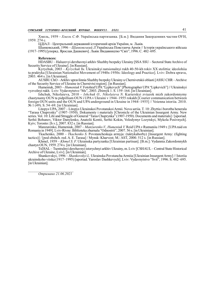Хмель, 1959 – Хмель С.Ф. Українська партизанка. [Б.м.]: Видання Закордонних частин ОУН, 1959. 274 с.

ЦДІАЛ – Центральний державний історичний архів України, м. Львів.

Шанковський, 1996 – Шанковський Л.Українська Повстанча Армія // Історія українського війська (1917–1995) [упоряд. Ярослав Дашкевич]. Львів: Видавництво "Світ", 1996. С. 482–695.

#### References:

HDASBU – Haluzevyi derzhavnyi arkhiv Sluzhby bezpeky Ukrainy [SSA SSU – Sectoral State Archive of Security Service of Ukraine]. [in Russian].

Kyrychuk, 2003 – Kyrychuk Yu. Ukrainskyi natsionalnyi rukh 40-50-kh rokiv XX stolittia: ideolohiia ta praktyka [Ukrainian Nationalist Movement of 1940s-1950s: Ideology and Practice]. Lviv: Dobra sprava, 2003. 464 s. [in Ukrainian].

AUSBU ChO – Arkhiv upravlinnia Sluzhby bezpeky Ukrainy u Chernivetskii oblasti [ASSU CHR – Archive of the Security Service of Ukraine in Chernivtsi region]. [in Russian].

Humeniuk, 2003 – Humeniuk V. Fotohraf UPA "Lypkevych" [Photographer UPA "Lipkevich"] // Ukrainskyi vyzvolnyi rukh. Lviv: Vydavnytstvo "Ms", 2003. Zbirnyk 1. S. 159–164. [in Ukrainian].

Ishchuk, Nikolaieva, 2010 – Ishchuk O., Nikolaieva N. Kurierskyi zviazok mizh zakordonnymy chastynamy OUN ta pidpilliam OUN i UPA v Ukraini v 1944–1955 rokakh [Courier communication between foreign OUN units and the OUN and UPA underground in Ukraine in 1944–1955] // Voienna istoriia. 2010. № 1 (49). S. 54–69. [in Ukrainian].

Litopys UPA, 2007 – Litopys Ukrainskoi Povstanskoi Armii. Nova seriia. T. 10: Zhyttia i borotba henerala "Tarasa Chuprynky" (1907–1950). Dokumenty i materialy [Chronicle of the Ukrainian Insurgent Army. New series. Vol. 10: Life and Struggle of General "Taras Chuprynka" (1907-1950). Documents and materials] / [uporiad. Serhii Bohunov, Viktor Danylenko, Anatolii Kentii, Serhii Kokin, Volodymyr Lozytskyi, Mykola Posivnych]. Kyiv; Toronto: [b.v.], 2007. 832 s. [in Russian].

Manzurenko, Humeniuk, 2007 – Manzurenko V., Humeniuk V. Reid UPA v Rumuniiu 1949 r. [UPA raid on Romania in 1949]. Lviv-Rivne: Biblioteka zhurnalu "Odnostrii", 2007. 56 s. [in Ukrainian].

Tkachenko, 2000 – Tkachenko S. Povstancheskaja armyja: (taktykaborby) [Insurgent Army: (fighting tactics)] / [pod obshch. red. A. E. Tarasa] / Mynsk: Kharvest; M.: AST, 2000. 512 s. [in Russian].

Khmel, 1959 – Khmel S. F. Ukrainska partyzanka [Ukrainian partisan]. [B.m.]: Vydannia Zakordonnykh chastyn OUN, 1959. 274 s. [in Ukrainian].

TsDIAL – Tsentralnyi derzhavnyi istorychnyi arkhiv Ukrainy, m. Lviv [CSHAUL – Central State Historical Archive of Ukraine, Lviv]. [in Ukrainian].

Shankovskyi, 1996 – Shankovskyi L. Ukrainska Povstancha Armiia [Ukrainian Insurgent Army] // Istoriia ukrainskoho viiska (1917–1995) [uporiad. Yaroslav Dashkevych]. Lviv: Vydavnytstvo "Svit", 1996. S. 482–695. [in Ukrainian].

Отримано 21.06.2021

 $\frac{1}{2}$  ,  $\frac{1}{2}$  ,  $\frac{1}{2}$  ,  $\frac{1}{2}$  ,  $\frac{1}{2}$  ,  $\frac{1}{2}$  ,  $\frac{1}{2}$  ,  $\frac{1}{2}$  ,  $\frac{1}{2}$  ,  $\frac{1}{2}$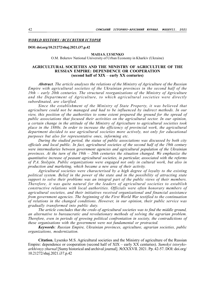# **WORLD HISTORY/ ВСЕСВІТНЯ ІСТОРІЯ**

#### DOI: doi.org/10.21272/shaj.2021.i37.p.42

#### MAIIA S. LYSENKO

O.M. Beketov National University of Urban Economy in Kharkiv (Ukraine)

### AGRICULTURAL SOCIETIES AND THE MINISTRY OF AGRICULTURE OF THE RUSSIAN EMPIRE: DEPENDENCE OR COOPERATION (second half of XIX – early XX centuries)

Abstract. The article analyses the relations of the Ministry of Agriculture of the Russian Empire with agricultural societies of the Ukrainian provinces in the second half of the 19th – early 20th centuries. The structural reorganizations of the Ministry of Agriculture and the Department of Agriculture, to which agricultural societies were directly subordinated, are clarified.

Since the establishment of the Ministry of State Property, it was believed that agriculture could not be managed and had to be influenced by indirect methods. In our view, this position of the authorities to some extent prepared the ground for the spread of public associations that focused their activities on the agricultural sector. In our opinion, a certain change in the attitude of the Ministry of Agriculture to agricultural societies took place in the 1880s. In order to increase the efficiency of provincial work, the agricultural department decided to use agricultural societies more actively, not only for educational purposes but also for representative ones, informing etc.

During the studied period, the status of public associations was discussed by both city officials and local public. In fact, agricultural societies of the second half of the 19th century were intermediaries between government agencies and agricultural population of the Ukrainian provinces. At the turn of the  $19th - 20th$  centuries the situation changed. We emphasize the quantitative increase of peasant agricultural societies, in particular, associated with the reforms of P.A. Stolypin. Public organizations were engaged not only in cultural work, but also in production and marketing, which became a new area of their activity.

Agricultural societies were characterised by a high degree of loyalty to the existing political system. Belief in the power of the state and in the possibility of attracting state support to solve their problems was an integral part of the public views of their members. Therefore, it was quite natural for the leaders of agricultural societies to establish constructive relations with local authorities. Officials were often honorary members of agricultural societies, and their initiatives received organizational and financial assistance from government agencies. The beginning of the First World War testified to the continuation of relations in the changed conditions. However, in our opinion, their public service was gradually transformed into public duty.

The article concludes that the credo of agricultural societies was to find the middle ground, an alternative to bureaucratic and revolutionary methods of solving the agrarian problem. Therefore, even in periods of growing political confrontation in society, the contradictions of these organisations with the government were not fundamental or protracted.

Keywords: Russian Empire, Ukrainian provinces, agriculture, agrarian societies, public organizations, modernization.

Citation. Lysenko M.S. Agricultural societies and the Ministry of agriculture of the Russian Empire: dependence or cooperation (second half of XIX – early XX centuries). Sumskyi istorykoarkhivnyy zhurnal [Sumy historical and archival journal]. №XXXVII. 2021. Pp. 42-57. DOI: doi.org/ 10.21272/shaj.2021.i37.p.42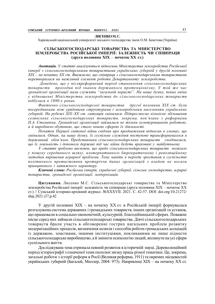### ЛИСЕНКО М. С.

Харківський національний університет міського господарства імені О.М. Бекетова (Україна)

### СІЛЬСЬКОГОСПОДАРСЬКІ ТОВАРИСТВА ТА МІНІСТЕРСТВО ЗЕМЛЕРОБСТВА РОСІЙСЬКОЇ ІМПЕРІЇ: ЗАЛЕЖНІСТЬ ЧИ СПІВПРАЦЯ (друга половина XIX – початок XX ст.)

Анотація. У статті аналізуються відносини Міністерства землеробства Російської імперії з сільськогосподарськими товариствами українських губерній у другій половині ХІХ – на початку ХХ ст. Вважаємо, що співпраця з сільськогосподарськими товариствами перетворилася на важливий елемент роботи Департаменту землеробства.

 Доведено, що у післяреформений період становлення сільськогосподарських товариств проходив під знаком державного протекціонізму. У той же час громадські організації мали служити "загальній користі". На нашу думку, певна зміна у відношенні Міністерства землеробства до сільськогосподарських товариств відбулася в 1880-х роках.

Фактично сільськогосподарські товариства другої половини ХІХ ст. були посередниками між урядовими структурами і землеробським населенням українських губерній. На рубежі ХIХ–ХХ ст. ситуація змінилася. Підкреслюємо кількісне збільшення селянських сільськогосподарських товариств, зокрема, пов'язане з реформами П.А. Столипіна. Громадські організації займалися не тільки культурницькою роботою, а й виробничо-збутовою, що стало новою сферою їх діяльності.

Початок Першої світової війни свідчив про продовження відносин в умовах, що змінилися. Однак, на нашу думку, їх суспільне служіння поступово трансформувалося в державний обов'язок. Представники сільськогосподарських товариств сподівалися, що їх лояльність і допомога державі під час війни будуть враховані у майбутньому.

У статті зроблено висновок, що кредо сільськогосподарських товариств полягало у пошуку серединного шляху, альтернативного бюрократичному і революційному методам вирішення аграрної проблеми. Тому навіть в періоди зростання в суспільстві політичного протистояння протиріччя даних організацій з владою не носили принципового і затяжного характеру.

Ключові слова: Російська імперія, українські губернії, сільське господарство, аграрні товариства, громадські організації, модернізація.

Цитування. Лисенко М.С. Сільськогосподарські товариства та Міністерство землеробства Російської імперії: залежність чи співпраця (друга половина XIX – початок XX ст.) // Сумський історико-архівний журнал. №XXXVІI. 2021. С. 42-57. DOI: doi.org/10.21272/ shaj.2021.i37.p.42

У другій половині ХІХ – на початку ХХ ст. в Російській імперії формувалася розгалужена система державних і громадських товариств, інших організацій та установ, що працювали в соціально-економічній, культурній, благодійницькій сферах. Поважне місце серед них займали сільськогосподарські товариства. Діячі сільськогосподарських товариств брали участь в обговоренні гострих нагальних проблем розвитку модернізаційних процесів, визначення шляхів і способів роботи громадських асоціацій із державою, земствами, іншими інституціями, покликаними не лише піднести сільськогосподарське виробництво, а й змінити психологію людей, вплинути на усі сфери суспільного життя.

Досліджувана тема отримала певний розвиток в історичній науці. Дореволюційний період історіографії з означеної теми охоплює низку праць різної тематики. Це, зокрема, загальні роботи з історії реформ в Росії (Великая реформа, 1911) та окремих місцевостей українських губерній (Багалей, Миллер, 2004: 973). Наприкінці ХІХ – на початку ХХ ст.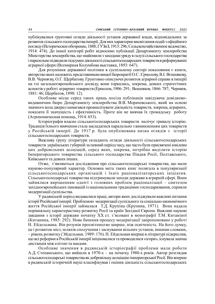публікувалися грунтовні огляди діяльності установ державної влади, відповідальних за розвиток сільського господарства імперії. Для них характерне висвітлення подій з офіційного погляду (Историческое обозрение, 1888; ГУЗиЗ, 1913: 296; Сельскохозяйственное ведомство, 1914: 474). До іншої категорії робіт відносимо публікації Департаменту землеробства Міністерства землеробства, що знайомили з заходами уряду в галузі сільського господарства і паралельно підводили підсумки діяльності сільськогосподарських товариств в реформуванні аграрної сфери (Всемирная Колумбова выставка, 1893: 647).

Для розуміння державної політики в суспільному секторі показовими є книги, авторство яких належить представникам вищої бюрократії О.С. Єрмолову, В.І. Вєшнякову, В.В. Черняєву, О.Г. Щербатову. Грунтовно описуючи розвиток аграрної справи в імперії на тлі загальноєвропейського досвіду, вони торкались, зокрема, деяких стратегічних аспектів у роботі аграрних товариств (Ермолов, 1906: 291; Вешняков, 1866: 787; Черняев, 1881: 46; Щербатов, 1898: 12).

Особливе місце серед таких праць посіла публікація завідувача довідкововидавничим бюро Департаменту землеробства В.В. Морачевського, який на основі значного кола джерел намагався проаналізувати діяльність товариств, зокрема, аграрних, показати її значущість і ефективність. Проте він не вивчав їх громадську роботу (Агрономическая помощь, 1914: 653).

Історіографія власне сільськогосподарських товариств налічує тривалу історію. Традиція їхнього вивчення стала закладатися паралельно з виникненням цих товариств у Російській імперії. До 1917 р. була опублікована низка оглядів з історії сільськогосподарських товариств.

Важливу групу літератури складають огляди діяльності сільськогосподарських товариств українських губерній за певний період часу, що часто були присвячені ювілеям цих добровільних асоціацій, серед яких, зокрема, потрібно виділити історію Імператорського товариства сільського господарства Півдня Росії, Полтавського, Київського та деяких інших.

Отже, з'являються дослідження про сільськогосподарські товариства, що мали науково-популярний характер. Основна мета таких книг полягала в популяризації сільськогосподарських організацій і їхніх раціоналізаторських ініціатив. Сільськогосподарські товариства підтримували заходи держави в аграрній сфері. Вони зайнялися вирішенням однієї з головних проблем раціоналізації – синтезом західноєвропейських інновацій із національними традиціями господарювання, сприяли модернізації суспільства.

У радянській період видавалися праці, автори яких досліджували важливі питання історії Російської імперії. Проблемою модернізації суспільного та соціально-економічного життя Російської імперії займалася Т.Д. Крупіна (Крупина, 1971). Вона надала порівняльну характеристику розвитку Росії та країн Західної Європи. Важливі наукові завдання з історії держави початку ХХ ст. з'ясовані в монографії Т.М. Китаніної (Китанина, 1985: 292). Нове бачення процесу модернізації запропоновано у роботі Н. Ейдельмана. Він розумів просвітництво ширше, ніж освіченість. На його думку, це і розвиток міст, шляхів сполучення і заснування вільних установ, іншими словами, – рівень розвитку (Эйдельман, 1989: 176). Н. Ейдельман вперше в літературі підкреслив, що всі реформи в Російській імперії ініціювалися та проводилися «згори», існувала значна дистанція між елітою та масами.

Особливе значення в радянській історіографії проблеми мали роботи А.Д. Степанського, що вийшли в 1970-х – на початку 1980-х років. Автор розглядав сільськогосподарські товариства як добровільну асоціацію імператорської Росії. Він вперше в радянській історичній науці класифікував і оцінив діяльність сільськогосподарських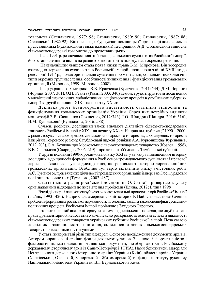товариств (Степанский, 1977: 96; Степанский, 1980: 90; Степанский, 1987: 86; Степанский, 1982: 92). Він писав, що "буржуазно-поміщицькі" організації поділялись на представницькі (куди входили тільки власники) та сприяння. А.Д. Степанський відносив сільськогосподарські товариства до представницьких.

Після 1991 р. розпочався новітній етап дослідження суспільства Російської імперії, його становлення та вплив на розвиток як імперії в цілому, так і окремих регіонів.

 Найзначнішим явищем стала поява низки праць Б.М. Миронова. Він зосередив взаємодію держави на суспільстві в Російській імперії, починаючи з кінці XVIII ст. до революції 1917 р., подав оригінальне судження про ментальні, соціально-психологічні типи окремих груп населення, особливості виникнення і функціонування громадських організацій (Миронов, 1999; Миронов, 2008).

Праці українських істориків В.В. Кравченка (Кравченко, 2011: 544), Д.М. Чорного (Чорний, 2007: 301), О.П. Реєнта (Реєнт, 2003: 340) демонструють ґрунтовні досягнення у висвітленні економічних, урбаністичних і націотворчих процесів в українських губерніях імперії в другій половині ХІХ – на початку ХХ ст.

Декілька робіт безпосередньо висвітлюють суспільні відносини та функціонування громадських організацій України. Серед них потрібно виділити монографії З.В. Свяшенко (Священко, 2012:343), І.О. Шандри (Шандра, 2016: 316), Н.М. Кушлакової (Кушлакова, 2016: 588).

Сучасні російські дослідники також вивчають діяльність сільськогосподарських товариств Російської імперії у ХІХ – на початку ХХ ст. Наприклад, публікації 1990 – 2000 х років стосувалися або окремого сільськогосподарського товариства, або галузевих товариств імперії чи її окремого регіону. Опубліковані наукові розвідки А.А. Курьонишева (Куренышев, 2012: 203), С.А. Козлова про Московське сільськогосподарське товариство (Козлов, 1996), В.В. Свиридова (Свиридов, 2006: 219) – про аграрні об'єднання Тамбовської губернії.

У другій половині 1990-х років – на початку XXI ст. у зв'язку з підвищенням інтересу дослідників до процесів формування в Росії основ громадянського суспільства і правової держави, з'явилися наукові дослідження, що розглядають історію дореволюційних громадських організацій. Особливо тут варто відзначити низку змістовних робіт А.С. Туманової, присвячених діяльності громадських організацій імперської Росії, урядовій політиці стосовно них (Туманова, 2002: 487).

Статті і монографія російської дослідниці О. Єліної привертають увагу оригінальними підходами до висвітлення проблеми (Елина, 2012; Елина 1998).

Вчені діаспори і далекого зарубіжжя вивчають загальні процеси історії Російської імперії (Пайпс, 1993: 420). Наприклад, американський історик Р. Пайпс подав нове бачення проблеми формування російської державності, її головних засад, а також специфіки суспільнополітичних процесів Російської імперії порівняно з Західною Європою.

Історіографічний аналіз літератури за темою дослідження показав, що опубліковані праці фрагментарно й недостатньо комплексно розкривають основні аспекти діяльності сільськогосподарських товариств українських губерній Російської імперії. Поза увагою дослідників залишилися такі питання, як відносини діячів сільськогосподарських товариств із владними інституціями.

У статті використані різні типи джерел. Основою дослідження є документи архівів. Автором опрацьовані архівні фонди декількох установ. Значною інформативністю і фактологічним матеріалом відрізняються документи, що зберігаються в Російському державному історичному архіві в Санкт-Петербурзі (РГИА). Нами були вивчені матеріали Центрального державного історичного архіву України (Київ), обласні архіви України (Харківський, Одеський, Запорізький і Житомирський) та фонди інституту рукопису Національної бібліотеки України ім. В.І. Вернадського в Києві.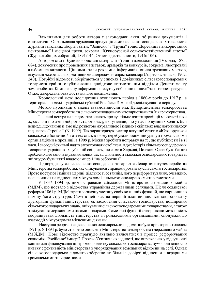Важливими для роботи автора є законодавчі акти, збірники документів і статистичні. Опрацьована друкована продукція самих сільськогосподарських товариств: журнали загальних зборів і звіти, "Записки" і "Труды" тощо. Доречним є використання центральної і місцевої преси, зокрема "Южнорусской сельскохозяйственной газеты" (Журнал общих собраний, 1891:144; Отчет о деятельности, 1916: 106).

Автором статті були використані матеріали з'їздів землевласників (IV съезд, 1875: 684), документи про проведення виставок, ярмарків та конкурсів, зокрема ілюстровані альбоми та каталоги. Цінними стали рекламна інформація, описи зразкових маєтків, візуальні джерела. Інформативними джерелами є адрес-календарі (Адрес-календарь, 1902: 240). Потрібні відомості зберігаються у списках і довідниках сільськогосподарських товариств країни, опублікованих довідково-статистичним відділом Департаменту землеробства. Комплексну інформацію несуть у собі енциклопедії та інтернет-ресурси. Отже, джерельна база достатня для дослідження.

Хронологічні межі дослідження охоплюють період з 1860-х років до 1917 р., а територіальні межі – українські губернії Російської імперії досліджуваного періоду.

Метою публікації є аналіз взаємовідносин між Департаментом землеробства Міністерства землеробства та сільськогосподарськими товариствами та їх характеристика.

"…наші центральні відомства знають про суспільне життя провінції майже стільки ж, скільки іноземці доброго старого часу, які уявляли, що у нас по вулицях ходять білі ведмеді, що чай ми п'ємо під розлогою журавлиною і їздимо в екіпажах власного винаходу під назвою "тройка" (N, 1909). Так характеризував автор вступної статті в «Южнорусской сельскохозяйственной газете» стан, в якому перебували взаємини уряду з громадськими організаціями в провінції в 1909 р. Можна зробити поправку на те, що публіцисти і в ті часи, і сьогодні схильні надто загострювати свої тези. Адже історія сільськогосподарських товариств українських губерній свідчить, що саме в Харкові, Полтаві, Одесі було багато зроблено для започаткування нових засад діяльності сільськогосподарських товариств, які згодом були взяті владою імперії "на озброєння".

Підпорядковувалися сільськогосподарські товариства Департаменту землеробства Міністерства землеробства, яке опікувалося справами розвитку сільського господарства. Проте поступові зміни в царині діяльності останнім, його переформатування, очевидно, позначилися на відносинах між урядом і сільськогосподарськими товариствами.

У 1837–1894 рр. цими справами займалося Міністерство державного майна (МДМ), що постало з відомства управління державними селянами. Після селянської реформи 1861 р. МДМ втратило значну частину своїх колишніх функцій, що спричинило і зміну його структури. Саме в цей час на перший план виділилися такі, спочатку другорядні функції міністерства, як заохочення сільського господарства, поширення сільськогосподарських знань, опікування сільськогосподарськими товариствами, а також завідування державними лісами і надрами. Саме такі функції створювали можливість координувати діяльність міністерства з громадськими організаціями, спонукали до взаємодії між урядом та місцевими діячами.

 Наступна реорганізація сільськогосподарського відомства була прискорена голодом 1891 р. У 1894 р. було створено оновлене Міністерство землеробства і державного майна (МЗіДМ). Нове відомство прагнуло активно включатися в процес реформування економіки Російської імперії. Проте об'єктивні складності, що виражалися у відсутності коштів для фінансування підтримки розвитку сільського господарства, зумовили відносно низьку ефективність міністерства з упорядкування земельних відносин на селі. Однак сільськогосподарське відомство зберегло стабільні і довірчі відносини з аграрними громадськими товариствами.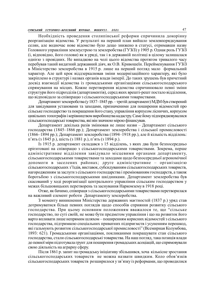# СУМСЬКИЙ ІСТОРИКО-АРХІВНИЙ ЖУРНАЛ. №XXXVII. 2021 47

Необхідність проведення столипінської реформи спричинила докорінну реорганізацію відомства. У результаті на перший план вийшло землевпорядкування селян, але водночас нове відомство було дещо знижено в статусі, отримавши назву Головного управління землеустрою та землеробства (ГУЗіЗ) у 1905 р. Однак роль ГУЗіЗ (і, відповідно, його голови) як в уряді, так і в державній політиці в цілому залишалася однією з провідних. Не випадково на чолі цього відомства протягом тривалого часу перебував такий видатний державний діяч, як О.В. Кривошеїн. Перейменування ГУЗіЗ в Міністерство землеробства в 1915 р. лише на перший погляд мало формальний характер. Але цей крок віддзеркалював зміни модернізаційного характеру, які було закріплено в структурі і назвах органів влади імперії. До таких зрушень був причетний досвід взаємодії відомства із громадськими організаціями сільськогосподарського спрямування на місцях. Кожне перетворення відомства спричинювало певні зміни структури його підрозділів (департаментів), серед яких врешті-решт постало відділення, що відповідало за співпрацю з сільськогосподарськими товариствами.

Департамент землеробства (у 1837–1845 рр. – третій департамент) МДМ був створений для завідування установами та заходами, призначеними для поширення відомостей про сільське господарство та покращення його стану, управління корпусом лісничих, корпусом цивільних топографів і керівництвом виробництва кадастру. Саме йому підпорядковувалися сільськогосподарські товариства, які він значною мірою фінансував.

Департамент декілька разів змінював не лише назви – Департамент сільського господарства (1845–1866 рр.); Департамент землеробства і сільської промисловості (1866–1894 рр.); Департамент землеробства (1894–1918 рр.), але й кількість відділень: п'ять (з 1845 р.), шість (з 1881 р.), п'ять (з 1894 р.).

Із 1915 р. департамент складався з 15 відділень, з яких два були безпосередньо орієнтовані на співпрацю з сільськогосподарськими товариствами. Зокрема, перше адміністративне відділення завідувало місцевими органами департаменту, сільськогосподарськими товариствами та заходами щодо безпосередньої агрономічної допомоги в заселених районах; друге адміністративне – організацією сільськогосподарських з'їздів, виставок, субсидуванням сільськогосподарських товариств, нагородженням за заслуги з сільського господарства і преміюванням господарств, а також боротьбою з сільськогосподарськими шкідниками. Департамент землеробства був скасований у ході реорганізації центрального управління сільським господарством у межах більшовицьких перетворень та заснування Наркомзему в 1918 році.

Отже, як бачимо, співпраця з сільськогосподарськими товариствами перетворилася на важливий елемент роботи Департаменту землеробства.

З моменту виникнення Міністерства державних маєтностей (1837 р.) уряд став дотримуватися більш певних поглядів щодо способів сприяння розвитку сільського господарства. При цьому основним положенням вважалося те, що "сільське господарство, по суті своїй, не може бути предметом управління і що на розвиток його варто впливати лише непрямим шляхом – поширенням корисних відомостей з сільського господарства, підтримкою спеціальних приватних підприємств і усуненням перешкод, які гальмують розвиток сільськогосподарської промисловості" (Всемирная Колумбова, 1893: 621). Громадськими організаціями, покликаними покращувати стан сільського господарства, стали сільськогосподарські товариства. На наш погляд, така позиція влади до певної міри підготувала грунт для поширення громадських асоціацій, що спрямовували свою діяльність на аграрну сферу.

Після 1861 р. запит на громадську ініціативу збільшився, хоча кількісне зростання сільськогосподарських товариств не можна назвати швидким. Коло обов'язків сільськогосподарських товариств розширилося у зв'язку із реформами, що проводилися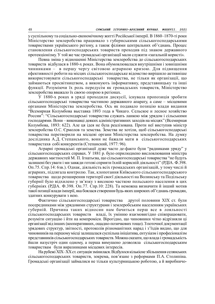у суспільному та соціально-економічному житті Російської імперії. В 1860–1870-ті роки Міністерство землеробства працювало з губернськими сільськогосподарськими товариствами українського регіону, а також філіями центральних об'єднань. Процес становлення сільськогосподарських товариств проходив під знаком державного протекціонізму. У той же час громадські організації мали служити «загальній користі».

Певна зміна у відношенні Міністерства землеробства до сільськогосподарських товариств відбулася в 1880-х роках. Вона обумовлювалася внутрішніми і зовнішніми чинниками - в першу чергу світовою аграрною кризою. Для підвищення ефективності роботи на місцях сільськогосподарське відомство вирішило активніше використовувати сільськогосподарські товариства, не тільки як організації, що займаються просвітництвом, а виконують інформативну, представницьку та інші функції. Розуміючи їх роль передусім як громадських товариств, Міністерство землеробства вважало їх своєю опорою в регіонах.

У 1880-х роках в уряді проходили дискусії, існувала пропозиція зробити сільськогосподарські товариства частиною державного апарату, а саме – місцевими органами Міністерства землеробства. Ось як подавало позицію влади видання "Всемирная Колумбова выставка 1893 года в Чикаго. Сельское и лесное хозяйство России": "Сільськогосподарські товариства служать ланкою між урядом і сільськими господарями. Вони – виконавці деяких адміністративних заходів на місцях" (Всемирная Колумбова, 1893: 622). Але ця ідея не була реалізована. Проти неї виступив міністр землеробства О.С. Єрмолов та земства. Земства не хотіли, щоб сільськогосподарські товариства перетворили на місцеві органи Міністерства землеробства. На думку дослідника А.Д. Степанського, вони не бажали мати в сільськогосподарських товаристахв собі конкурентів (Степанский, 1977: 96).

Аграрні громадські організації дуже часто де-факто були "радниками уряду" у сільськогосподарських справах. У 1881 р. було оприлюднено висловлювання міністра державних маєтностей М. П. Ігнатьєва, що сільськогосподарські товариства "не будуть залишені без уваги і ми завжди готові сприяти їхній корисній діяльності" (РДІА. Ф.398. Оп.75. Спр.14: 6зв.). Однак, діяльність всіх громадських організацій, у тому числі й аграрних, підлягала контролю. Так, клопотання Київського сільськогосподарського товариства щодо розширення території своєї діяльності на Волинську та Подільську губернії було відхилено у зв'язку з високою часткою польського населення в цих губерніях (РДІА. Ф.398. Оп.77. Спр.10: 228). Та неможна визначити й інший мотив такої позиції влади імперії, яка боялася створення будь-яких широких об'єднань громадян, здатних конкурувати з нею.

Фактично сільськогосподарські товариства другої половини ХІХ ст. були посередниками між урядовими структурами і землеробським населенням українських губерній. Причина таких відносин нам бачиться перш все в лояльності сільськогосподарських товариств владі, їх умінню взаємовигідно співпрацювати, розуміти ситуацію і йти на компроміси. Вірогідно, що чиновники чітко відрізняли ці організації від інших (кооперативних, ощадно-позичкових тощо). З поточної документації урядових структур, звітності, протоколів різноманітних нарад і з'їздів видно, що для чиновників на першому місці залишалася суспільна ініціатива, ентузіазм і професіоналізм представників сільськогосподарських товариств. Можна сказати, що влада і громадськість йшли назустріч один одному, а перша вимушено дозволяла сільськогосподарським товариствам були виразниками місцевих інтересів.

На рубежі ХIХ–ХХ ст. ситуація змінилася. Відбулося кількісне збільшення селянських сільськогосподарських товариств, зокрема, пов'язане з реформами П.А. Столипіна. Громадські організації займалися не тільки культурницькою роботою, а й виробничо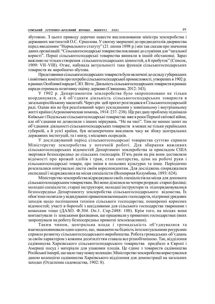збутовою. З цього приводу доречно навести висловлювання міністра землеробства і державних маєтностей О.С. Єрмолова. У своєму зверненні до предводителів дворянства перед введенням "Нормального статуту" (21 липня 1898 р.) він так сказав про значення даних організацій: "Сільськогосподарські товариства покликані до служіння для "загальної користі". Перші сільськогосподарські товариства виникли в іншій обстановці. Зараз важливо не тільки створення сільськогосподарських цінностей, а й прибуток" (Список, 1909: VII–VIII). Отже, набувала актуальності така функція сільськогосподарських товариств як виробничо-збутова.

Представники сільськогосподарських товариств були включені до складу губернських і повітових комітетів про потреби сільськогосподарської промисловості, утворених в 1902 р. в рамках Особливої наради С.Ю. Вітте. Діяльність сільськогосподарських товариств в рамках наради отримала позитивну оцінку держави (Священко, 2012: 343).

У 1902 р. Департаментом землеробства було запропоновано не тільки координувати, а й об'єднати діяльність сільськогосподарських товариств в загальноросійському масштабі. Через рік цей проєкт розглядався в Сільськогосподарській раді. Однак він не був реалізований через ускладнення у зовнішньому і внутрішньому житті країни (Агрономическая помощь, 1914: 237–238). Ще раз дану проблему піднімали Київське і Подільське сільськогосподарські товариства вже в роки Першої світової війни, але об'єднання не дозволили з інших міркувань. "Не на часі". Тим не менше запит на об'єднання діяльності сільськогосподарських товариств в межах не тільки українських губерній, а й усієї країни, був незаперечним викликом часу як збоку центральних державних інституцій, та і знизу, з місцевих осередків.

У досліджуваний період сільськогосподарські товариства суттєво сприяли Міністерству землеробства у поточній роботі. Для збирання важливих сільськогосподарських відомостей Департамент землеробства за прикладом США звертався безпосередньо до сільських господарів. П'ять разів на рік вони доставляли відомості про врожай хлібів і трав, стан скотарства, ціни на робочі руки і сільськогосподарські товари, про зміни в польових культурах та інше. Періодично розсилалися опитувальні листи своїм кореспондентам. Для досліджень споряджалися експедиції і відряджалися на місця спеціалісти (Всемирная Колумбова, 1893: 624).

Міністерство землеробства відряджувало своїх спеціалістів на місця для допомоги сільськогосподарським товариствам. Всі вони ділилися на чотири розряди: старші фахівці; молодші спеціалісти; старші інструктори; молодші інструктори та підпорядковувалися безпосередньо Департаменту землеробства сільськогосподарського відомства. Їх обов'язки полягали у відвідуванні приватновласницьких господарств, підтримці урядових заходів щодо поліпшення техніки сільського господарства; поширенні корисних відомостей; участі в боротьбі з шкідливими для сільського господарства тваринами і комахами тощо (ДАХО. Ф.304. Оп.1. Спр.2488: 100). Крім того, на місцях вони контактували із земськими фахівцями, що працювали у приватних господарствах (яких запрошували на роботу безпосередньо приватні землевласники).

Таким чином, центральна влада і громадськість об'єднувалися та взаємодоповнювали один одного, що, зважаючи на бідність інтелектуальними ресурсами сприяло розвитку сільськогосподарського виробництва. Робота громадських об'єднань за своїм характером з кожним десятиліттям ставала все різнобічнішою. Так, відділення садівництва Харківського сільськогосподарського товариства придбало в Європі і Америці посуд і матеріали для упаковки плодів. Це єдине з товариств садівництва Російської імперії, що мало таку повну колекцію. Міністерство землеробства користувалося даною колекцією садівництва Харківського відділення для демонстрації на загальних заходах (Отделение садоводства, 1902: 8).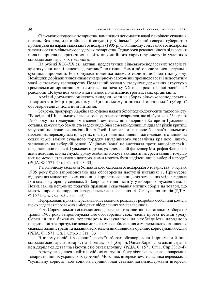Сільськогосподарські товариства намагалися допомагати владі у вирішені складних питань. Зокрема, для стабілізації ситуації у Київській губернії генерал-губернатор пропонував на нараді сільських господарів (1905 р.) для підйому сільського господарства залучати селян у сільськогосподарські товариства. Однак роки революційного піднесення подали приклади критичних, навіть опозиційного характеру виступів учасників сільськогосподарських товариств.

На рубежі XIX–XX ст. активні представники сільськогосподарських товариств критикували певні аспекти державної політики. Ними обговорювалися актуальні суспільні проблеми. Розгорнулася полеміка навколо економічної політики уряду. Поміщики дорікали чиновникам у надмірному заохоченні промисловості і недостатній увазі сільському господарству. Подальший розлад у стосунках державних структур з громадськими організаціями намітився на початку ХХ ст., в роки першої російської революції. Це було пов'язано із загальною політизацією громадських організацій.

Архівні документи описують випадки, коли на зборах сільськогосподарських товариств в Миргородському і Диканському повітах Полтавської губернії обговорювалися політичні питання.

Зокрема, прокурору Харківської судової палати було подано документи такого змісту. "В засіданні Шишацького сільськогосподарського товариства, що відбувалося 26 червня 1905 року під головуванням місцевої землевласниці дворянки Катерини Гулькевич, остання, кажучи про бажаність введення дрібної земської одиниці, піддавала різкій критиці існуючий політико-економічний лад Росії. І вказавши на повне безправ'я сільського населення, переконувала присутніх прагнути для поліпшення матеріального становища селян через заміну сучасного порядку внутрішнього управління країною іншим, заснованим на виборній основі. У цілому [вона] не виступала проти вищої ієрархії і представників такової. Гулькевич підтримував земський фельдшер Митрофан Фещенко, який доводив, що на службі уряду особи не можуть захищати інтереси селян і тому до них не можна ставитися з довірою, ними можуть бути наділені лише виборні народу" (РДІА. Ф.1571. Оп.1. Спр.31: 3, 33).

У публічному засіданні Устивицького сільськогосподарського товариства 6 червня 1905 року було запропоновано для обговорення наступні питання: 1. Примусове відчуження монастирських, казенних і приватновласницьких земельних угідь і віддача їх в спадкову оренду селянам. 2. Запровадження інституту виборного духовенства. 3. Повна заміна непрямих податків прямими і скасування митних зборів на товари, що мають широке поширення серед сільського населення. 4. Скасування станів (РДІА. Ф.1571. Оп.1. Спр.31: 3зв., 33).

Перераховані пункти передані для детального розгляду і розробки особливій комісії, що складалася переважно з місцевих ліберальних землевласників.

Рада Сорочинського сільськогосподарського товариства на загальних зборах 9 травня 1905 року запропонувала для обговорення своїх членів проєкт петиції уряду. Серед інших бажаних перетворень вказувалось на необхідність народного представництва, зрозуміле деякими членами як обмеження самодержавства, знищення свавілля адміністрації та надання всіх земельних ділянок в орендне користування селян (РДІА. Ф.1571. Оп.1. Спр.31: 3зв., 33).

В цілому подібні резолюції на своїх зборах обговорювали і приймали й інші сільськогосподарські товариства Полтавської губернії. Однак Харківська адміністрація не відкрила слідства "за відсутністю ознак злочину" (РДІА. Ф.1571. Оп.1. Спр.33: 2–4).

Автору не вдалося знайти подібних виступів з боку діячів сільськогосподарських товариств інших українських губерній. Можливо, інтереси землевласника переважили "суспільну користь" або вони на перший план ставили загальнодержавні інтереси.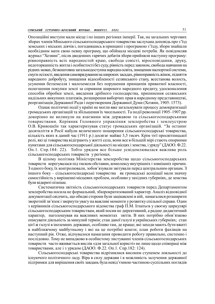Опозиційні виступи мали місце і по інших регіонах імперії. Так, на загальних чергових зборах членів Мінського сільськогосподарського товариства заслухана доповідь про з'їзд земських і міських діячів і, погодившись в принципі з програмою з'їзду, збори знайшли необхідним мати свою певну програму, що обіймала місцеві потреби. Як повідомляв журнал "Хозяин", після дводенних гарячих дебатів збори прийняли наступну програму: рівноправність всіх народностей краю, свобода совісті, віросповідання, друку, недоторканність житла і особистості без суду, рівність перед законом, свобода навчання на рідних мовах, безкоштовна загальнодоступна народна освіта, знищення паспортної системи, смуги осілості, введення самоврядування на широких засадах, рівноправність жінок, підняття народного добробуту, знищення відособленості селянського стану, всестанова волость, усунення безземелля і малоземелля без порушення принципів приватної власності, полегшення покупки землі за сприяння широкого народного кредиту, удосконалення способів обробки землі, введення дрібного господарства, припинення селянських надільних викупних платежів, розширення виборчих прав в народному представництві, реорганізація Державної Ради і перетворення Державної Думи (Хозяин, 1905: 1573).

Однак політичні події у країні не могли вже загальмувати процесу демократизації громадських організацій та збільшення їх чисельності. Та події революції 1905–1907 рр. докорінно не вплинули на взаємини між державою та сільськогосподарськими товариствами. Керівник Головного управління землеробства і землеустрою О.В. Кривошеїн так характеризував статус громадських організацій. "За останнє десятиліття в Росії набули величезного поширення сільськогосподарські товариства, кількість яких в даний час (1911 р.) досягає майже 3,5 тисяч. Крім тієї просвітницької ролі, які ці товариства відіграють у житті села, вони все в більшій мірі стають опорними пунктами для сільськогосподарської діяльності на місцях і земства, і уряду" (ДАОО. Ф.22. Оп.1. Спр.184: 22). Тобто урядом все більше усвідомлювалася важлива роль сільськогосподарських товариств у регіонах.

В цілому політика Міністерства землеробства щодо сільськогосподарських товариств корегувалася під тиском обставин, комплексу внутрішніх і зовнішніх причин. З одного боку, їх контролювали, зобов'язували звітували перед центральним органам. З іншого боку – сільськогосподарські товариства як громадські асоціації мали значну самостійність у вирішенні місцевих проблем, особливо у західних губерніях, де земства були відкриті пізніше.

Систематична звітність сільськогосподарських товариств перед Департаментом землеробства носила не формальний, збюрократизований характер. Аналіз відповідної документації свідчить, що обидві сторони були зацікавлені в ній, намагалися розширити зворотній зв'язок і звернути увагу на важливі моменти у розвитку спільної справи. Один з керівників сільськогосподарського відомства граф П.М. Ігнатьєв у своєму циркулярі сільськогосподарським товариствам, який носив не директивний, а радше дидактичний характер, наголошував на важливих моментах звітів. В них потрібно обов'язково описувати діяльність за минулий термін; стан даної галузі в українських губерніях; стан цієї ж галузі в іноземних державах, особливо там, де краще; які заходи мають бути вжиті в найближчому майбутньому і які на це потрібні кошти; план роботи фахівців на наступний рік. Отже, відчувалося намагання проводити роботу правильно, системно і послідовно. Тому не випадково в особистому листуванні членів сільськогосподарських товариств часто вживається вислів «для загальної користі» не лише щодо співпраці між товариствами, але і з урядом (ДАОО. Ф.22. Оп.1. Спр.182: 124).

Сільськогосподарські товариства відрізнялися високим ступенем лояльності до існуючого політичного ладу. Віра в силу держави і в можливість залучення державної підтримки для вирішення своїх завдань була невід'ємною частиною суспільних поглядів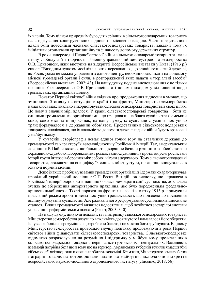їх членів. Тому цілком природнім було для керівників сільськогосподарських товариств налагоджування конструктивних відносин з місцевою владою. Часто представники влади були почесними членами сільськогосподарських товариств, завдяки чому їх ініціативи отримували організаційну та фінансову допомогу державних структур.

В роки напередодні Першої світової війни сільськогосподарські товариства мали певну свободу дій і творчості. Головноуправляючий землеустрою та землеробства О.В. Кривошеїн, який виступив на відкритті Всеросійської виставки у Києві (1913 р.) сказав: "Вихідним пунктом моєї діяльності є переконання, що в такій величезній державі, як Росія, усіма не можна управляти з одного центру, необхідно закликати на допомогу місцеві громадські органи і сили, в розпорядженні яких надати матеріальні засоби" (Всероссийская выставка, 2002: 43). На нашу думку, подане висловлювання є не тільки позицією безпосередньо О.В. Кривошеїна, а і новим підходом у відношенні щодо громадських організацій в цілому.

Початок Першої світової війни свідчив про продовження відносин в умовах, що змінилися. З огляду на ситуацію в країні і на фронті, Міністерство землеробства намагалося максимально використовувати сільськогосподарські товариства в своїх цілях. Це йому в значній мірі вдалося. У країні сільськогосподарські товариства були не єдиними громадськими організаціями, що працювали на благо суспільства (земський союз, союз міст та інші). Однак, на нашу думку, їх суспільне служіння поступово трансформувалося в державний обов'язок. Представники сільськогосподарських товариств сподівалися, що їх лояльність і допомога державі під час війни будуть враховані у майбутньому.

У сучасній історіографії немає єдиної точки зору на ставлення держави до громадськості та характеру їх взаємовідносин у Російській імперії. Так, американський дослідник Р. Пайпс вважав, що більшість дворян не бачили різниці між обов'язковою державною службою і добровільним громадським служінням, а протягом усієї російської історії групи інтересів боролися між собою і ніколи з державою. Тому сільськогосподарські товариства, зважаючи на специфіку їх соціальної структури, органічно вписувалися в існуючі норми взаємин.

Дещо інакше проблему взаємин громадських організацій і держави охарактеризував провідний український дослідник О.П. Реєнт. Він дійшов висновку, що правляча в Російській імперії бюрократія панічно боялася демократизації суспільства, докладала зусиль до збереження авторитарного правління, яке було породженням феодальнокріпосницької епохи. Тяжкі поразки на фронтах навесні й влітку 1915 р. примусили правлячий режим зробити деякі поступки громадськості, що призвело до посилення впливу буржуазії в суспільстві. Але радикального реформування суспільних відносин не сталося. Вплив громадськості виявився недостатнім, щоб позбутися застарілої системи управління реформістським шляхом (Реєнт, 2003: 340).

На нашу думку, цінуючи лояльність і підтримку сільськогосподарських товариств, Міністерство землеробства розуміло важливість досягнутого і намагалося його зберегти. Існувало обопільне розуміння, що зроблено багато, і не можна його зруйнувати. В цілому Міністерство землеробства проводило гнучку політику, продовжуючи в роки Першої світової війни фінансувати сільськогосподарські товариства. Сільськогосподарське відомство розраховувало на розуміння і підтримку у майбутньому представників сільськогосподарських товариств, перш за все губернських і центральних. Важливість взаємодії потрібна була ще й тому, що на території українських губерній точилися масштабні військові дії, які завдавали колосальні збитки економіці. Крім того, Міністерство землеробства і аграрні товариства обговорювали плани на майбутнє, включаючи відкриття всеросійського науково-дослідного агрономічного інституту (Лисенко, 2018: 56).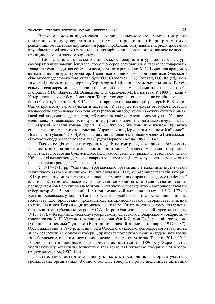Вважаємо, можна підсумувати, що кредо сільськогосподарських товариств полягало у пошуку серединного шляху, альтернативного бюрократичному і революційному методам вирішення аграрної проблеми. Тому навіть в періоди зростання в суспільстві політичного протистояння протиріччя даних організацій з владою не носили принципового і затяжного характеру.

"Вмонтованість" сільськогосподарських товариств в урядові та структури самоврядування завжди існувала, тому що серед засновників сільськогосподарських товариств були люди, які обіймали посади різного рівня. Так, М.С. Воронцов працював як намісник, генерал-губернатор. Після нього впливовими президентами Одеського сільськогосподарського товариства були О.Г. Строганов, Л.Д. Толстой, П.Є. Коцебу, яких також відносимо до генерал-губернаторів і міських градоначальників. В усіх сільськогосподарських товариствах почесними або дійсними членами стали впливові особи із столиць (П.О. Валуєв, В.І. Вєшняков, О.С. Єрмолов, М.П. Ігнатьєв). У 1893 р., коли у Катеринославській губернії заснували Товариство сприяння залісненню степів – головою його обрали губернатора Ф.Е. Келлера, товаришем голови віце-губернатора В.В. Князева. Однак при цьому варто зауважити наступне. У статутах товариств оговорювалось, що членами сільськогосподарських товариств (почесними або дійсними) можуть бути губернські і повітові предводителі дворянства, губернські та повітові голови земських управ. У списках членів сільськогосподарських товариств зустрічаємо і діячів міського самоврядування. Так, Г.Г. Маразлі, міський голова Одеси (1878–1895 рр.) був почесним членом Одеського сільськогосподарського товариства. Управляючий Державним майном Київської і Подільської губерній Г.А. Чуйкевич став співзасновником і дійсним членом Подільського сільськогосподарського товариства (Труды Первого съезда, 1897: 3, 142).

Така ситуація мала дві сторони медалі: це контроль, намагання спрямовувати діяльність цих товариств, але допомога і підтримка. У філіях і місцевих товариствах присутність посадовців була меншою. На Правобережжі, де тривалий час існувало тільки Київське сільськогосподарське товариство, посадовці зараховувалися переважно як почесні члени громадської організації.

У 1914–1917 рр. "єднання" громадських організацій з владними інститутами залишилось вагомим чинником їх співіснування. Так, у Катеринославській губернії 1916 р. очільниками товариств залишались представники правлячого дому та місцевої влади: в Катеринославському товаристві заохочення кіннозаводства почесним президентом був Великий князь Микола Михайлович, президентом – катеринославський губернатор А.Г. Чернявський (Екатеринославский адрес-календарь, 1917: 177). в Катеринославському відділі Імператорського російського товариства плодівництва головував Е.К. Бродський, предводитель катеринославського дворянства, власник маєтку Іванівка Верхньодніпровського повіту; Катеринославському товаристві бджільництва – губернській агроном С.А. Петров (Екатеринославский адрес-календарь, 1917: 187); – Катеринославському губернському сільськогосподарському товаристві – голова князь М.П. Урусов, товаришем голови був К.Д. фон Гесберг – він же голова губернської земської управи (Екатеринославский адрес-календарь, 1917: 187). О.С. Гижицький, з 1895 р. дійсний член Одеського сільськогосподарського товариства як землевласник Херсонської губернії, працював почесним мировим суддею, повітовим та губернським гласним, повітовим предводителем дворянства (Башли, 2014: 121). Головою південноросійського товариства акліматизації з 1896 р. у Харкові став управляючий державними маєтностями Харківської та Полтавської губерній В.М. Козлов (Адрес-календарь, 1902: 134).

Отже, ми спостерігаємо певну кількість посадовців, яка брала участь в громадських організаціях. З одного боку, це говорить про нечисленність активних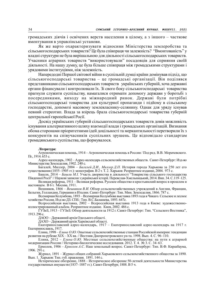громадських діячів і освічених верств населення в цілому, а з іншого – часткове вмонтування в управлінські установи.

Як же варто охарактеризувати відносини Міністерства землеробства та сільськогосподарських товариств? Це була співпраця чи залежність? "Вмонтованість" у владні структури не була вирішальною для діяльності сільськогосподарських товариств. Учасники аграрних товариств "використовували" посадовців для сприяння своїй діяльності. На нашу думку, це була більше співпраця між громадськими структурами і урядовими інституціями, ніж залежність.

Напередодні Першої світової війни в суспільній думці країни домінував підхід, що сільськогосподарські товариства – це громадські організації. Він поділявся представниками сільськогосподарських товариств українських губерній, хоча державні органи фінансували і контролювали їх. Зі свого боку сільськогосподарські товариства прагнули служити суспільству, намагалися отримати допомогу держави у боротьбі з посередниками, виходу на міжнародний ринок. Державі були потрібні сільськогосподарські товариства для культурної пропаганди і підйому в сільському господарстві, допомозі масовому землевласнику-селянину. Однак для уряду існував певний стереотип. Влада за взірець брала сільськогосподарські товариства губерній центральної європейської Росії.

Досвід українських губерній сільськогосподарських товариств довів можливість існування альтернативного шляху взаємодії влади і громадських організацій. Визнання обома сторонами пріоритетними ідей доцільності та меркантильності перетворили їх з конкурентів на співучасників суспільних зрушень. Це відповідало стандартам громадянського суспільства, що формувалося.

### Література:

Агрономическая помощь, 1914 – Агрономическая помощь в России / Под ред. В.В. Морачевского. Пг., 1914. 653 с.

Адрес-календарь, 1902 – Адрес-календарь сельскохозяйственных обществ. Санкт-Петербург: Изд-во Министерства Земледелия, 1902. 240 с.

Багалей, Миллер, 2004 – Багалей Д.И., Миллер Д.П. История города Харькова за 250 лет его существования (1855–1905 гг.): монография. В 2 т. Т. 2. Харьков: Репринтное издание, 2004. 973 с.

Башли, 2014 – Башли М.І. Участь дворянства в діяльності "Товариства сільського господарства Південної Росії" // Наукові записки з української історії. Переяслав-Хмельницький, 2014. Вип. 34. С.119–125.

Великая реформа, 1911 – Великая реформа. Русское общество и крестьянский вопрос в прошлом и настоящем. В 6 т. Москва, 1911.

Вешняков, 1866 – Вешняков В.И. Обзор сельскохозяйственных учреждений в Англии, Франции, Бельгии, Голландии, Германии и Италии. Санкт-Петербург: Тип. Мин. Земледелия, 1866. 787 с.

Всемирная Колумбова, 1893 – Всемирная Колумбова выставка 1893 года в Чикаго. Сельское и лесное хозяйство России. Изд-во ДЗ. СПб.: Тип. В.С.Балашева, 1893. 647с.

Всероссийская выставка, 2002 – Всероссийская выставка 1913 года в Киеве: художественноиллюстрированный альбом. Репринтное издание. Киев, 2002. 486 с.

ГУЗиЗ, 1913 – ГУЗиЗ. Обзор деятельности за 1912 г. Санкт-Петербург: Тип. "Сельского Вестника", 1913. 296 с.

ДАОО – Державний архів Одеського області.

ДАХО – Державний архів Харківської області.

Екатеринославский адрес-календарь, 1917 – Екатеринославский адрес-календарь на 1917 г. Екатеринославль, 1917.

Елина, 1998 – Елина О.Ю. Опытные сельскохозяйственные станции Российской империи: тенденции развития на рубеже ХІХ – ХХ вв. // Вестник Днепропетровского ун-та. 1998. Вып. 4. С. 96–110.

Елина, 2012 – Елина О.Ю. Местные сельскохозяйственные общества: на пути к аграрной модернизации России // Историко-биологические исследования. 2012. Т. 4. № 3. С. 34–63.

Ермолов, 1906 – Ермолов А.С. Наш земельный вопрос. Санкт-Петербург: Тип. В.Ф. Киршбаума, 1906. 291 с.

Журнал, 1891 – Журнал общих собраний Харьковского сельскохозяйственного общества за 1890. Вып. 1. Харьков: Тип. губ. правления. 1891. 144 с.

Историческое обозрение, 1888 – Историческое обозрение 50-летней деятельности Министерства государственных имуществ (1837–1887 гг.). Санкт-Петербург, 1888. В 5 ч.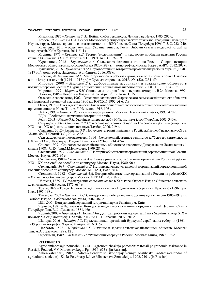Китанина, 1985 – Китанина Т. М. Война, хлеб и революция. Ленинград: Наука, 1985. 292 с.

- Козлов, 1996 Козлов С.А. 175 лет Московскому обществу сельского хозяйства: традиции и новации // Научные труды Международного союза экономистов и ВЭО России.Санкт-Петербург, 1996. Т. 3. С. 232–240. Кравченко, 2011 – Кравченко В.В. Україна, імперія, Росія. Вибрані статті з модерної історії та
- історіографії. Київ: Критика, 2011. 544 с. Крупина, 1971 – Крупина Т.Д. Теория "модернизации" и некоторые проблемы развития России
- конца ХIХ начала ХХ в. // История СССР. 1971. № 1. С. 192–197.
- Куренышев, 2012 Куренышев А.А. Сельскохозяйственная столица России: Очерки истории Московского общества сельского хозяйства (1820–1929 гг.): монография. Москва: Изд-во АИРО, 2012. 203 с.
- Кушлакова, 2016 Кушлакова Н.М. Науково-технічні товариства промислових регіонів України (1870– 1917 рр.): монографія. Павлоград: Арт-Синтез, 2016. 588 с.
- Лисенко, 2018 *Лисенко М.С.* Міністерство землеробства і громадські організації в роки І Світової війни: історія взаємодії (1914 – 1917 рр.) // Сумська старовина. 2018. № 1(52). С.51–59.
- Миронов, 2008 Миронов Б.Н. Добровольные ассоциации и гражданское общество в позднеимперской России // Журнал социологии и социальной антропологии. 2008. Т. 3. С. 164–176.
- Миронов, 1999 Миронов Б.Н. Социальная история России периода империи. В 2 т. Москва, 1999. Новости, 1905 – Новости // Хозяин. 20 октября 1905 г. № 42. С.1573.
- Отделение садоводства, 1902 Отделение садоводства Харьковского сельскохозяйственного общества на Парижской всемирной выставке 1900 г. // ЮРСХГ. 1902. № 6. С.8.
- Отчет, 1916 Отчет о деятельности Киевского общества сельского хозяйства и сельскохозяйственной промышленности. Киев: Тип. А.Я. Неймана, 1916. 106 с.
	- Пайпс, 1993 Пайпс Р. Россия при старом режиме. Москва: Независимая газета, 1993. 420 с. РДІА – Російський державний історичний архів.
		- Реєнт, 2003 Реєнт О.П. Україна в імперську добу. Київ: Інститут історії України. 2003. 340 с.
- Свиридов, 2006 Свиридов В.В. Сельскохозяйственные общества Тамбовской губернии (втор. пол. ХІХ – нач. ХХ вв.): дис. … канд. ист. наук. Тамбов, 2006. 219 с.
- Свяшенко, 2012 Свяшенко З.В. Проурядові аграрні ініціативи в Російській імперії на початку ХХ ст. Умань: ФОП Жовтий О.О., 2012. 343с.
- Сельскохозяйственное ведомство, 1914 Сельскохозяйственное ведомство за 75 лет его деятельности (1837–1913 гг.). Петроград: Изд-во Канцелярия ГУЗиЗ, 1914. 474 с.
- Список, 1909 Список сельскохозяйственных обществ по сведениям Департамента Земледелия к 1 января 1908 г. СПб.: Тип.М.Меркушева, 1909. 284 с.
- Степанский, 1977 Степанский А.Д. История общественных организаций дореволюционной России. Москва: Наука, 1977. 96 с.
- Степанский, 1980 Степанский А.Д. Самодержавие и общественные организации России на рубеже ХIХ – ХХ вв.: учебное пособие по спецкурсу. Москва: Наука, 1980. 90 с.
- Степанский, 1987 Степанский А.Д. История научных учреждений и организаций дореволюционной России: пособие по спецкурсу. Москва: МГИАИ, 1987. 86 с.
- Степанский, 1982 Степанский А.Д. История общественных организаций в России на рубеже ХІХ – XX вв. : пособие по спецкурсу. Москва: МГИАИ, 1982. 92 с.
- IV съезд, 1875 IV съезд русских сельских хозяев в Харькове. Одесса: Изд-во Общества сельского хозяйства южной России, 1875. 684 с.
- Труды, 1897 Труды Первого съезда сельских хозяев Подольской губернии в г. Проскуров 1896 года. Киев, 1897. 168 с.
- Туманова, 2002 Туманова А.С. Самодержавие и общественные организации в России 1905–1917 гг. Тамбов: Изд-во Тамбовского гос. ун-та, 2002. 487 с.
	- ЦДІАУК Центральний державний історичний архів України у м. Київ.
- Черняев, 1881 Черняев В.В. Конкурс земледельческих машин и орудий в Белой Церкви. Санкт-Петербург: Тип. В.Ф. Демакова, 1881. 46с.
- Чорний, 2007 Чорний Д.М. По лівий бік Дніпра: проблеми модернізації міст України (кінець XIX початок XX ст.): монографія. Харків: ХНУ ім. В.Н. Каразіна, 2007. 301 с.
- Шандра, 2016 Шандра І.О. Представницькі організації буржуазії українських губерній (1861– 1919 рр.): монографія. Харків: Майдан, 2016. 316 с.
- Щербатов, 1898 Щербатов А.Г. Значение и задачи сельскохозяйственных обществ. Moсква: Тип. А.А. Левенсон, 1898. 12 с.
	- Эйдельман, 1989 Эйдельман Н. "Революция сверху" в России. Москва: Книга, 1989. 176 с.

### REFERENCES:

- Agronomicheskaja pomoshh', 1914 Agronomicheskaja pomoshh' v Rossii [Agronomic assistance in Russia] / Pod red. V.V. Morachevskogo. Pg., 1914. 653 s. [in Russian].
- Adres-kalendar', 1902 Adres-kalendar' sel'skohozjajstvennyh obshhestv [Address-calendar of agricultural societies]. Sankt-Peterburg: Izd-vo Ministerstva Zemledelija, 1902. 240 s. [in Russian].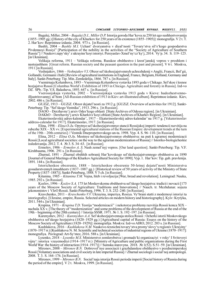Bagalej, Miller, 2004 – Bagalej D.I., Miller D.P. Istorija goroda Har'kova za 250 let ego sushhestvovanija (1855–1905 gg.) [History of the city of Kharkov for 250 years of its existence (1855–1905)]: monografija. V 2 t. T. 2. Har'kov: Reprintnoe izdanie, 2004. 973 s. [in Russian].<br>Bashli, 2004 – Bashly M.I. Uchast' dvoryanstva v diyal'nosti "Tovary'stva sil's'kogo gospodarstva

Pivdennoyi Rosiyi" [Participation of the nobility in the activities of the "Society of Agriculture of Southern Russia"] // Naukovi zapy'sky' z ukrayins'koyi istoriyi. Pereyaslav-Xmel'ny'cz'ky'j, 2014. Vy'p. 34. S. 119–125. [in Ukrainian].

Velikaja reforma, 1911 – Velikaja reforma. Russkoe obshhestvo i krest'janskij vopros v proshlom i nastojashhem [Great reform. Russian society and the peasant question in the past and present]. V 6 t. Moskva, 1911 [in Russian].

Veshnjakov, 1866 – Veshnjakov V.I. Obzor sel'skohozjajstvennyh uchrezhdenij v Anglii, Francii, Bel'gii, Gollandii, Germanii i Italii [Review of agricultural institutions in England, France, Belgium, Holland, Germany and Italy]. Sankt-Peterburg: Tip. Min. Zemledelija, 1866. 787 s. [in Russian].

Vsemirnaja Kolumbova, 1893 – Vsemirnaja Kolumbova vystavka 1893 goda v Chikago. Sel'skoe i lesnoe hozjajstvo Rossii [Columbus World's Exhibition of 1893 in Chicago. Agriculture and forestry in Russia]. Izd-vo DZ. SPb.: Tip. V.S. Balasheva, 1893. 647 s. [in Russian].

Vserossijskaja vystavka, 2002 – Vserossijskaja vystavka 1913 goda v Kieve: hudozhestvennoilljustrirovannyj al'bom [All-Russian exhibition of 1913 in Kiev: art-illustrated album]. Reprintnoe izdanie. Kiev, 2002. 486 s. [in Russian].

GUZiZ, 1913 – GUZiZ. Obzor dejatel'nosti za 1912 g. [GUZiZ. Overview of activities for 1912]. Sankt-Peterburg: Tip. "Sel'skogo Vestnika", 1913. 296 s. [in Russian].

DAOO – Derzhavny'j arxiv Odes'kogo oblasti [State Archives of Odessa region]. [in Ukrainian].

DAKhO – Derzhavny'j arxiv Kharkivs'koyi oblasti [State Archives of Kharkiv Region]. [in Ukrainian].

Ekaterinoslavskij adres-kalendar', 1917 – Ekaterinoslavskij adres-kalendar' na 1917 g. [Yekaterinoslav address-calendar for 1917]. Ekaterinoslav, 1917. [in Russian].

Elina, 1998 – Elina O.Ju. Opytnye sel'skohozjajstvennye stancii Rossijskoj imperii: tendencii razvitija na rubezhe XІX – XX vv. [Experimental agricultural stations of the Russian Empire: development trends at the turn of the 19th – 20th centuries] // Vestnik Dnepropetrovskogo un-ta. 1998. Vyp. 4. S. 96–110. [in Russian].

Elina, 2012 – *Elina O.Ju.* Mestnye sel'skohozjajstvennye obshhestva: na puti k agrarnoj modernizacii Rossii [Local agricultural societies: on the way to the agrarian modernization of Russia] // Istoriko-biologicheskie issledovanija. 2012. T. 4. № 3. S. 34–63. [in Russian].

Ermolov, 1906 – Ermolov A. S. Nash zemel'nyj vopros. [Our land question]. Sankt-Peterburg: Tip. V.F. Kirshbauma, 1906. 291 s. [in Russian].

Zhurnal, 1891 – Zhurnal obshhih sobranij Har'kovskogo sel'skohozjajstvennogo obshhestva za 1890 [Journal of General Meetings of the Kharkov Agricultural Society for 1890]. Vyp. 1. Har'kov: Tip. gub. pravlenija. 1891. 144 s. [in Russian].

Istoricheskoe obozrenie, 1888 – Istoricheskoe obozrenie 50-letnej dejatel'nosti Ministerstva gosudarstvennyh imushhestv (1837–1887 gg.) [Historical review of 50 years of activity of the Ministry of State Property (1837–1887)]. Sankt-Peterburg, 1888.  $\bar{V}$  5 ch. [in Russian].

Kitanina, 1985 – Kitanina T.M. Vojna, hleb i revoljucija [War, bread and revolution]. Leningrad: Nauka, 1985. 292 s. [in Russian].

Kozlov, 1996 – Kozlov S.A. 175 let Moskovskomu obshhestvu sel'skogo hozjajstva: tradicii i novacii [175 years of the Moscow Society of Agriculture: Traditions and Innovations] // Nauch. tr. Mezhdunar. sojuza jekonomistov i VJeO Rossii. Sankt-Peterburg, 1996. T. 3. S. 232–240. [in Russian].

Kravchenko, 2011 – Kravchenko V.V. Ukrayina, imperiya, Rosiya. Vy'brani statti z modernoyi istoriyi ta istoriografiyi. [Ukraine, empire, Russia. Selected articles on modern history and historiography]. Kyiv: Krytyka, 2011. 544 s. [in Ukrainian].

Krupina, 1971 – Krupina T.D. Teorija "modernizacii" i nekotorye problemy razvitija Rossii konca XIX – nachala XX v. [The theory of "modernization" and some problems of the development of Russia at the end of the 19th – beginning of the 20th century] // Istorija SSSR. 1971. № 1. S. 192–197. [in Russian].

Kurenyshev, 2012 – Kurenyshev A.A. Sel'skohozjajstvennaja stolica Rossii : Ocherki istorii Moskovskogo obshhestva sel'skogo hozjajstva (1820–1929 gg.) [Agricultural capital of Russia: Essays on the history of the Moscow Society of Agriculture (1820–1929)]: monografija. Moskva: Izd-vo AIRO, 2012. 203 s. [in Russian].

Kushlakova, 2016 – Kushlakova N.M. Naukovo-texnichni tovary'stva promy'slovy'x regioniv Ukrayiny' (1870–1917 rr.) [Kushlakova N. M. Scientific and technical societies of industrial regions of Ukraine (1870–1917]: monografiya. Pavlograd: Art-Sy'ntez, 2016. 588 s. [in Ukrainian].

Lysenko, 2018 – Lysenko M.S. Ministerstvo zemlerobstva i gromads'ki organizaciyi v roky' I Svitovoyi vijny': istoriya vzayemodiyi (1914–1917 rr.) [Ministry of Agriculture and public organizations during the First World War: the history of interaction (1914–1917)] // Sumska starovyna. 2018. № 1(52). S.51–59. [in Ukrainian].

Mironov, 2008 – Mironov B.N. Dobrovol<sup>3</sup>nye associacii i grazhdanskoe obshhestvo v pozdneimperskoj Rossii [Voluntary associations and civil society in late imperial Russia] // Zhurnal sociologii i social'noj antropologii. 2008. T. 3. S. 164–176. [in Russian].

Mironov, 1999 – Mironov B.N. Social'naja istorija Rossii perioda imperii [Social history of Russia during the period of the empire]. V 2 t. Moskva, 1999. [in Russian].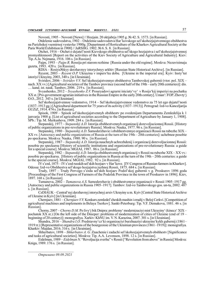Novosti, 1905 – Novosti [News] // Hozjain. 20 oktjabrja 1905 g. № 42. S. 1573. [in Russian].

Otdelenie sadovodstva, 1902 – Otdelenie sadovodstva Har'kovskogo sel'skohozjajstvennogo obshhestva na Parizhskoj vsemirnoj vystavke 1900g. [Department of Horticulture of the Kharkov Agricultural Society at the Paris World Exhibition in 1900] // JuRSHG. 1902. № 6. S. 8. [in Russian]

Otchet, 1916 – Otchet o dejatel'nosti Kievskogo obshhestva sel'skogo hozjajstva i sel'skohozjajstvennoj promyshlennosti [Report on the activities of the Kiev Society of Agriculture and Agricultural Industry]. Kiev: Tip. A.Ja. Nejmana, 1916. 106 s. [in Russian].

Pajps, 1993 – Pajps R. Rossija pri starom rezhime [Russia under the old regime]. Moskva: Nezavisimaja gazeta, 1993. 420 s. [in Russian].

RDIA – Rosiys№kyy derzhavnyy istorychnyy arkhiv [Russian State Historical Archive]. [in Russian].

Reyent, 2003 – Reyent O.P. Ukrayina v impers'ku dobu. [Ukraine in the imperial era]. Kyiv: Insty'tut istoriyi Ukrayiny, 2003, 340 s. [in Ukrainian].

Sviridov, 2006 – Sviridov V.V. Sel'skohozjajstvennye obshhestva Tambovskoj gubernii (vtor. pol. XІX – nach. XX vv.) [Agricultural societies of the Tambov province (second half of the 19th – early 20th centuries)]: dis. … kand. ist. nauk. Tambov, 2006. 219 s. [in Russian].

Svyashenko, 2012 – *Svyashenko Ž.V.* Prouryadovi agrarni iniciatyʻvyʻ v Rosijsʻkij imperiyi na pochatku XX st. [Pro-government agrarian initiatives in the Russian Empire in the early 20th century]. Uman': FOP. Zhovty'j O.O., 2012. 343 s. [in Ukrainian].

Sel'skohozjajstvennoe vedomstvo, 1914 – Sel'skohozjajstvennoe vedomstvo za 75 let ego dejatel'nosti (1837–1913 gg.) [Agricultural department for 75 years of its activity (1837–1913)]. Petrograd: Izd-vo Kanceljarija GUZiZ, 1914. 474 s. [in Russian].

Spisok, 1909 – Spisok sel'skohozjajstvennyh obshhestv po svedenijam Departamenta Zemledelija k 1 janvarja 1908 g. [List of agricultural societies according to the Department of Agriculture by January 1, 1908]. SPb.: Tip. M. Merkusheva, 1909. 284 s. [in Russian].

Stepanskij, 1977 – Stepanskij A.D. Istorija obshhestvennyh organizacij dorevoljucionnoj Rossii. [History of public organizations in pre-revolutionary Russia]. Moskva: Nauka, 1977. 96 s. [in Russian].

Stepanskij, 1980 – Stepanskij A.D. Šamoderzhavie i obshhestvennye organizacii Rossii na rubezhe XIX – XX vv. [Autocracy and public organizations of Russia at the turn of the  $19th - 20th$  centuries]: uchebnoe posobie po speckursu. Moskva: Nauka, 1980. 90 s. [in Russian].

Stepanskij, 1987 – Stepanskij A.D. Istorija nauchnyh uchrezhdenij i organizacij dorevoljucionnoj Rossii: posobie po speckursu [History of scientific institutions and organizations of pre-revolutionary Russia: a guide for a special course]. Moskva: MGIAI, 1987. 86 s. [in Russian].

Stepanskij, 1982 – Stepanskij A.D. Istorija obshhestvennyh organizacij v Rossii na rubezhe XIX – XX vv.: posobie po speckursu. [History of public organizations in Russia at the turn of the 19th – 20th centuries: a guide to the special course]. Moskva: MGIAI, 1982. 92 s. [in Russian].

IV s'ezd, 1875 – IV s'ezd russkih sel'skih hozjaev v Har'kove. [IV Congress of Russian farmers in Kharkov]. Odessa: Izd-vo Obshhestva sel'skogo hozjajstva juzhnoj Rossii, 1875. 684 s. [in Russian].

Trudy, 1897 – Trudy Pervogo s'ezda sel'skih hozjaev Podol'skoj gubernii v g. Proskurov 1896 goda [Proceedings of the First Congress of Farmers of the Podolsk Province in the town of Proskurov in 1896]. Kiev, 1897. 168 s. [in Russian].

Tumanova, 2002 – Tumanova A.S. Samoderzhavie i obshhestvennye organizacii v Rossii 1905–1917 gg. [Autocracy and public organizations in Russia 1905–1917]. Tambov: Izd-vo Tambovskogo gos. un-ta, 2002. 487 s. [in Russian].

CzDIAUK – Central'nyj derzhavnyj istorychnyj arxiv Ukrayiny u m. Kyiv [Central State Historical Archive of Ukraine in Kyiv] [in Ukrainian].

Chernjaev, 1881 – Chernjaev V.V. Konkurs zemledel'cheskih mashin i orudij v Beloj Cerkvi. [Competition of agricultural machines and implements in Belaya Tserkov]. Sankt-Peterburg: Tip. V.F. Demakova, 1881. 46 s. [in Russian].

Chorny, 2007 – Chorny D.M. Po livy'j bik Dnipra: problemy' modernizaciyi mist Ukrayiny' (kinecz' XIX – pochatok XX st.) [On the left side of the Dnieper: problems of modernization of cities of Ukraine (end of 19 – beginning of 20 century)]: monografiya. Xarkiv: KhNU im. V. N. Karazina, 2007. 301 s. [in Ukrainian].

Shandra, 2016 – Shandra I.O. Predstavny'cz'ki organizaciyi burzhuaziyi ukrayins'kykh gubernij (1861– 1919 rr.) [Representative organizations of the bourgeoisie of the Ukrainian provinces (1861–1919)]: monografiya. Kharkiv: Majdan, 2016. 316 s. [in Ukrainian].

Shherbatov, 1898 – Shherbatov A. G. Znachenie i zadachi sel'skohozjajstvennyh obshhestv [Significance and tasks of agricultural societies]. Moskva: Tip. A.A. Levenson, 1898. 12 s. [in Russian].

Eidelman, 1989 – Eidelman N. "Revoljucija sverhu" v Rossii ["Revolution from above" in Russia] Moskva: Kniga, 1989. 176 s. [in Russian].

Отримано 09.09.2021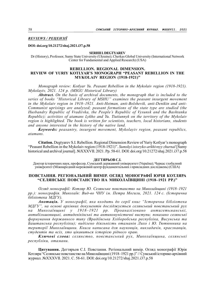REVIEWS / РЕЦЕНЗІЇ

DOI: doi.org/10.21272/shaj.2021.i37.p.58

### SERHII I. DEGTYAREV

Dr (History), Professor, Sumy State University (Ukraine); Cherkas Global University (International Network Center for Fundamental and Applied Research) (USA)

### REBELLION. REGIONAL DIMENSION. REVIEW OF YURIY KOTLYAR'S MONOGRAPH "PEASANT REBELLION IN THE MYKOLAIV REGION (1918-1921)"

Monograph review: Kotlyar Yu. Peasant Rebellion in the Mykolaiv region (1918-1921). Mykolayiv, 2021. 124 p. (MSGU Historical Library)

Abstract. On the basis of archival documents, the monograph that is included to the series of books "Historical Library of MSHU" examines the peasant insurgent movement in the Mykolaiv region in 1918–1921. Anti-Hetman, anti-Bolshevik, anti-Denikin and anti-Communist uprisings are analyzed; peasant formations of the state type are studied (the Husbandry Republic of Vradiivka, the People's Republic of Vysunsk and the Bashtanka Republic); activities of atamans Lykho and Yu. Tiutiunnyk on the territory of the Mykolaiv region is highlighted. The book is written for scientists, teachers, local historians, students and anyone interested in the history of the native land.

Keywords: peasantry, insurgent movement, Mykolayiv region, peasant republics, atamans.

Citation. Degtyarev S.I. Rebellion. Regional Dimension Review of Yuriy Kotlyar's monograph "Peasant Rebellion in the Mykolaiv region (1918-1921)". Sumskyi istoryko-arkhivnyy zhurnal [Sumy historical and archival journal]. №XXXVІI. 2021. Pp. 58-61. DOI: doi.org/10.21272/shaj.2021.i37.p.58

### ДЕГТЯРЬОВ С.І.

Доктор історичних наук, професор, Сумський державний університет (Україна); Черкас глобалний університет (Міжнародний мережевий центр фундаментальних і прикладних досліджень) (США)

### ПОВСТАННЯ. РЕГІОНАЛЬНИЙ ВИМІР. ОГЛЯД МОНОГРАФІЇ ЮРІЯ КОТЛЯРА "СЕЛЯНСЬКЕ ПОВСТАНСТВО НА МИКОЛАЇВЩИНІ (1918–1921 РР.)"

Огляд монографії: Котляр Ю. Селянське повстанство на Миколаївщині (1918–1921 рр.): монографія. Миколаїв: Вид-во ЧНУ ім. Петра Могили, 2021. 124 с. (Історична бібліотека МДГУ).

Анотація. У монографії, яка входить до серії книг "Історична бібліотека МДГУ", на основі архівних документів досліджується селянський повстанський рух на Миколаївщині у 1918–1921 рр. Проаналізовано антигетьманські, антибільшовицькі, антиденікінські та антикомуністичні виступи; показано селянські формування державного типу (Врадіївська Хліборобська республіка, Висунська та Баштанська республіки); виділено діяльність отаманів Лихо і Ю. Тютюнника на території Миколаївщини. Книга написана для науковців, викладачів, краєзнавців, студентів та всіх, хто цікавиться історією рідного краю.

Ключові слова: селянство, повстанський рух, Миколаївщина, селянські республіки, отамани.

Цитування. Дегтярьов С.І. Повстання. Регіональний вимір. Огляд монографії Юрія Котляра "Селянське повстанство на Миколаївщині (1918–1921 рр.)" // Сумський історико-архівний журнал. №XXXVІI. 2021. С. 58-61. DOI: doi.org/10.21272/shaj.2021.i37.p.58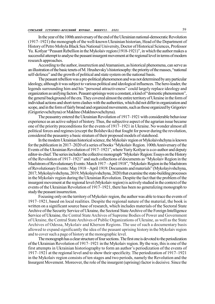In the year of the 100th anniversary of the end of the Ukrainian national-democratic Revolution (1917–1921) the monograph of the well-known Ukrainian historian, Head of the Department of History of Petro Mohyla Black Sea National University, Doctor of Historical Sciences, Professor Yu. Kotlyar "Peasant Rebellion in the Mykolaiv region (1918-1921)", in which the author makes a successful attempt to analyse the peasant insurgent movement at the regional level in terms of modern research approaches.

According to the author, insurrection and Atamanism, as historical phenomena, can serve as an illustration of the basic tenets of M. Hrushevsky's historiosophy: the priority of the masses, "national self-defence" and the growth of political and state system on the national basis.

The peasant rebellion was a pre-political phenomenon and was not determined by any particular ideology, although it was subject to various political and ideological influences. The hero-leader, the legends surrounding him and his "personal attractiveness" could largely replace ideology and organization as unifying factors. Peasant uprisings were a constant, a kind of "domestic phenomenon", the general background of the era. They covered almost the entire territory of Ukraine in the form of individual actions and short-term clashes with the authorities, which did not differ in organization and scope, and in the form of fairly broad and organized movements, such as those organized by Grigoriev (Grigorievschchyna) or Makhno (Makhnovschchyna).

The peasantry entered the Ukrainian Revolution of 1917–1921 with considerable behaviour experience as an active subject of history. Thus, the subjective aspect of the agrarian issue became one of the priority preconditions for the events of 1917–1921 in Ukraine. No wonder almost all political forces and regimes (except the Bolsheviks) that fought for power during the revolution, considered the peasantry a basic stratum of their proposed models of statehood.

In the modern Ukrainian historical science, the Mykolaiv region or Mykolaivshchyna is known for the publication in 2017–2020 of a series of books "Mykolaiv Region. 100th Anniversary of the Events of the Ukrainian Revolution of 1917–1921", where Yuriy Kotlyar is a co-author and deputy editor-in-chief. The series includes the collective monograph "Mykolaiv Region: Essays on the History of the Revolution of 1917–1921" and such collections of documents as "Mykolaiv Region in the Maelstrom of Revolutionary Events: March 1917 – April 1918", "Mykolaiv Region in the Maelstrom of Revolutionary Events: May 1918 – April 1919: Documents and materials" (Mykolayivshchyna, 2017; Mykolayivshchyna, 2019; Mykolayivshchyna, 2020) that examine the state-building processes in the Mykolaiv region during the Ukrainian Revolution. Despite the fact that the problem of the insurgent movement at the regional level (Mykolaiv region) is actively studied in the context of the events of the Ukrainian Revolution of 1917–1921, there has been no generalizing monograph to study the peasant insurrection.

Focusing only on the territory of Mykolaiv region, the author was able to trace the events of 1917–1921, based on local realities. Despite the regional nature of the material, the book is written on a significant source base of research, which includes materials of the Sectoral State Archive of the Security Service of Ukraine, the Sectoral State Archive of the Foreign Intelligence Service of Ukraine, the Central State Archives of Supreme Bodies of Power and Government of Ukraine, the Central State Archives of Public Organizations of Ukraine, as well as the State Archives of Odessa, Mykolaiv and Kherson Regions. The use of such a documentary basis allowed to expand significantly the idea of the peasant uprising history in the Mykolaiv region and to cover such a page of history at the monographic level.

The monograph has a clear structure of four sections. The first one is devoted to the periodization of the Ukrainian Revolution of 1917–1921 in the Mykolaiv region. By the way, this is one of the first attempts in Ukrainian historiography to form an author's periodization of the events of 1917–1921 at the regional level and to show their specificity. The periodization of 1917–1921 in the Mykolaiv region consists of ten stages and two periods, namely the Revolution and the Insurgent Movement. Moreover, the role of the insurgent (uprising) factor is decisive. Since the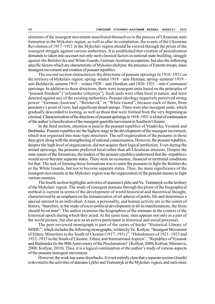elements of the insurgent movement manifested themselves in the process of Ukrainian state formation in the Mykolaiv region, as well as after its completion, the events of the Ukrainian Revolution of 1917–1921 in the Mykolaiv region should be viewed through the prism of the insurgent struggle against various authorities. It is established that creation of periodization demands to taken into account not only such classical factors as national state-building, struggle against the Bolsheviks and White Guards, German-Austrian occupation, but also the following specific factors which are characteristic of Mykolaivshchyna: the presence of Entente troops, mass insurgent movement and creation of peasant republics.

The second section characterizes the directions of peasant uprisings in 1918–1921 on the territory of Mykolaiv region: spring–winter 1918 – anti-Hetman; spring–summer 1919 – anti-Bolshevik; autumn 1919 – winter 1920 – anti-Denikin; and 1920–1921 – anti-Communist uprisings. In addition to these directions, there were insurgent units based on the principles of "peasant freedom" ["selyanska volnytsya"]. Such units were often local in nature, and were directed against any of the existing authorities. Peasant ideology negatively perceived strong power: "German-Austrian", "Bolshevik" or "White Guard", because each of them, from peasantry's point of view, had significant disadvantage. There were also insurgent units, which gradually descended to looting, as well as those that were formed from the very beginning as criminal. Characterization of the directions of peasant uprisings in 1918–1921 is a kind of continuation of the author's classification of the insurgent-guerrilla movement in Southern Ukraine.

In the third section, attention is paid to the peasant republics of Vradiivka, Vysunsk and Bashtanka. Peasant republics are the highest stage in the development of the insurgent movement, which was organized into state-type structures. The self-organization of the peasants in those days grew along with the strengthening of national consciousness. However, the peasant republics, despite the high level of organization, did not acquire their logical perfection. Even during the armed uprisings, the peasants preferred local rather than all-Ukrainian interests. Despite the state nature of the formations, the leaders of the peasant republics understood that the «republics» would never become separate states. There were no economic, financial or territorial conditions for that. The task of forming those formations was to unite the peasants to fight the Bolsheviks or the White Guards, but not to become separate states. Thus, the main significance of the insurgent movements in the Mykolaiv region was the organization of the peasant masses to fight various enemies.

The fourth section highlights activities of atamans Lykho and Yu. Tiutiunnyk on the territory of the Mykolaiv region. The study of insurgent atamans through the prism of the biographical method is current in terms of the development of world historical and theoretical thought, characterized by an emphasis on the humanization of all spheres of public life and determines a special interest in an individual. A man, a personality, and human activity are in the center of history, "therefore, in the study of socio-political development in all its manifestations, the focus should be on man". The author examines the biographies of the atamans in the context of the historical epoch during which they acted. At the same time, man appears not only as a part of the world picture, but also acts as an active participant in historical and social processes.

The peer-reviewed monograph is part of the series of books "Historical Library of MSHU", which includes the following monographs, written by Yu. Kotlyar: "Insurgent Movement of Ethnic Minorities in the South of Ukraine (1917–1931)", "Holodomors of 1921–1923 and 1932–1933 in the South of Ukraine: Ethnic and International Aspects", "Republics of Vysunsk and Bashtanka (to the 90th Anniversary of the Proclamation)" (Kotlyar, 2008; Kotlyar, Mironova, 2008; Kotlyar, 2010). Thus, it is a logical continuation of the author's study of various aspects of the peasant insurgent movement.

However, the work has some drawbacks. It is not entirely clear that a separate section (fourth) is devoted to the activities of atamans Lykho and Tiutiunnyk in the Mykolaiv region, and such more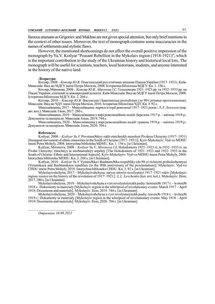famous atamans as Grigoriev and Makhno are not given special attention, but only brief mentions in the context of other issues. Moreover, the text of monograph contains some inaccuracies in the names of settlements and stylistic flaws.

However, the mentioned shortcomings do not affect the overall positive impression of the monograph by Yu.V. Kotlyar "Peasant Rebellion in the Mykolaiv region (1918-1921)", which is the important contribution to the study of the Ukrainian history and historical local lore. The monograph will be useful for scientists, teachers, local historians, students, and anyone interested in the history of the native land.

#### Література:

Котляр, 2008 – Котляр Ю.В. Повстанський рух етнічних меншин Півдня України (1917–1931). Київ-Миколаїв: Вид-во МДГУ імені Петра Могили, 2008. Історична бібліотека МДГУ. Кн. 1. 156 с.

Котляр, Міронова, 2008 – Котляр Ю.В., Міронова І.С. Голодомори 1921–1923 рр. та 1932–1933 рр. на Півдні України: етнічний та міжнародний аспекти. Київ-Миколаїв: Вид-во МДГУ імені Петра Могили, 2008. Історична бібліотека МДГУ. Кн. 2. 204 с.

Котляр, 2010 – Котляр Ю.В. Висунська і Баштанська республіки (до 90-ї річниці проголошення). Миколаїв: Вид-во ЧДУ імені Петра Могили, 2010. Історична бібліотека ЧДУ. Кн. 3. 92 с.

Миколаївщина, 2017 – Миколаївщина: нариси історії революції 1917–1921 років / Л.Л. Левченко (кер. авт. кол.). Миколаїв: Іліон, 2017. 280 с.

Миколаївщина, 2019 – Миколаївщина у вирі революційних подій: березень 1917 р. – квітень 1918 р.: Документи та матеріали. Миколаїв: Іліон, 2019. 744 с.

Миколаївщина, 2020 – Миколаївщина у вирі революційних подій: травень 1918 р. – квітень 1919 р.: Документи та матеріали. Миколаїв: Іліон, 2020. 704 с.

### References:

Kotlyar, 2008 – Kotlyar Yu.V. Povstans№kyy rukh etnichnykh menshyn Pivdnya Ukrayiny (1917–1931) [Insurgent movement of ethnic minorities in the South of Ukraine (1917–1931)]. Kyiv-Mykolayiv: Vyd-vo MDHU imeni Petra Mohyly, 2008. Istorychna biblioteka MDHU. Kn. 1. 156 s. [in Ukrainian].

Kotlyar, Mironova, 2008 – *Kotlyar Yu.V., Mironova I.S.* Holodomory 1921–1923 rr. ta 1932–1933 rr. na Pivdni Ukrayiny: etnichnyy ta mizhnarodnyy aspekty [The Holodomors of 1921–1923 and 1932–1933 in the South of Ukraine: Ethnic and International Aspects]. Kyiv-Mykolayiv: Vyd-vo MDHU imeni Petra Mohyly, 2008. Istorychna biblioteka MDHU. Kn. 2. 204 s. [in Ukrainian].

Kotlyar, 2010 – Kotlyar Yu. V. Vysuns№ka i Bashtans№ka respubliky (do 90-yi richnytsi proholoshennya) [Vysunskaya and Bashtanskaya republics (to the 90th anniversary of the proclamation)]. Mykolayiv: Vyd-vo CHDU imeni Petra Mohyly, 2010. Istorychna biblioteka CHDU. Kn. 3. 92 s. [in Ukrainian].

Mykolayivshchyna, 2017 – Mykolayivshchyna: narysy istoriyi revolyutsiyi 1917–1921 rokiv [Mykolayiv region: essays on the history of the revolution of  $1917-1921$  | *L.L. Levchenko* (ker. avt. kol.). Mykolayiv: Ilion, 2017. 280 s. [in Ukrainian].

Mykolayivshchyna, 2019 – Mykolayivshchyna u vyri revolyutsiynykh podiy: berezen№ 1917 r. – kviten№ 1918 r.: Dokumenty ta materialy [Mykolayiv region in the whirlpool of revolutionary events: March 1917 – April 1918: Documents and materials]. Mykolayiv: Ilion, 2019. 744 s. [in Ukrainian].

Mykolayivshchyna, 2020 – Mykolayivshchyna u vyri revolyutsiynykh podiy: traven№ 1918 r. – kviten№ 1919 r.: Dokumenty ta materialy [Mykolayiv region in the whirlpool of revolutionary events: May 1918 – April 1919: Documents and materials]. Mykolayiv: Ilion, 2020. 704 s. [in Ukrainian].

Отримано 10.09.2021

 $\mathcal{L}_\text{max}$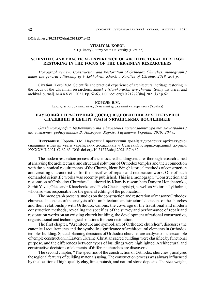DOI: doi.org/10.21272/shaj.2021.i37.p.62

### VITALIY M. KOROL

PhD (History), Sumy State University (Ukraine)

# SCIENTIFIC AND PRACTICAL EXPERIENCE OF ARCHITECTURAL HERITAGE RESTORING IN THE FOCUS OF THE UKRAINIAN RESEARCHERS

Monograph review: Construction and Restoration of Orthodox Churches: monograph / under the general editorship of V. Lykhohrai. Kharkiv: Rarities of Ukraine, 2019. 204 p.

Citation. Korol V.M. Scientific and practical experience of architectural heritage restoring in the focus of the Ukrainian researchers. Sumskyi istoryko-arkhivnyy zhurnal [Sumy historical and archival journal]. №XXXVІI. 2021. Pp. 62-63. DOI: doi.org/10.21272/shaj.2021.i37.p.62

КОРОЛЬ В.М.

Кандидат історичних наук, Сумський державний університет (Україна)

# НАУКОВИЙ І ПРАКТИЧНИЙ ДОСВІД ВІДНОВЛЕННЯ АРХІТЕКТУРНОЇ СПАДЩИНИ В ЦЕНТРІ УВАГИ УКРАЇНСЬКИХ ДОСЛІДНИКІВ

Огляд монографії: Будівництво та відновлення православних храмів: монографія / під загальним редагуванням В. Лихограй. Харків: Раритети України, 2019. 204 с.

Цитування. Король В.М. Науковий і практичний досвід відновлення архітектурної спадщини в центрі уваги українських дослідників // Сумський історико-архівний журнал. №XXXVІI. 2021. С. 62-63. DOI: doi.org/10.21272/shaj.2021.i37.p.62

The modern restoration process of ancient sacred buildings requires thorough research aimed at analysing the architectural and structural solutions of Orthodox temples and their connection with the canonical requirements of the Church, identifying historical methods of construction and creating characteristics for the specifics of repair and restoration work. One of such demanded scientific works was recently published. This is a monograph "Construction and restoration of Orthodox Churches", authored by Kharkiv researchers Dmytro Honcharenko, Serhii Yevel, Oleksandr Kharchenko and Pavlo Chechelnytskyi, as well as Viktoriia Lykhohrai, who also was responsible for the general editing of the publication.

The monograph presents studies on the construction and restoration of masonry Orthodox churches. It consists of the analysis of the architectural and structural decisions of the churches and their relationship with Orthodox canons, the coverage of the traditional and modern construction methods, revealing the specifics of the survey and performance of repair and restoration works on an existing church building, the development of rational constructive, organisational and technological solutions for their restoration.

The first chapter, "Architecture and symbolism of Orthodox churches", discusses the canonical requirements and the symbolic significance of architectural elements in Orthodox temples building. Spatial planning decisions of Orthodox churches are analysed on the example of temple construction in Eastern Ukraine. Christian sacred buildings were classified by functional purpose, and the differences between types of buildings were highlighted. Architectural and constructive decisions of elements of different churches are discovered.

The second chapter, "The specifics of the construction of Orthodox churches", analyses the regional features of building materials using. The construction process was always influenced by the location of high-quality clay, lime, potash, and natural stone deposits. The size, weight,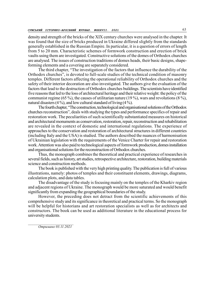density and strength of the bricks of the XIX century churches were analysed in the chapter. It was found that the size of bricks produced in Ukraine differed slightly from the standards generally established in the Russian Empire. In particular, it is a question of errors of length from 5 to 20 mm. Characteristic schemes of formwork construction and erection of brick vaults using them are investigated. Constructive solutions of the domes of Orthodox churches are analysed. The issues of construction traditions of domes heads, their basic designs, shapeforming elements and a covering are separately considered.

The third chapter, "The investigation of the factors that influence the durability of the Orthodox churches", is devoted to full-scale studies of the technical condition of masonry temples. Different factors affecting the operational reliability of Orthodox churches and the safety of their interior decoration are also investigated. The authors give the evaluation of the factors that lead to the destruction of Orthodox churches buildings. The scientists have identified five reasons that led to the loss of architectural heritage and their relative weight: the policy of the communist regime (65 %), the causes of utilitarian nature (19 %), wars and revolutions (8 %), natural disasters  $(4\%)$ , and low cultural standard of living  $(4\%)$ .

The fourth chapter, "The construction, technological and organisational solutions of the Orthodox churches reconstruction", deals with studying the types and performance specifics of repair and restoration work. The peculiarities of such scientifically substantiated measures on historical and architectural monuments as conservation, restoration, repair, reconstruction and rehabilitation are revealed in the context of domestic and international regulations. The experience of approaches to the conservation and restoration of architectural structures in different countries (including Italy and the USA) is studied. The authors described the nuances of harmonisation of Ukrainian legislation with the requirements of the Venice Charter for repair and restoration work. Attention was also paid to technological aspects of formwork production, domes installation and organisational solutions for the reconstruction of Orthodox churches.

Thus, the monograph combines the theoretical and practical experience of researches in several fields, such as history, art studies, retrospective architecture, restoration, building materials science and construction methods.

The book is published with the very high printing quality. The publication is full of various illustrations, namely: photos of temples and their constituent elements, drawings, diagrams, calculation plots, and data tables.

The disadvantage of the study is focusing mainly on the temples of the Kharkiv region and adjacent regions of Ukraine. The monograph would be more saturated and would benefit significantly from expanding the geographical boundaries of the study.

However, the preceding does not detract from the scientific achievements of this comprehensive study and its significance in theoretical and practical terms. So the monograph will be helpful for historians and art restoration specialists as well as for architects and constructors. The book can be used as additional literature in the educational process for university students.

Отримано 03.11.2021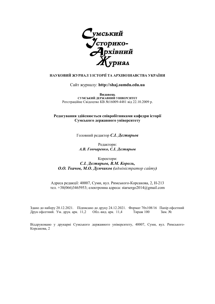

# НАУКОВИЙ ЖУРНАЛ З ІСТОРІЇ ТА АРХІВОЗНАВСТВА УКРАЇНИ

## Сайт журналу: http://shaj.sumdu.edu.ua

Видавець СУМСЬКИЙ ДЕРЖАВНИЙ УНІВЕРСИТЕТ Реєстраційне Свідоцтво КВ №16009-4481 від 22.10.2009 р.

# Редагування здійснюється співробітниками кафедри історії Сумського державного університету

Головний редактор С.І. Дегтярьов

Редактори: А.В. Гончаренко, С.І. Дегтярьов

# Коректори: С.І. Дегтярьов, В.М. Король, О.О. Ткачов, М.О. Думчиков (адміністратор сайту)

Адреса редакції: 40007, Суми, вул. Римського-Корсакова, 2, Н-213 тел.  $+38(066)3465953$ ; електронна адреса: starsergo2014@gmail.com

Здано до набору 20.12.2021. Підписано до друку 24.12.2021. Формат 70х108/16 Папір офсетний Друк офсетний. Ум. друк. арк. 11,2 Обл.-вид. арк. 11,4 Тираж 100 Зам. №

Віддруковано у друкарні Сумського державного університету, 40007, Суми, вул. Римського-Корсакова, 2